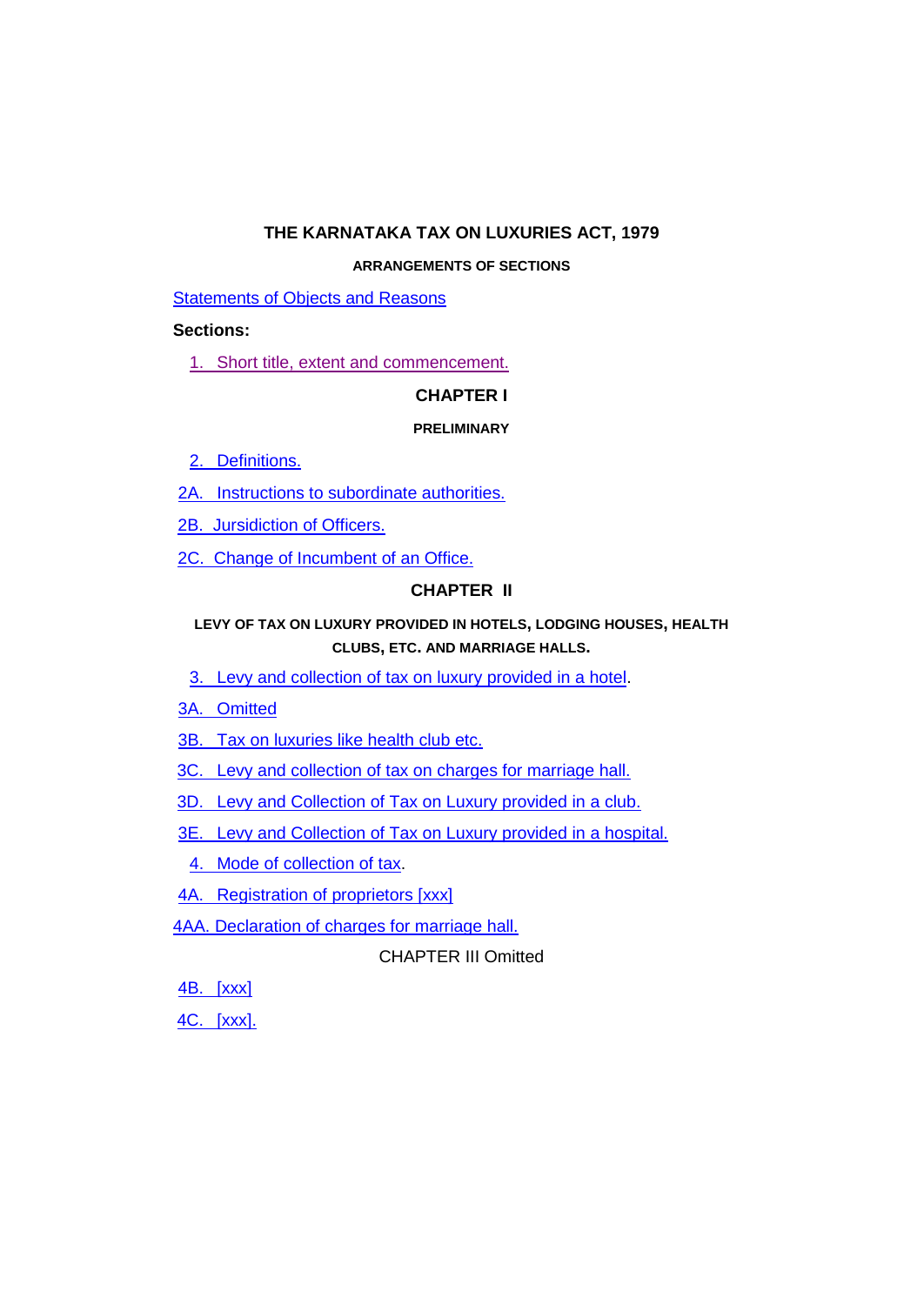# **THE KARNATAKA TAX ON LUXURIES ACT, 1979**

### **ARRANGEMENTS OF SECTIONS**

[Statements of Objects and Reasons](#page-3-0)

### **Sections:**

1. [Short title, extent and commencement.](#page-16-0)

## **CHAPTER I**

### **PRELIMINARY**

- 2. [Definitions.](#page-16-1)
- 2A. [Instructions to subordinate authorities.](#page-20-0)
- [2B. Jursidiction of Officers.](#page-21-0)
- [2C. Change of Incumbent of an Office.](#page-21-1)

# **CHAPTER II**

# **LEVY OF TAX ON LUXURY PROVIDED IN HOTELS, LODGING HOUSES, HEALTH CLUBS, ETC. AND MARRIAGE HALLS.**

- 3. Levy and collection of tax on luxury provided in a hotel.
- 3A. [Omitted](#page-23-0)
- 3B. [Tax on luxuries like health club etc.](#page-23-1)
- 3C. [Levy and collection of tax on charges for marriage hall.](#page-23-2)
- 3D. [Levy and Collection of Tax on Luxury provided in a club.](#page-23-3)
- 3E. [Levy and Collection of Tax on Luxury provided in a hospital.](#page-24-0)
	- 4. [Mode of collection of tax.](#page-25-0)
- 4A. [Registration of proprietors \[xxx\]](#page-25-1)
- [4AA. Declaration of charges for marriage hall](#page-27-0) .

# CHAPTER III Omitted

4B. [\[xxx\]](#page-27-1)

4C. [\[xxx\].](#page-27-2)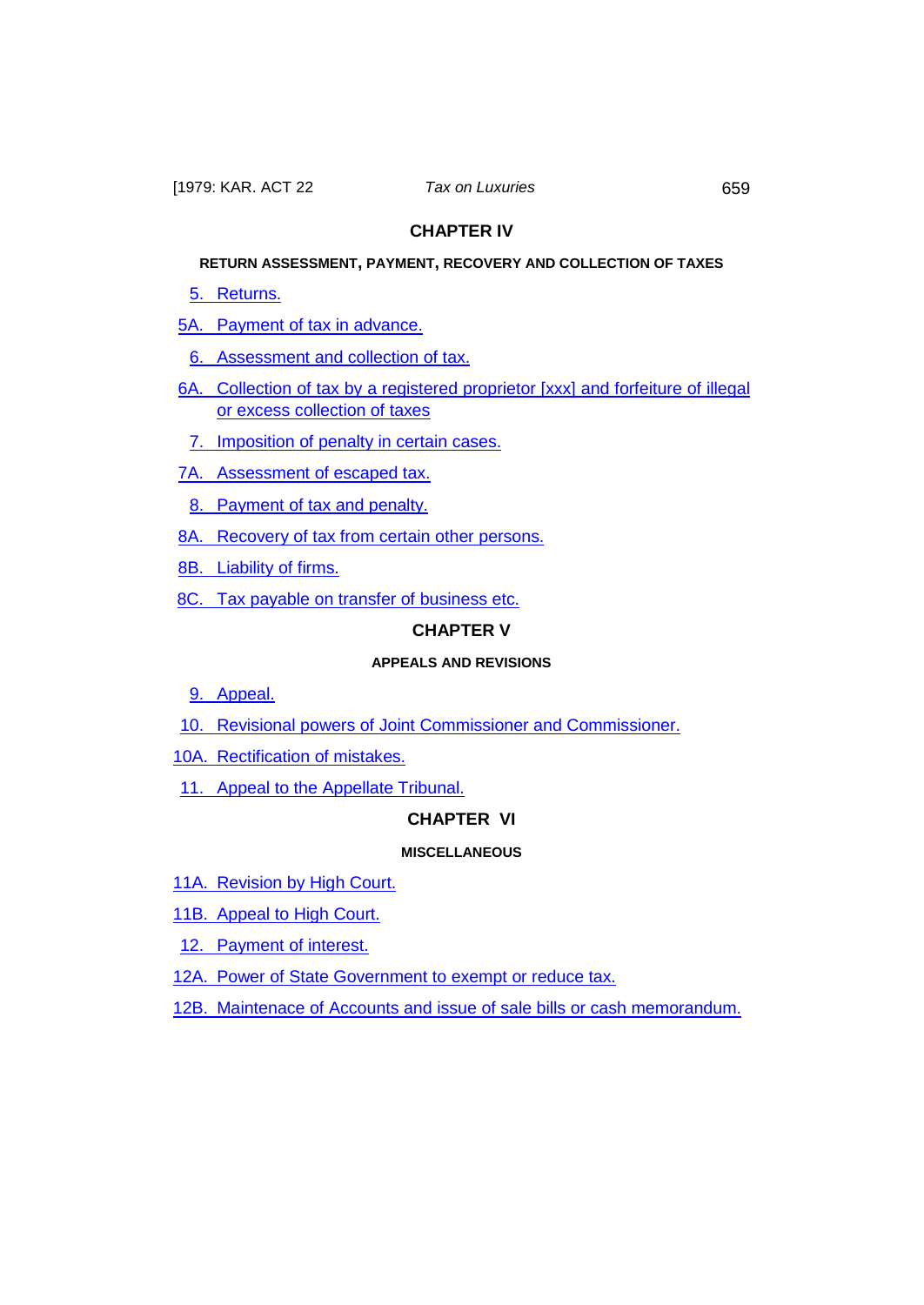## **CHAPTER IV**

# **RETURN ASSESSMENT, PAYMENT, RECOVERY AND COLLECTION OF TAXES**

5. [Returns.](#page-27-3)

5A. [Payment of tax in advance.](#page-28-0)

6. [Assessment and collection of tax.](#page-29-0)

- 6A. [Collection of tax by a registered proprietor \[xxx\] and forfeiture of illegal](#page-30-0)  [or excess collection of taxes](#page-30-0)
- 7. [Imposition of penalty in certain cases.](#page-31-0)
- 7A. [Assessment of escaped tax.](#page-32-0)
- 8. [Payment of tax and penalty.](#page-32-1)
- 8A. [Recovery of tax from certain other persons.](#page-34-0)
- 8B. [Liability of firms.](#page-35-0)
- 8C. [Tax payable on transfer of business](#page-35-1) etc.

## **CHAPTER V**

## **APPEALS AND REVISIONS**

- 9. Appeal.
- 10. [Revisional powers of Joint Commissioner and Commissioner.](#page-38-0)
- 10A. [Rectification of mistakes.](#page-40-0)
- 11. [Appeal to the Appellate Tribunal.](#page-40-1)

### **CHAPTER VI**

#### **MISCELLANEOUS**

- 11A. [Revision by High Court.](#page-43-0)
- 11B. [Appeal to High Court.](#page-45-0)
- 12. [Payment of interest.](#page-45-1)
- 12A. Power of State Government to exempt or reduce tax.
- 12B. [Maintenace of Accounts and issue of sale bills or cash memorandum.](#page-46-0)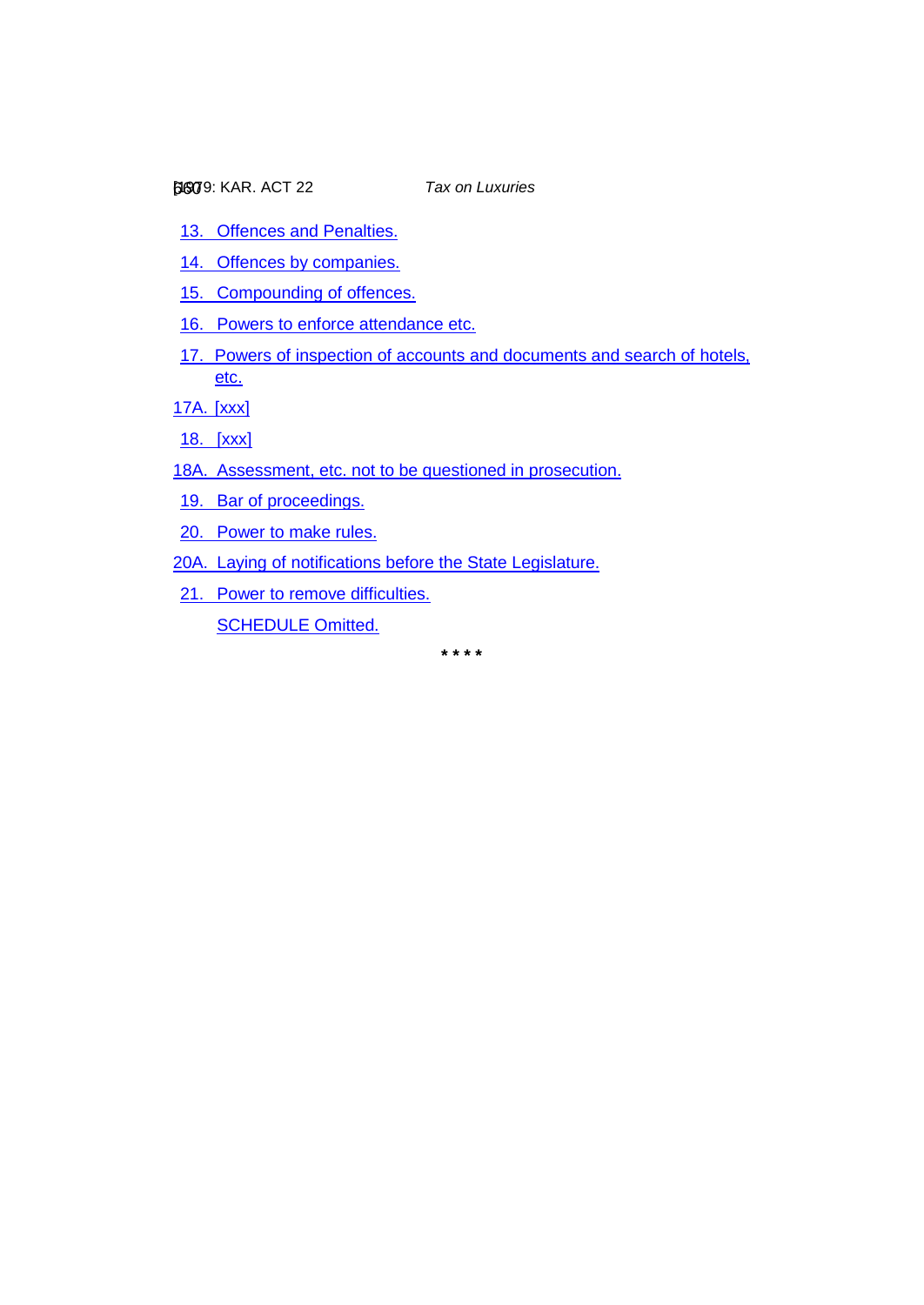- 13. [Offences and Penalties.](#page-47-0)
- 14. [Offences by companies.](#page-49-0)
- 15. [Compounding of offences.](#page-49-1)
- 16. [Powers to enforce attendance etc.](#page-50-0)
- 17. [Powers of inspection of accounts and documents and search of hotels,](#page-50-1)  [etc.](#page-50-1)

[17A.](#page-51-0) [xxx]

18. [\[xxx\]](#page-51-1)

- 18A. [Assessment, etc. not to be questioned in prosecution.](#page-51-2)
- 19. [Bar of proceedings.](#page-51-3)
- 20. [Power to make rules.](#page-52-0)
- 20A. [Laying of notifications before the State Legislature.](#page-52-1)
- 21. [Power to remove difficulties.](#page-52-2) [SCHEDULE Omitted.](#page-52-3)

**\* \* \* \***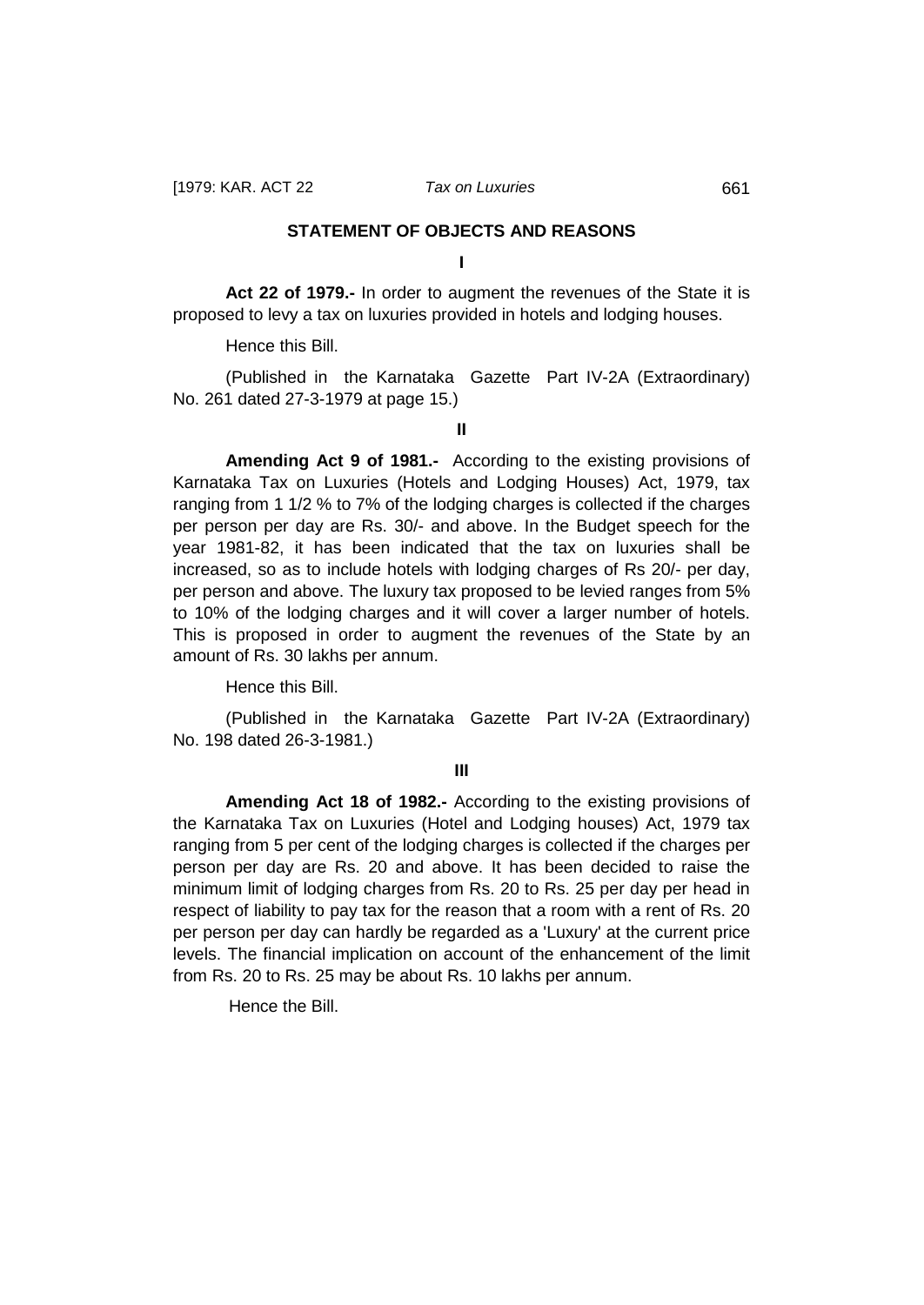## **STATEMENT OF OBJECTS AND REASONS**

**I**

<span id="page-3-0"></span>**Act 22 of 1979.-** In order to augment the revenues of the State it is proposed to levy a tax on luxuries provided in hotels and lodging houses.

Hence this Bill.

(Published in the Karnataka Gazette Part IV-2A (Extraordinary) No. 261 dated 27-3-1979 at page 15.)

**II**

**Amending Act 9 of 1981.-** According to the existing provisions of Karnataka Tax on Luxuries (Hotels and Lodging Houses) Act, 1979, tax ranging from 1 1/2 % to 7% of the lodging charges is collected if the charges per person per day are Rs. 30/- and above. In the Budget speech for the year 1981-82, it has been indicated that the tax on luxuries shall be increased, so as to include hotels with lodging charges of Rs 20/- per day, per person and above. The luxury tax proposed to be levied ranges from 5% to 10% of the lodging charges and it will cover a larger number of hotels. This is proposed in order to augment the revenues of the State by an amount of Rs. 30 lakhs per annum.

Hence this Bill.

(Published in the Karnataka Gazette Part IV-2A (Extraordinary) No. 198 dated 26-3-1981.)

**III**

**Amending Act 18 of 1982.-** According to the existing provisions of the Karnataka Tax on Luxuries (Hotel and Lodging houses) Act, 1979 tax ranging from 5 per cent of the lodging charges is collected if the charges per person per day are Rs. 20 and above. It has been decided to raise the minimum limit of lodging charges from Rs. 20 to Rs. 25 per day per head in respect of liability to pay tax for the reason that a room with a rent of Rs. 20 per person per day can hardly be regarded as a 'Luxury' at the current price levels. The financial implication on account of the enhancement of the limit from Rs. 20 to Rs. 25 may be about Rs. 10 lakhs per annum.

Hence the Bill.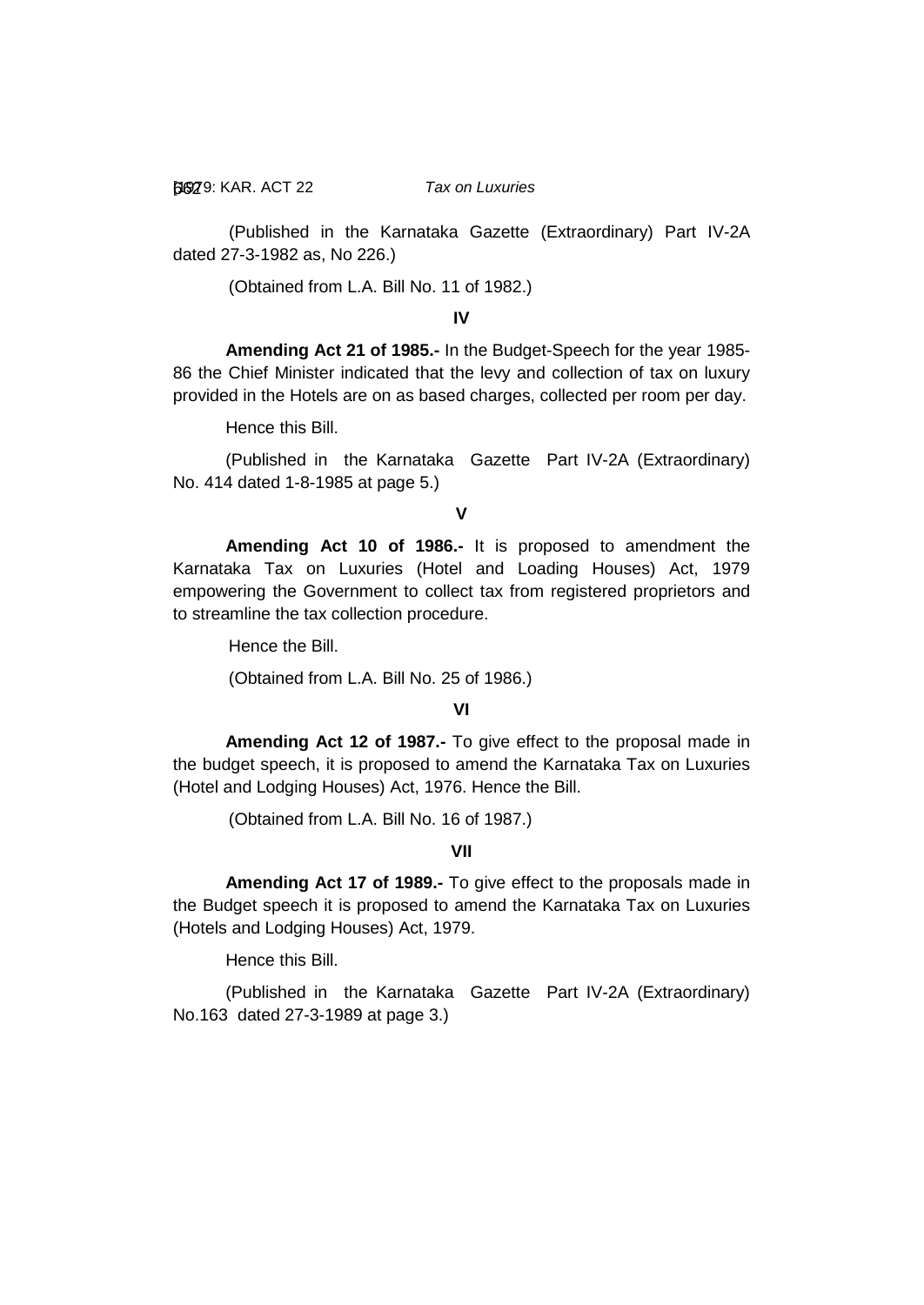[1979: 662 KAR. ACT 22 *Tax on Luxuries*

(Published in the Karnataka Gazette (Extraordinary) Part IV-2A dated 27-3-1982 as, No 226.)

(Obtained from L.A. Bill No. 11 of 1982.)

**IV**

**Amending Act 21 of 1985.-** In the Budget-Speech for the year 1985- 86 the Chief Minister indicated that the levy and collection of tax on luxury provided in the Hotels are on as based charges, collected per room per day.

Hence this Bill.

(Published in the Karnataka Gazette Part IV-2A (Extraordinary) No. 414 dated 1-8-1985 at page 5.)

**V**

**Amending Act 10 of 1986.-** It is proposed to amendment the Karnataka Tax on Luxuries (Hotel and Loading Houses) Act, 1979 empowering the Government to collect tax from registered proprietors and to streamline the tax collection procedure.

Hence the Bill.

(Obtained from L.A. Bill No. 25 of 1986.)

### **VI**

**Amending Act 12 of 1987.-** To give effect to the proposal made in the budget speech, it is proposed to amend the Karnataka Tax on Luxuries (Hotel and Lodging Houses) Act, 1976. Hence the Bill.

(Obtained from L.A. Bill No. 16 of 1987.)

# **VII**

**Amending Act 17 of 1989.-** To give effect to the proposals made in the Budget speech it is proposed to amend the Karnataka Tax on Luxuries (Hotels and Lodging Houses) Act, 1979.

Hence this Bill.

(Published in the Karnataka Gazette Part IV-2A (Extraordinary) No.163 dated 27-3-1989 at page 3.)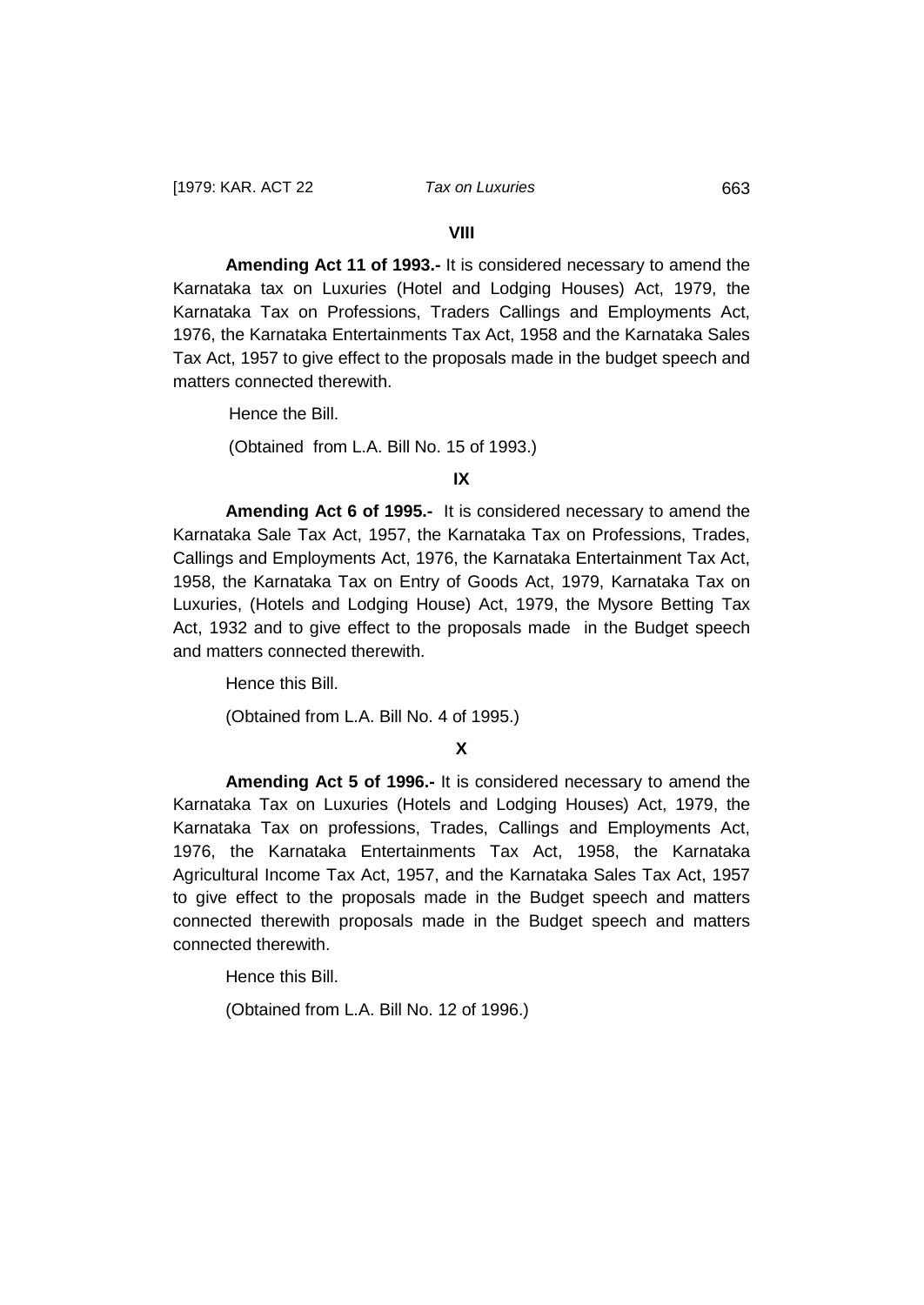#### **VIII**

**Amending Act 11 of 1993.-** It is considered necessary to amend the Karnataka tax on Luxuries (Hotel and Lodging Houses) Act, 1979, the Karnataka Tax on Professions, Traders Callings and Employments Act, 1976, the Karnataka Entertainments Tax Act, 1958 and the Karnataka Sales Tax Act, 1957 to give effect to the proposals made in the budget speech and matters connected therewith.

Hence the Bill.

(Obtained from L.A. Bill No. 15 of 1993.)

#### **IX**

**Amending Act 6 of 1995.-** It is considered necessary to amend the Karnataka Sale Tax Act, 1957, the Karnataka Tax on Professions, Trades, Callings and Employments Act, 1976, the Karnataka Entertainment Tax Act, 1958, the Karnataka Tax on Entry of Goods Act, 1979, Karnataka Tax on Luxuries, (Hotels and Lodging House) Act, 1979, the Mysore Betting Tax Act, 1932 and to give effect to the proposals made in the Budget speech and matters connected therewith.

Hence this Bill.

(Obtained from L.A. Bill No. 4 of 1995.)

### **X**

**Amending Act 5 of 1996.-** It is considered necessary to amend the Karnataka Tax on Luxuries (Hotels and Lodging Houses) Act, 1979, the Karnataka Tax on professions, Trades, Callings and Employments Act, 1976, the Karnataka Entertainments Tax Act, 1958, the Karnataka Agricultural Income Tax Act, 1957, and the Karnataka Sales Tax Act, 1957 to give effect to the proposals made in the Budget speech and matters connected therewith proposals made in the Budget speech and matters connected therewith.

Hence this Bill.

(Obtained from L.A. Bill No. 12 of 1996.)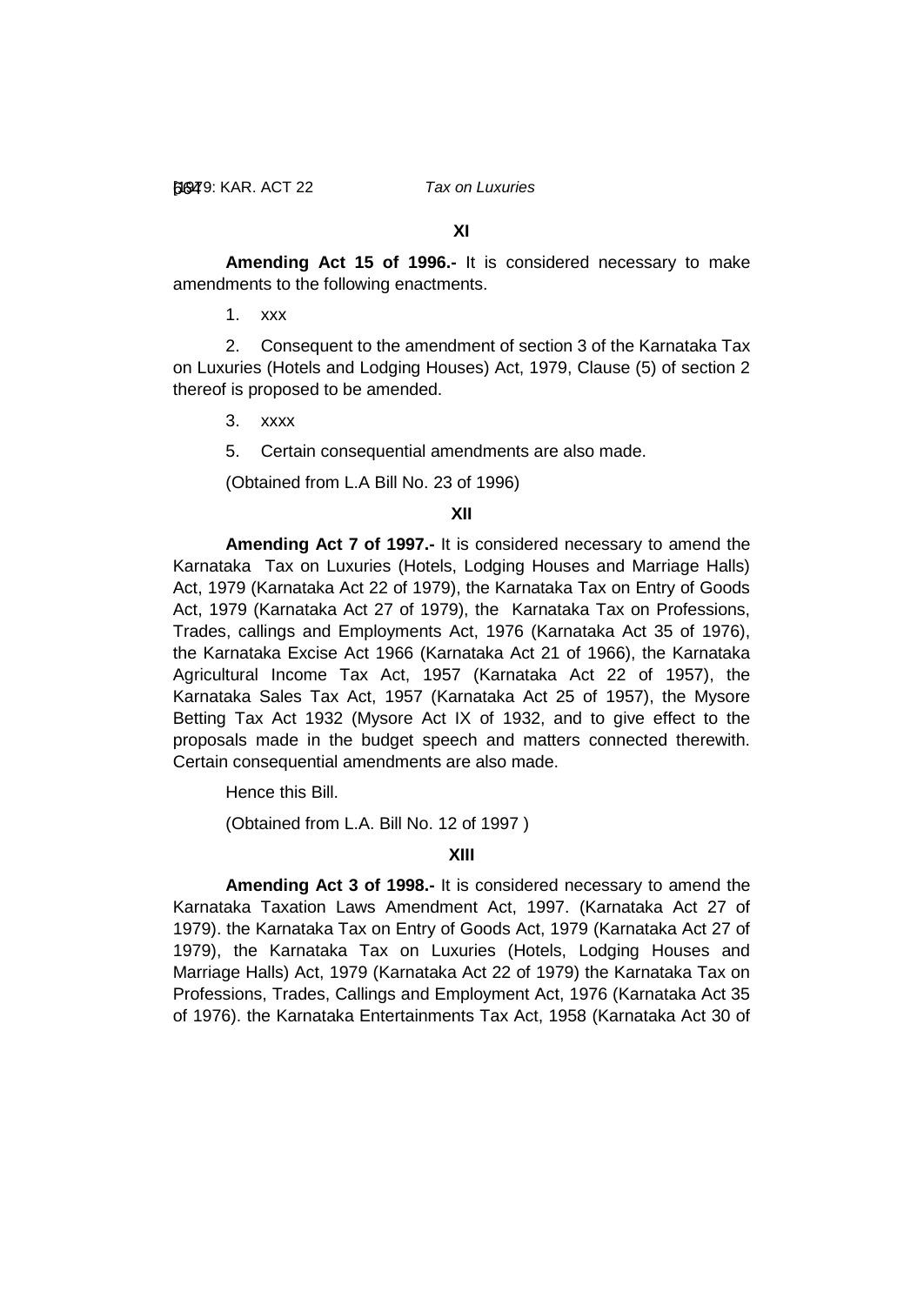**XI**

**Amending Act 15 of 1996.-** It is considered necessary to make amendments to the following enactments.

1. xxx

2. Consequent to the amendment of section 3 of the Karnataka Tax on Luxuries (Hotels and Lodging Houses) Act, 1979, Clause (5) of section 2 thereof is proposed to be amended.

3. xxxx

5. Certain consequential amendments are also made.

(Obtained from L.A Bill No. 23 of 1996)

### **XII**

**Amending Act 7 of 1997.-** It is considered necessary to amend the Karnataka Tax on Luxuries (Hotels, Lodging Houses and Marriage Halls) Act, 1979 (Karnataka Act 22 of 1979), the Karnataka Tax on Entry of Goods Act, 1979 (Karnataka Act 27 of 1979), the Karnataka Tax on Professions, Trades, callings and Employments Act, 1976 (Karnataka Act 35 of 1976), the Karnataka Excise Act 1966 (Karnataka Act 21 of 1966), the Karnataka Agricultural Income Tax Act, 1957 (Karnataka Act 22 of 1957), the Karnataka Sales Tax Act, 1957 (Karnataka Act 25 of 1957), the Mysore Betting Tax Act 1932 (Mysore Act IX of 1932, and to give effect to the proposals made in the budget speech and matters connected therewith. Certain consequential amendments are also made.

Hence this Bill.

(Obtained from L.A. Bill No. 12 of 1997 )

# **XIII**

**Amending Act 3 of 1998.-** It is considered necessary to amend the Karnataka Taxation Laws Amendment Act, 1997. (Karnataka Act 27 of 1979). the Karnataka Tax on Entry of Goods Act, 1979 (Karnataka Act 27 of 1979), the Karnataka Tax on Luxuries (Hotels, Lodging Houses and Marriage Halls) Act, 1979 (Karnataka Act 22 of 1979) the Karnataka Tax on Professions, Trades, Callings and Employment Act, 1976 (Karnataka Act 35 of 1976). the Karnataka Entertainments Tax Act, 1958 (Karnataka Act 30 of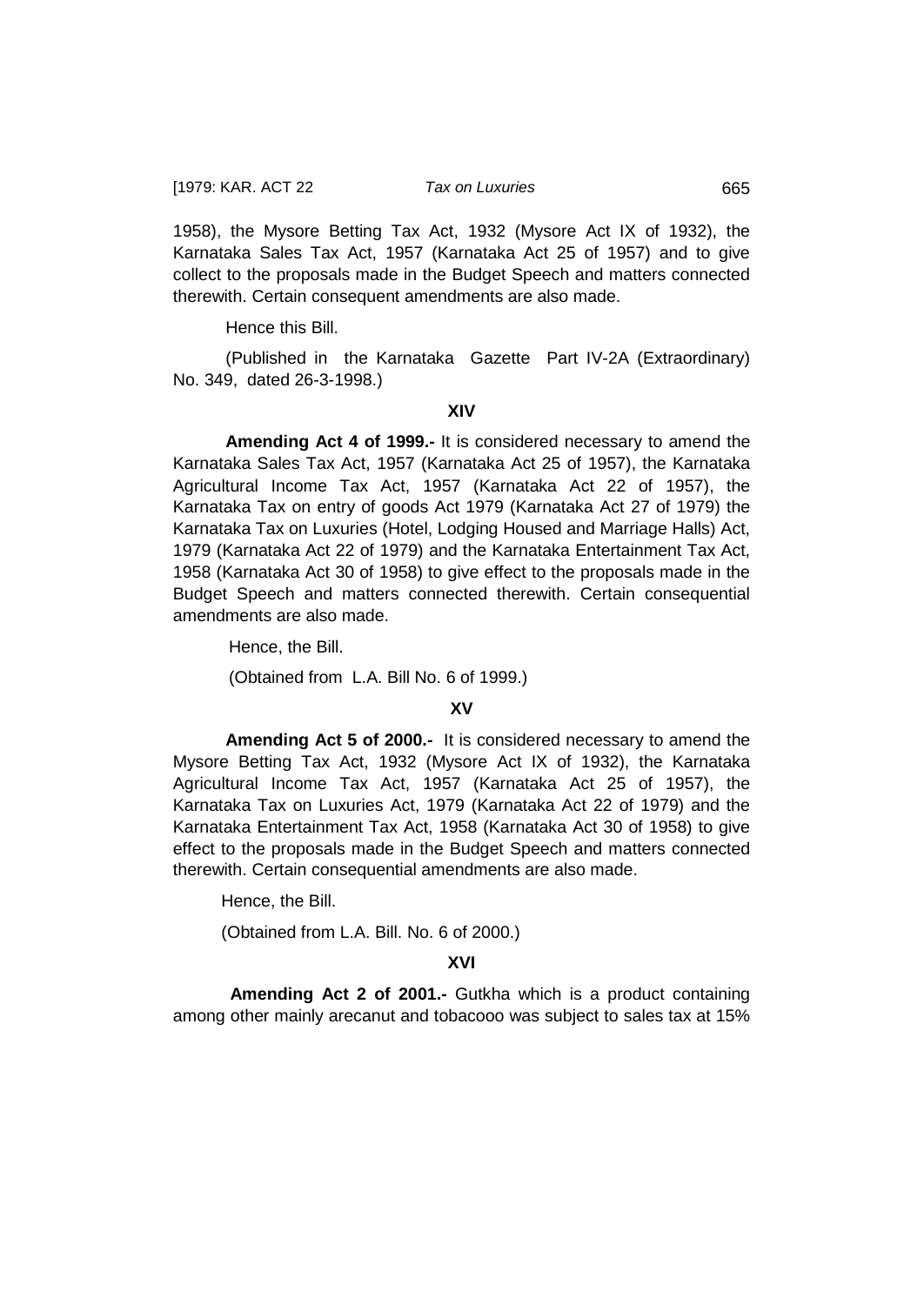1958), the Mysore Betting Tax Act, 1932 (Mysore Act IX of 1932), the Karnataka Sales Tax Act, 1957 (Karnataka Act 25 of 1957) and to give collect to the proposals made in the Budget Speech and matters connected therewith. Certain consequent amendments are also made.

Hence this Bill.

(Published in the Karnataka Gazette Part IV-2A (Extraordinary) No. 349, dated 26-3-1998.)

#### **XIV**

**Amending Act 4 of 1999.-** It is considered necessary to amend the Karnataka Sales Tax Act, 1957 (Karnataka Act 25 of 1957), the Karnataka Agricultural Income Tax Act, 1957 (Karnataka Act 22 of 1957), the Karnataka Tax on entry of goods Act 1979 (Karnataka Act 27 of 1979) the Karnataka Tax on Luxuries (Hotel, Lodging Housed and Marriage Halls) Act, 1979 (Karnataka Act 22 of 1979) and the Karnataka Entertainment Tax Act, 1958 (Karnataka Act 30 of 1958) to give effect to the proposals made in the Budget Speech and matters connected therewith. Certain consequential amendments are also made.

Hence, the Bill.

(Obtained from L.A. Bill No. 6 of 1999.)

### **XV**

**Amending Act 5 of 2000.-** It is considered necessary to amend the Mysore Betting Tax Act, 1932 (Mysore Act IX of 1932), the Karnataka Agricultural Income Tax Act, 1957 (Karnataka Act 25 of 1957), the Karnataka Tax on Luxuries Act, 1979 (Karnataka Act 22 of 1979) and the Karnataka Entertainment Tax Act, 1958 (Karnataka Act 30 of 1958) to give effect to the proposals made in the Budget Speech and matters connected therewith. Certain consequential amendments are also made.

Hence, the Bill.

(Obtained from L.A. Bill. No. 6 of 2000.)

### **XVI**

**Amending Act 2 of 2001.-** Gutkha which is a product containing among other mainly arecanut and tobacooo was subject to sales tax at 15%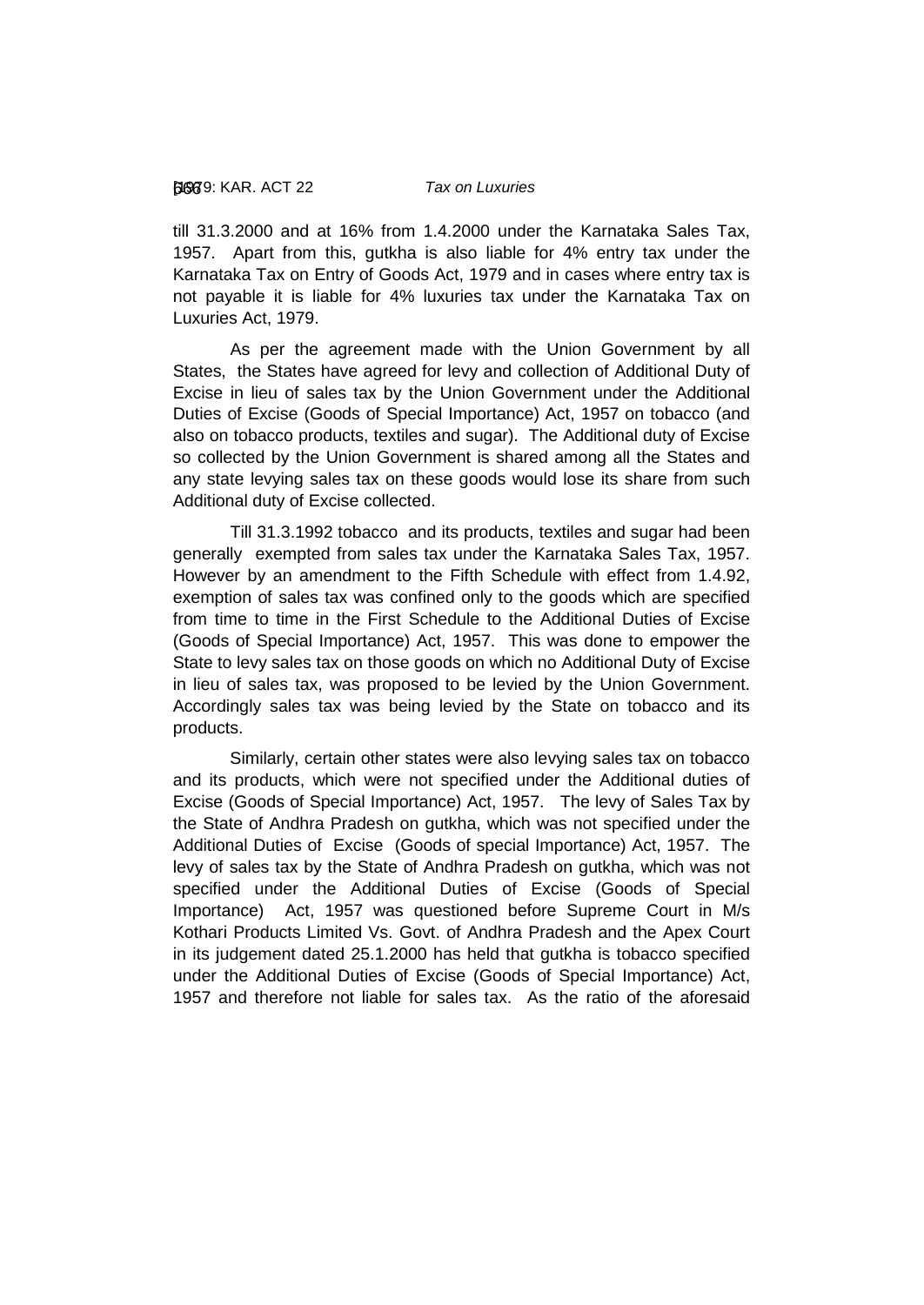till 31.3.2000 and at 16% from 1.4.2000 under the Karnataka Sales Tax, 1957. Apart from this, gutkha is also liable for 4% entry tax under the Karnataka Tax on Entry of Goods Act, 1979 and in cases where entry tax is not payable it is liable for 4% luxuries tax under the Karnataka Tax on Luxuries Act, 1979.

As per the agreement made with the Union Government by all States, the States have agreed for levy and collection of Additional Duty of Excise in lieu of sales tax by the Union Government under the Additional Duties of Excise (Goods of Special Importance) Act, 1957 on tobacco (and also on tobacco products, textiles and sugar). The Additional duty of Excise so collected by the Union Government is shared among all the States and any state levying sales tax on these goods would lose its share from such Additional duty of Excise collected.

Till 31.3.1992 tobacco and its products, textiles and sugar had been generally exempted from sales tax under the Karnataka Sales Tax, 1957. However by an amendment to the Fifth Schedule with effect from 1.4.92, exemption of sales tax was confined only to the goods which are specified from time to time in the First Schedule to the Additional Duties of Excise (Goods of Special Importance) Act, 1957. This was done to empower the State to levy sales tax on those goods on which no Additional Duty of Excise in lieu of sales tax, was proposed to be levied by the Union Government. Accordingly sales tax was being levied by the State on tobacco and its products.

Similarly, certain other states were also levying sales tax on tobacco and its products, which were not specified under the Additional duties of Excise (Goods of Special Importance) Act, 1957. The levy of Sales Tax by the State of Andhra Pradesh on gutkha, which was not specified under the Additional Duties of Excise (Goods of special Importance) Act, 1957. The levy of sales tax by the State of Andhra Pradesh on gutkha, which was not specified under the Additional Duties of Excise (Goods of Special Importance) Act, 1957 was questioned before Supreme Court in M/s Kothari Products Limited Vs. Govt. of Andhra Pradesh and the Apex Court in its judgement dated 25.1.2000 has held that gutkha is tobacco specified under the Additional Duties of Excise (Goods of Special Importance) Act, 1957 and therefore not liable for sales tax. As the ratio of the aforesaid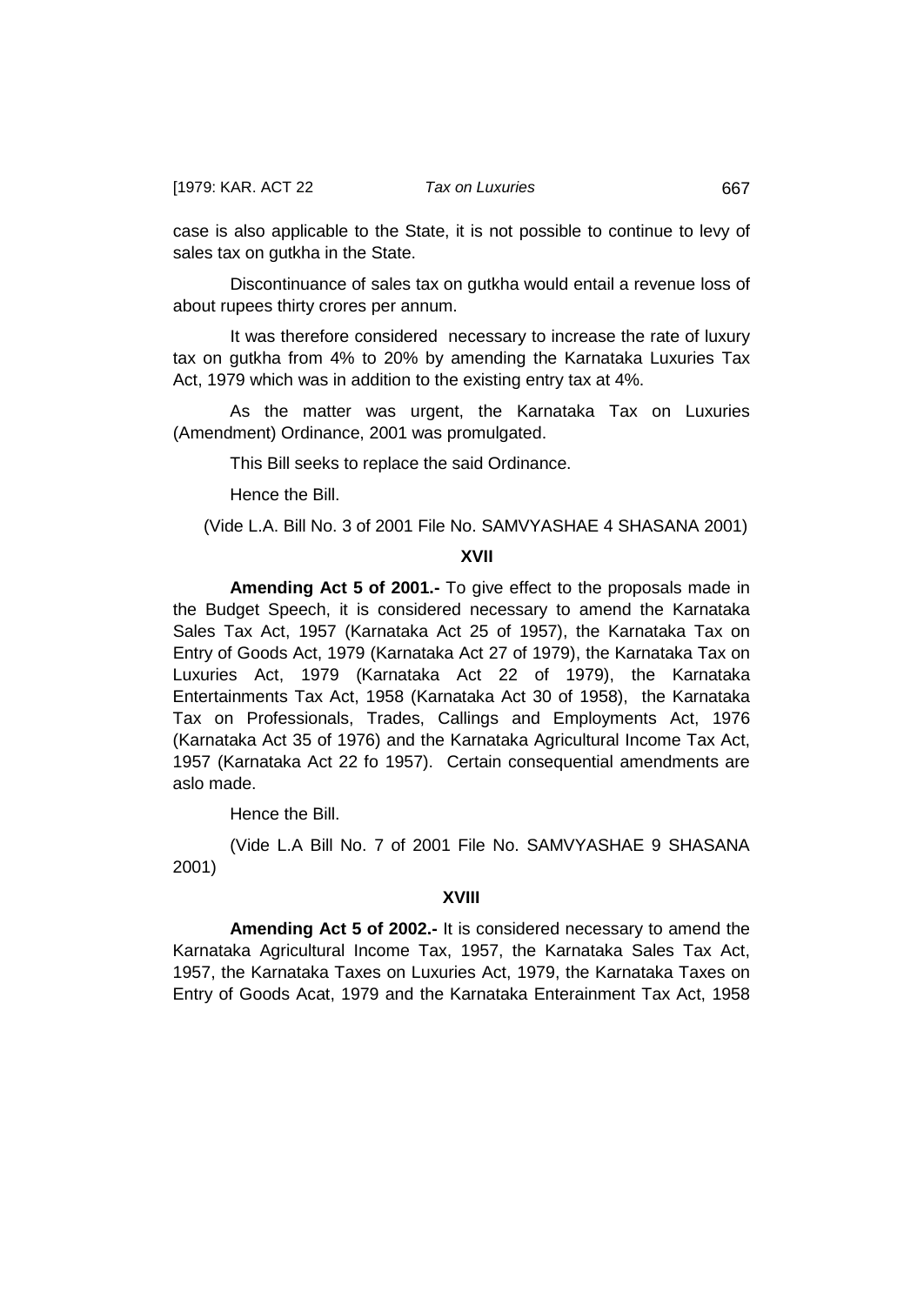case is also applicable to the State, it is not possible to continue to levy of sales tax on gutkha in the State.

Discontinuance of sales tax on gutkha would entail a revenue loss of about rupees thirty crores per annum.

It was therefore considered necessary to increase the rate of luxury tax on gutkha from 4% to 20% by amending the Karnataka Luxuries Tax Act, 1979 which was in addition to the existing entry tax at 4%.

As the matter was urgent, the Karnataka Tax on Luxuries (Amendment) Ordinance, 2001 was promulgated.

This Bill seeks to replace the said Ordinance.

Hence the Bill.

(Vide L.A. Bill No. 3 of 2001 File No. SAMVYASHAE 4 SHASANA 2001)

### **XVII**

**Amending Act 5 of 2001.-** To give effect to the proposals made in the Budget Speech, it is considered necessary to amend the Karnataka Sales Tax Act, 1957 (Karnataka Act 25 of 1957), the Karnataka Tax on Entry of Goods Act, 1979 (Karnataka Act 27 of 1979), the Karnataka Tax on Luxuries Act, 1979 (Karnataka Act 22 of 1979), the Karnataka Entertainments Tax Act, 1958 (Karnataka Act 30 of 1958), the Karnataka Tax on Professionals, Trades, Callings and Employments Act, 1976 (Karnataka Act 35 of 1976) and the Karnataka Agricultural Income Tax Act, 1957 (Karnataka Act 22 fo 1957). Certain consequential amendments are aslo made.

Hence the Bill.

(Vide L.A Bill No. 7 of 2001 File No. SAMVYASHAE 9 SHASANA 2001)

### **XVIII**

**Amending Act 5 of 2002.-** It is considered necessary to amend the Karnataka Agricultural Income Tax, 1957, the Karnataka Sales Tax Act, 1957, the Karnataka Taxes on Luxuries Act, 1979, the Karnataka Taxes on Entry of Goods Acat, 1979 and the Karnataka Enterainment Tax Act, 1958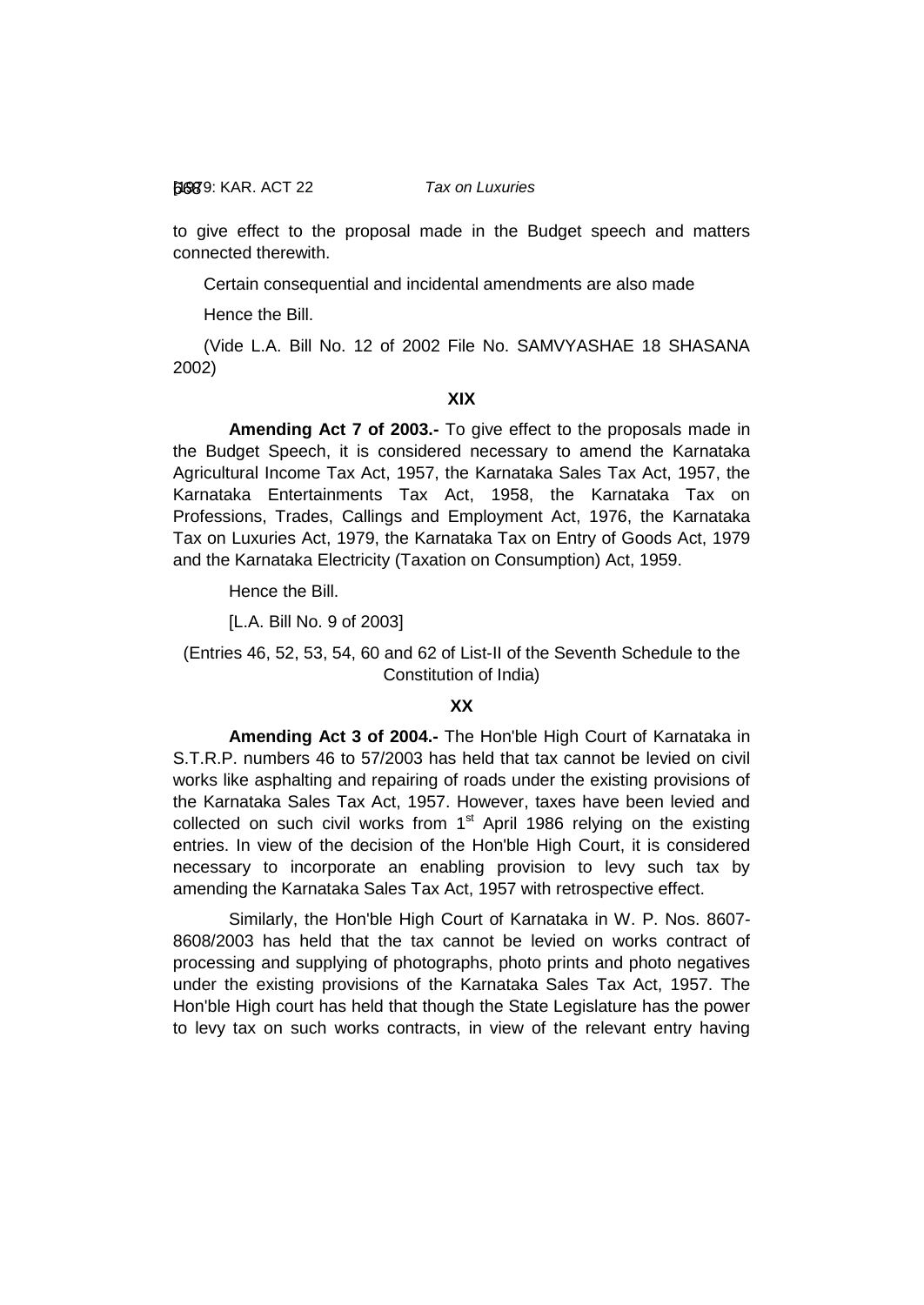to give effect to the proposal made in the Budget speech and matters connected therewith.

Certain consequential and incidental amendments are also made

Hence the Bill.

(Vide L.A. Bill No. 12 of 2002 File No. SAMVYASHAE 18 SHASANA 2002)

# **XIX**

**Amending Act 7 of 2003.-** To give effect to the proposals made in the Budget Speech, it is considered necessary to amend the Karnataka Agricultural Income Tax Act, 1957, the Karnataka Sales Tax Act, 1957, the Karnataka Entertainments Tax Act, 1958, the Karnataka Tax on Professions, Trades, Callings and Employment Act, 1976, the Karnataka Tax on Luxuries Act, 1979, the Karnataka Tax on Entry of Goods Act, 1979 and the Karnataka Electricity (Taxation on Consumption) Act, 1959.

Hence the Bill.

[L.A. Bill No. 9 of 2003]

(Entries 46, 52, 53, 54, 60 and 62 of List-II of the Seventh Schedule to the Constitution of India)

### **XX**

**Amending Act 3 of 2004.-** The Hon'ble High Court of Karnataka in S.T.R.P. numbers 46 to 57/2003 has held that tax cannot be levied on civil works like asphalting and repairing of roads under the existing provisions of the Karnataka Sales Tax Act, 1957. However, taxes have been levied and collected on such civil works from  $1<sup>st</sup>$  April 1986 relying on the existing entries. In view of the decision of the Hon'ble High Court, it is considered necessary to incorporate an enabling provision to levy such tax by amending the Karnataka Sales Tax Act, 1957 with retrospective effect.

Similarly, the Hon'ble High Court of Karnataka in W. P. Nos. 8607- 8608/2003 has held that the tax cannot be levied on works contract of processing and supplying of photographs, photo prints and photo negatives under the existing provisions of the Karnataka Sales Tax Act, 1957. The Hon'ble High court has held that though the State Legislature has the power to levy tax on such works contracts, in view of the relevant entry having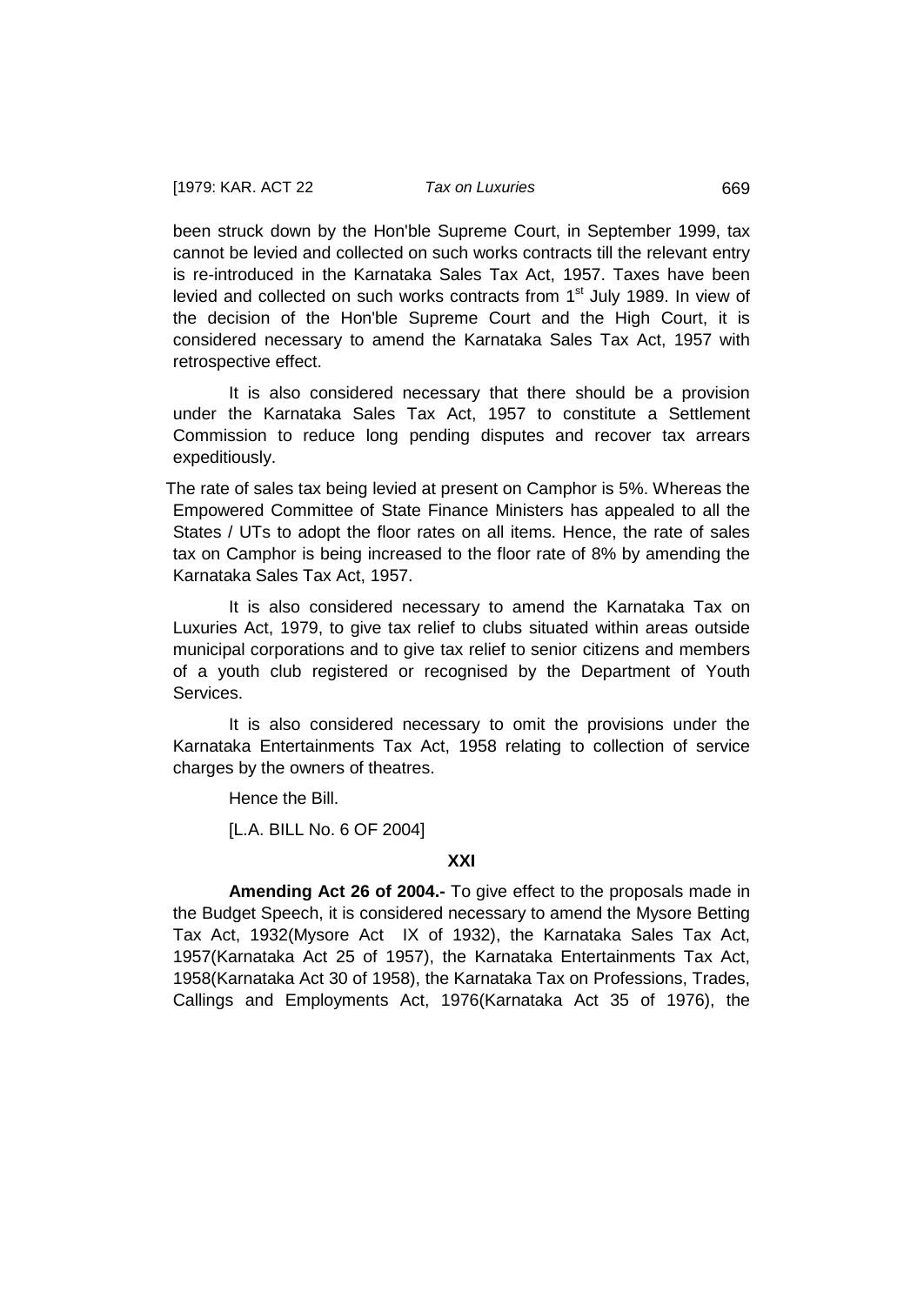been struck down by the Hon'ble Supreme Court, in September 1999, tax cannot be levied and collected on such works contracts till the relevant entry is re-introduced in the Karnataka Sales Tax Act, 1957. Taxes have been levied and collected on such works contracts from 1<sup>st</sup> July 1989. In view of the decision of the Hon'ble Supreme Court and the High Court, it is considered necessary to amend the Karnataka Sales Tax Act, 1957 with retrospective effect.

It is also considered necessary that there should be a provision under the Karnataka Sales Tax Act, 1957 to constitute a Settlement Commission to reduce long pending disputes and recover tax arrears expeditiously.

The rate of sales tax being levied at present on Camphor is 5%. Whereas the Empowered Committee of State Finance Ministers has appealed to all the States / UTs to adopt the floor rates on all items. Hence, the rate of sales tax on Camphor is being increased to the floor rate of 8% by amending the Karnataka Sales Tax Act, 1957.

It is also considered necessary to amend the Karnataka Tax on Luxuries Act, 1979, to give tax relief to clubs situated within areas outside municipal corporations and to give tax relief to senior citizens and members of a youth club registered or recognised by the Department of Youth Services.

It is also considered necessary to omit the provisions under the Karnataka Entertainments Tax Act, 1958 relating to collection of service charges by the owners of theatres.

Hence the Bill.

[L.A. BILL No. 6 OF 2004]

## **XXI**

**Amending Act 26 of 2004.-** To give effect to the proposals made in the Budget Speech, it is considered necessary to amend the Mysore Betting Tax Act, 1932(Mysore Act IX of 1932), the Karnataka Sales Tax Act, 1957(Karnataka Act 25 of 1957), the Karnataka Entertainments Tax Act, 1958(Karnataka Act 30 of 1958), the Karnataka Tax on Professions, Trades, Callings and Employments Act, 1976(Karnataka Act 35 of 1976), the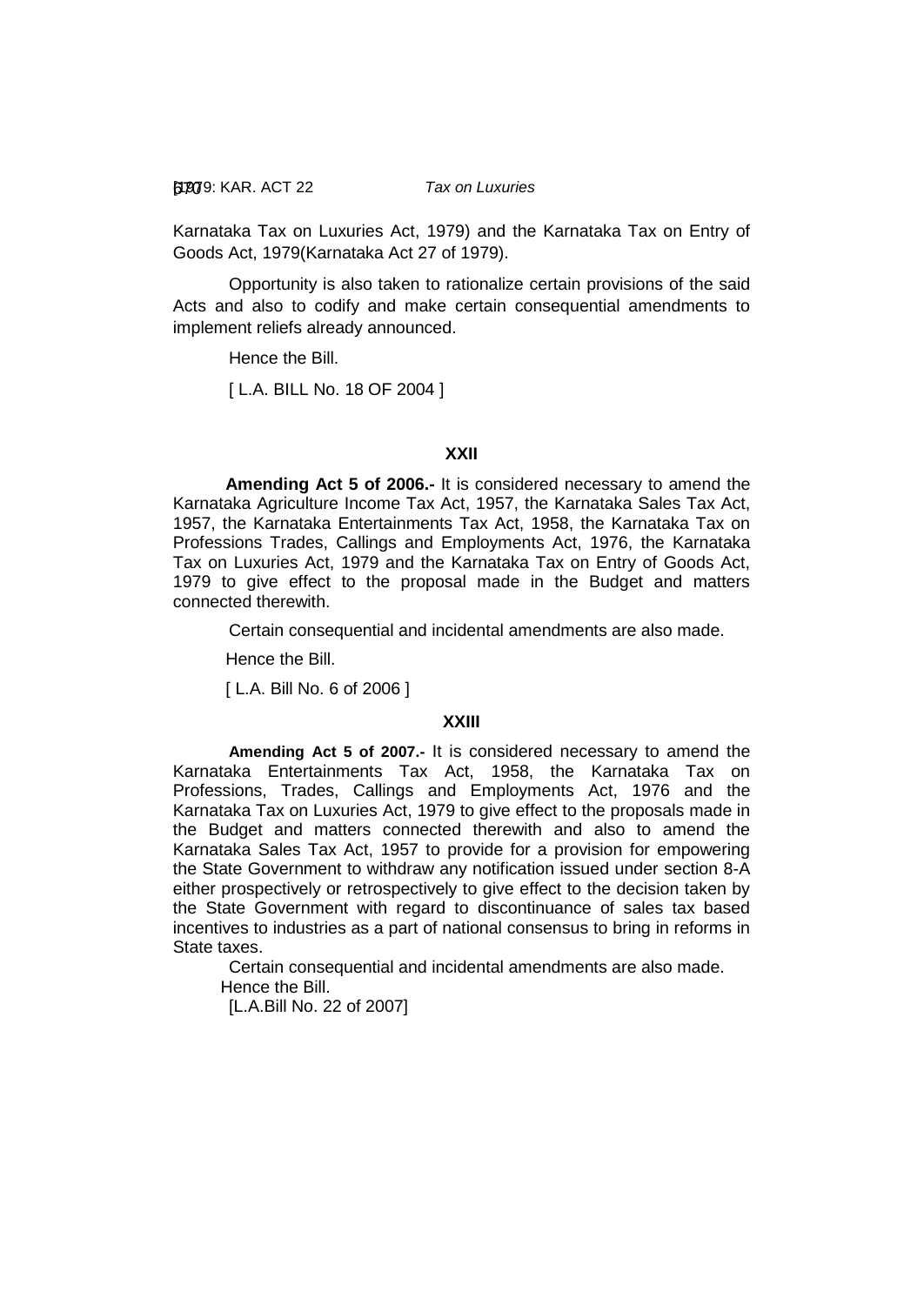[1979: 670 KAR. ACT 22 *Tax on Luxuries*

Karnataka Tax on Luxuries Act, 1979) and the Karnataka Tax on Entry of Goods Act, 1979(Karnataka Act 27 of 1979).

Opportunity is also taken to rationalize certain provisions of the said Acts and also to codify and make certain consequential amendments to implement reliefs already announced.

Hence the Bill.

[ L.A. BILL No. 18 OF 2004 ]

### **XXII**

**Amending Act 5 of 2006.-** It is considered necessary to amend the Karnataka Agriculture Income Tax Act, 1957, the Karnataka Sales Tax Act, 1957, the Karnataka Entertainments Tax Act, 1958, the Karnataka Tax on Professions Trades, Callings and Employments Act, 1976, the Karnataka Tax on Luxuries Act, 1979 and the Karnataka Tax on Entry of Goods Act, 1979 to give effect to the proposal made in the Budget and matters connected therewith.

Certain consequential and incidental amendments are also made.

Hence the Bill.

[ L.A. Bill No. 6 of 2006 ]

### **XXIII**

**Amending Act 5 of 2007.-** It is considered necessary to amend the Karnataka Entertainments Tax Act, 1958, the Karnataka Tax on Professions, Trades, Callings and Employments Act, 1976 and the Karnataka Tax on Luxuries Act, 1979 to give effect to the proposals made in the Budget and matters connected therewith and also to amend the Karnataka Sales Tax Act, 1957 to provide for a provision for empowering the State Government to withdraw any notification issued under section 8-A either prospectively or retrospectively to give effect to the decision taken by the State Government with regard to discontinuance of sales tax based incentives to industries as a part of national consensus to bring in reforms in State taxes.

Certain consequential and incidental amendments are also made. Hence the Bill.

[L.A.Bill No. 22 of 2007]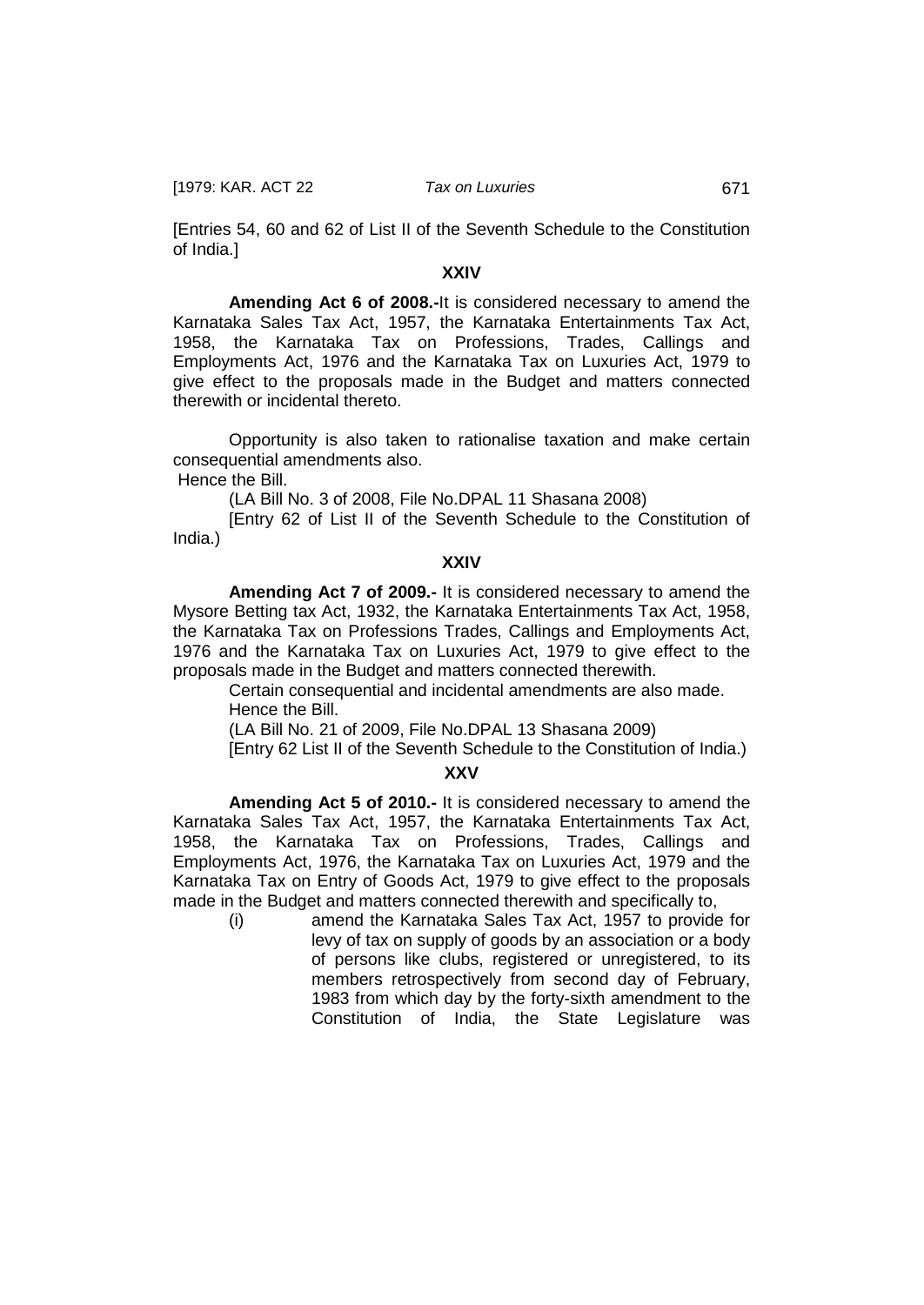[1979: KAR. ACT 22 *Tax on Luxuries* 671

[Entries 54, 60 and 62 of List II of the Seventh Schedule to the Constitution of India.]

## **XXIV**

**Amending Act 6 of 2008.-**It is considered necessary to amend the Karnataka Sales Tax Act, 1957, the Karnataka Entertainments Tax Act, 1958, the Karnataka Tax on Professions, Trades, Callings and Employments Act, 1976 and the Karnataka Tax on Luxuries Act, 1979 to give effect to the proposals made in the Budget and matters connected therewith or incidental thereto.

Opportunity is also taken to rationalise taxation and make certain consequential amendments also.

Hence the Bill.

(LA Bill No. 3 of 2008, File No.DPAL 11 Shasana 2008)

[Entry 62 of List II of the Seventh Schedule to the Constitution of India.)

#### **XXIV**

**Amending Act 7 of 2009.-** It is considered necessary to amend the Mysore Betting tax Act, 1932, the Karnataka Entertainments Tax Act, 1958, the Karnataka Tax on Professions Trades, Callings and Employments Act, 1976 and the Karnataka Tax on Luxuries Act, 1979 to give effect to the proposals made in the Budget and matters connected therewith.

Certain consequential and incidental amendments are also made. Hence the Bill.

(LA Bill No. 21 of 2009, File No.DPAL 13 Shasana 2009)

[Entry 62 List II of the Seventh Schedule to the Constitution of India.)

### **XXV**

**Amending Act 5 of 2010.-** It is considered necessary to amend the Karnataka Sales Tax Act, 1957, the Karnataka Entertainments Tax Act, 1958, the Karnataka Tax on Professions, Trades, Callings and Employments Act, 1976, the Karnataka Tax on Luxuries Act, 1979 and the Karnataka Tax on Entry of Goods Act, 1979 to give effect to the proposals made in the Budget and matters connected therewith and specifically to,

(i) amend the Karnataka Sales Tax Act, 1957 to provide for levy of tax on supply of goods by an association or a body of persons like clubs, registered or unregistered, to its members retrospectively from second day of February, 1983 from which day by the forty-sixth amendment to the Constitution of India, the State Legislature was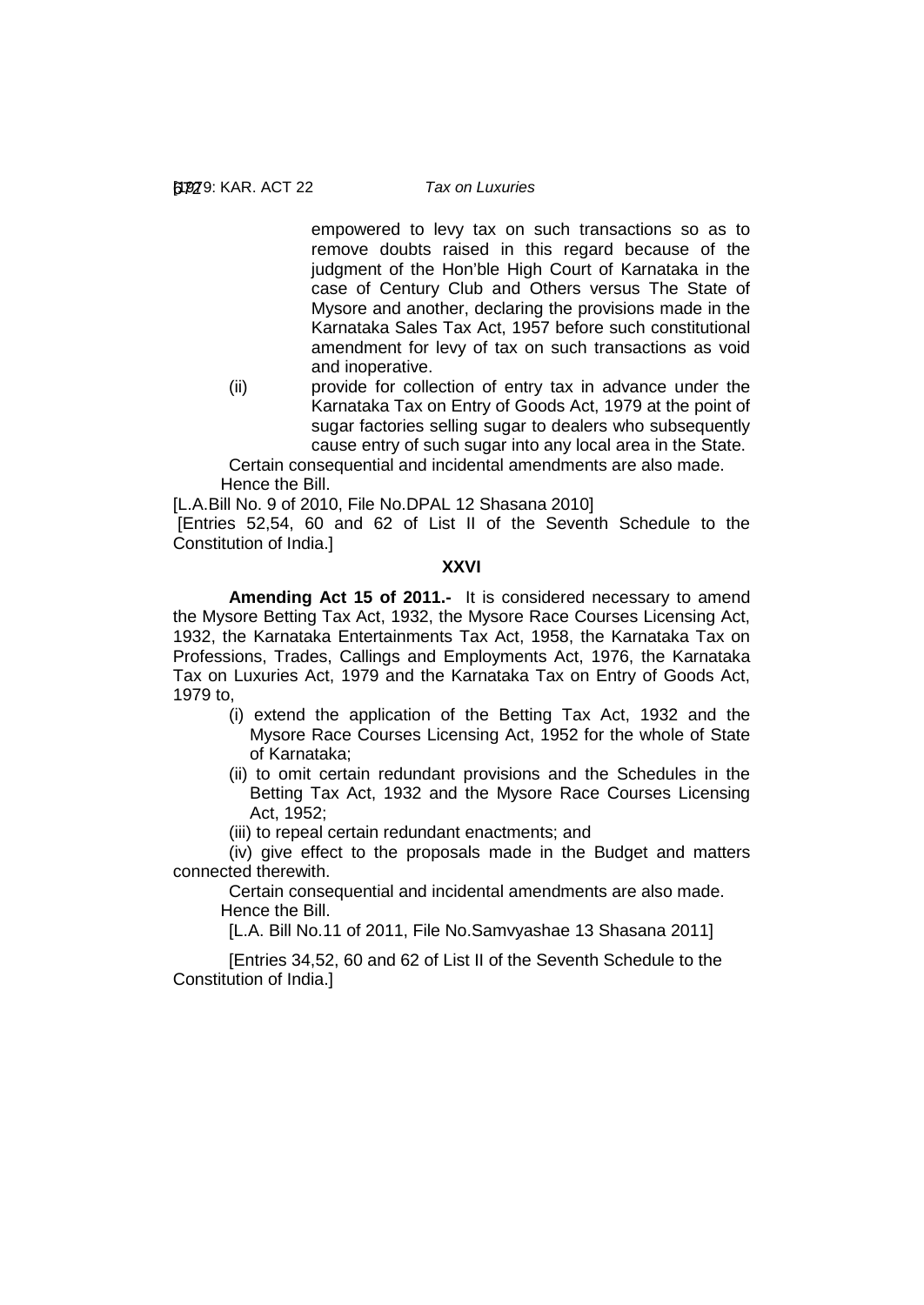empowered to levy tax on such transactions so as to remove doubts raised in this regard because of the judgment of the Hon'ble High Court of Karnataka in the case of Century Club and Others versus The State of Mysore and another, declaring the provisions made in the Karnataka Sales Tax Act, 1957 before such constitutional amendment for levy of tax on such transactions as void and inoperative.

(ii) provide for collection of entry tax in advance under the Karnataka Tax on Entry of Goods Act, 1979 at the point of sugar factories selling sugar to dealers who subsequently cause entry of such sugar into any local area in the State.

Certain consequential and incidental amendments are also made. Hence the Bill.

[L.A.Bill No. 9 of 2010, File No.DPAL 12 Shasana 2010]

[Entries 52,54, 60 and 62 of List II of the Seventh Schedule to the Constitution of India.]

#### **XXVI**

**Amending Act 15 of 2011.-** It is considered necessary to amend the Mysore Betting Tax Act, 1932, the Mysore Race Courses Licensing Act, 1932, the Karnataka Entertainments Tax Act, 1958, the Karnataka Tax on Professions, Trades, Callings and Employments Act, 1976, the Karnataka Tax on Luxuries Act, 1979 and the Karnataka Tax on Entry of Goods Act, 1979 to,

- (i) extend the application of the Betting Tax Act, 1932 and the Mysore Race Courses Licensing Act, 1952 for the whole of State of Karnataka;
- (ii) to omit certain redundant provisions and the Schedules in the Betting Tax Act, 1932 and the Mysore Race Courses Licensing Act, 1952;
- (iii) to repeal certain redundant enactments; and

(iv) give effect to the proposals made in the Budget and matters connected therewith.

Certain consequential and incidental amendments are also made. Hence the Bill.

[L.A. Bill No.11 of 2011, File No.Samvyashae 13 Shasana 2011]

[Entries 34,52, 60 and 62 of List II of the Seventh Schedule to the Constitution of India.]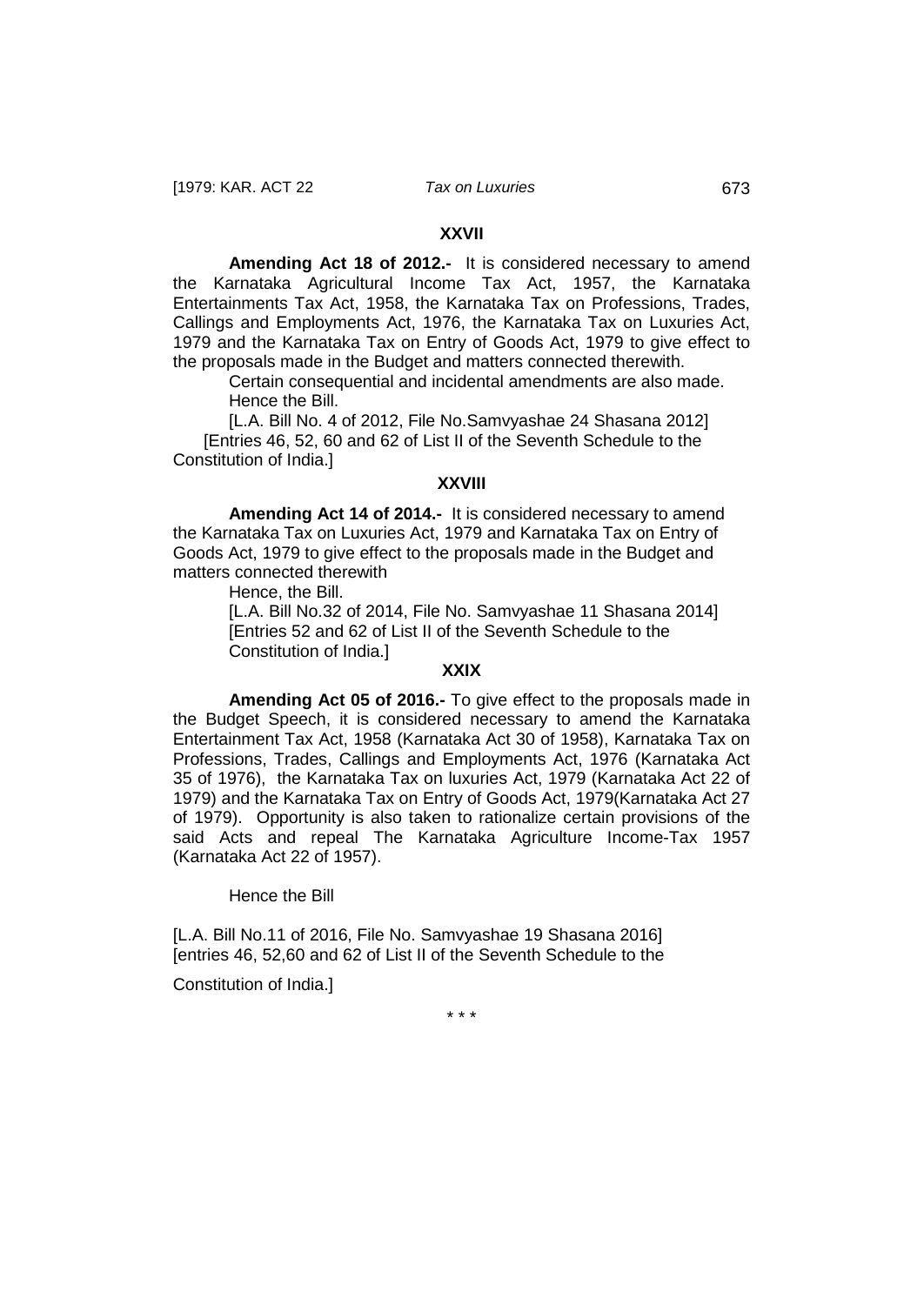#### **XXVII**

**Amending Act 18 of 2012.-** It is considered necessary to amend the Karnataka Agricultural Income Tax Act, 1957, the Karnataka Entertainments Tax Act, 1958, the Karnataka Tax on Professions, Trades, Callings and Employments Act, 1976, the Karnataka Tax on Luxuries Act, 1979 and the Karnataka Tax on Entry of Goods Act, 1979 to give effect to the proposals made in the Budget and matters connected therewith.

Certain consequential and incidental amendments are also made. Hence the Bill.

[L.A. Bill No. 4 of 2012, File No.Samvyashae 24 Shasana 2012] [Entries 46, 52, 60 and 62 of List II of the Seventh Schedule to the Constitution of India.]

#### **XXVIII**

**Amending Act 14 of 2014.-** It is considered necessary to amend the Karnataka Tax on Luxuries Act, 1979 and Karnataka Tax on Entry of Goods Act, 1979 to give effect to the proposals made in the Budget and matters connected therewith

Hence, the Bill.

[L.A. Bill No.32 of 2014, File No. Samvyashae 11 Shasana 2014] [Entries 52 and 62 of List II of the Seventh Schedule to the Constitution of India.]

### **XXIX**

**Amending Act 05 of 2016.-** To give effect to the proposals made in the Budget Speech, it is considered necessary to amend the Karnataka Entertainment Tax Act, 1958 (Karnataka Act 30 of 1958), Karnataka Tax on Professions, Trades, Callings and Employments Act, 1976 (Karnataka Act 35 of 1976), the Karnataka Tax on luxuries Act, 1979 (Karnataka Act 22 of 1979) and the Karnataka Tax on Entry of Goods Act, 1979(Karnataka Act 27 of 1979). Opportunity is also taken to rationalize certain provisions of the said Acts and repeal The Karnataka Agriculture Income-Tax 1957 (Karnataka Act 22 of 1957).

Hence the Bill

[L.A. Bill No.11 of 2016, File No. Samvyashae 19 Shasana 2016] [entries 46, 52,60 and 62 of List II of the Seventh Schedule to the

Constitution of India.]

\* \* \*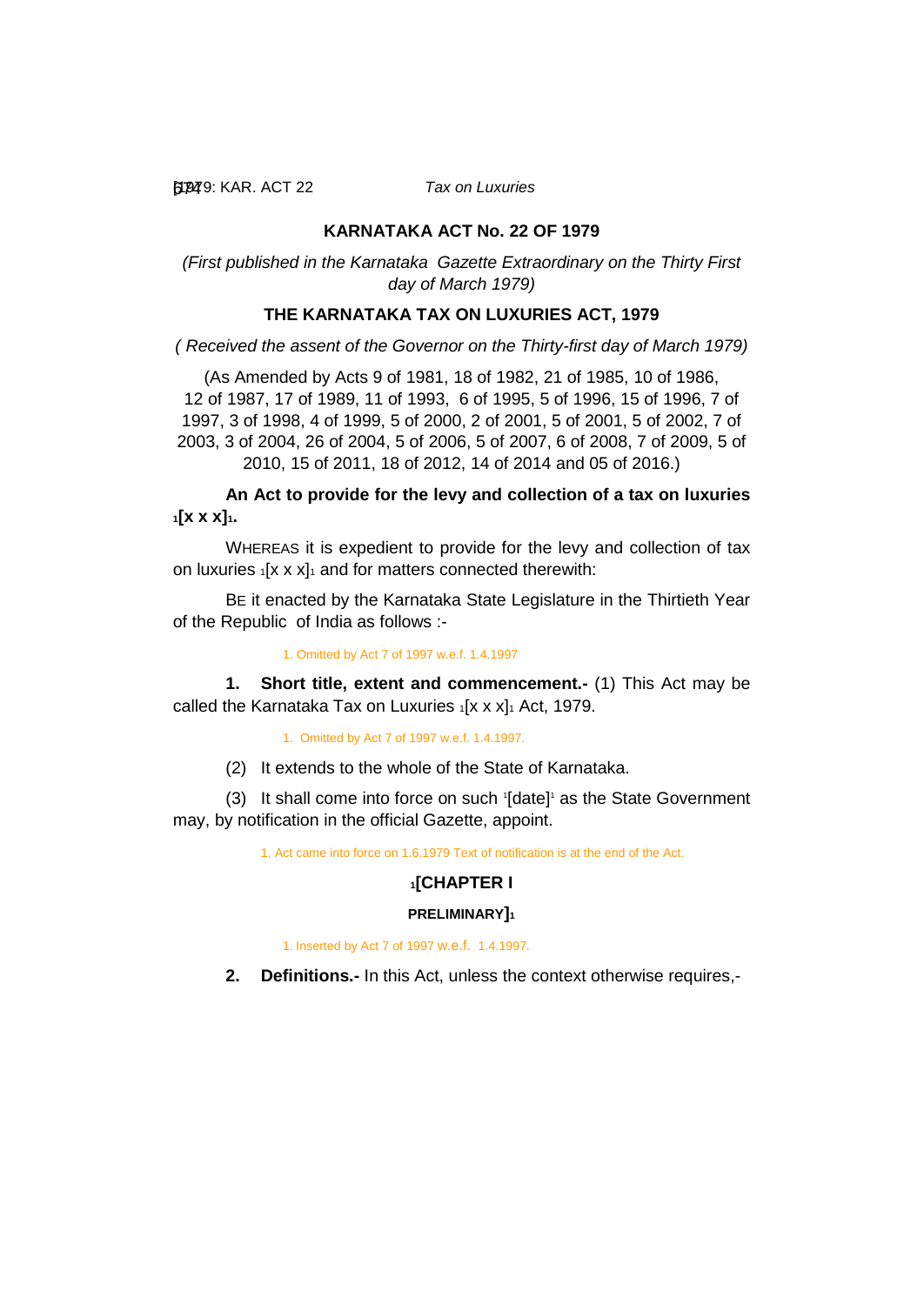[1979: 674 KAR. ACT 22 *Tax on Luxuries*

# **KARNATAKA ACT No. 22 OF 1979**

*(First published in the Karnataka Gazette Extraordinary on the Thirty First day of March 1979)*

# **THE KARNATAKA TAX ON LUXURIES ACT, 1979**

*( Received the assent of the Governor on the Thirty-first day of March 1979)*

(As Amended by Acts 9 of 1981, 18 of 1982, 21 of 1985, 10 of 1986, 12 of 1987, 17 of 1989, 11 of 1993, 6 of 1995, 5 of 1996, 15 of 1996, 7 of 1997, 3 of 1998, 4 of 1999, 5 of 2000, 2 of 2001, 5 of 2001, 5 of 2002, 7 of 2003, 3 of 2004, 26 of 2004, 5 of 2006, 5 of 2007, 6 of 2008, 7 of 2009, 5 of 2010, 15 of 2011, 18 of 2012, 14 of 2014 and 05 of 2016.)

**An Act to provide for the levy and collection of a tax on luxuries 1[x x x]1.**

WHEREAS it is expedient to provide for the levy and collection of tax on luxuries  $1[x \times x]_1$  and for matters connected therewith:

BE it enacted by the Karnataka State Legislature in the Thirtieth Year of the Republic of India as follows :-

<span id="page-16-0"></span>1. Omitted by Act 7 of 1997 w.e.f. 1.4.1997

**1. Short title, extent and commencement.-** (1) This Act may be called the Karnataka Tax on Luxuries  $1[x \times x]_1$  Act, 1979.

1. Omitted by Act 7 of 1997 w.e.f. 1.4.1997.

(2) It extends to the whole of the State of Karnataka.

(3) It shall come into force on such 1 [date]1 as the State Government may, by notification in the official Gazette, appoint.

1. Act came into force on 1.6.1979 Text of notification is at the end of the Act.

## **1[CHAPTER I**

## **PRELIMINARY]1**

1. Inserted by Act 7 of 1997 w.e.f. 1.4.1997.

<span id="page-16-1"></span>**2. Definitions.-** In this Act, unless the context otherwise requires,-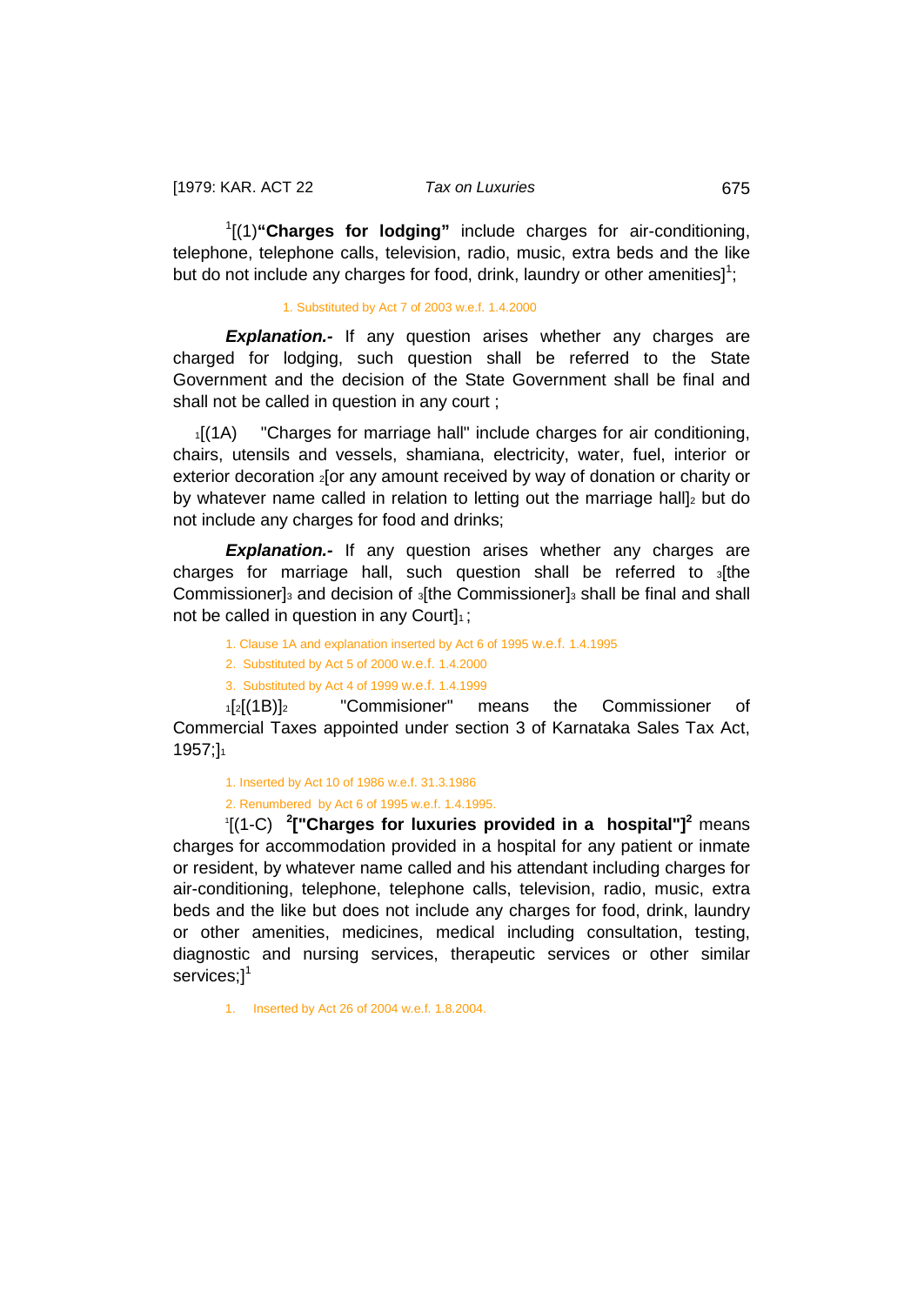1 [(1)**"Charges for lodging"** include charges for air-conditioning, telephone, telephone calls, television, radio, music, extra beds and the like but do not include any charges for food, drink, laundry or other amenities]<sup>1</sup>;

### 1. Substituted by Act 7 of 2003 w.e.f. 1.4.2000

**Explanation.-** If any question arises whether any charges are charged for lodging, such question shall be referred to the State Government and the decision of the State Government shall be final and shall not be called in question in any court ;

1[(1A) "Charges for marriage hall" include charges for air conditioning, chairs, utensils and vessels, shamiana, electricity, water, fuel, interior or exterior decoration 2 or any amount received by way of donation or charity or by whatever name called in relation to letting out the marriage hall]<sup>2</sup> but do not include any charges for food and drinks;

**Explanation.-** If any question arises whether any charges are charges for marriage hall, such question shall be referred to 3[the Commissioner]<sub>3</sub> and decision of <sub>3</sub>[the Commissioner]<sub>3</sub> shall be final and shall not be called in question in any Court $\vert_1$ ;

1. Clause 1A and explanation inserted by Act 6 of 1995 w.e.f. 1.4.1995

2. Substituted by Act 5 of 2000 w.e.f. 1.4.2000

3. Substituted by Act 4 of 1999 w.e.f. 1.4.1999

1[2[(1B)]2 "Commisioner" means the Commissioner of Commercial Taxes appointed under section 3 of Karnataka Sales Tax Act, 1957;]1

1. Inserted by Act 10 of 1986 w.e.f. 31.3.1986

2. Renumbered by Act 6 of 1995 w.e.f. 1.4.1995.

 <sup>1</sup> [(1-C) **<sup>2</sup> ["Charges for luxuries provided in a hospital"]<sup>2</sup>** means charges for accommodation provided in a hospital for any patient or inmate or resident, by whatever name called and his attendant including charges for air-conditioning, telephone, telephone calls, television, radio, music, extra beds and the like but does not include any charges for food, drink, laundry or other amenities, medicines, medical including consultation, testing, diagnostic and nursing services, therapeutic services or other similar services;<sup>1</sup>

1. Inserted by Act 26 of 2004 w.e.f. 1.8.2004.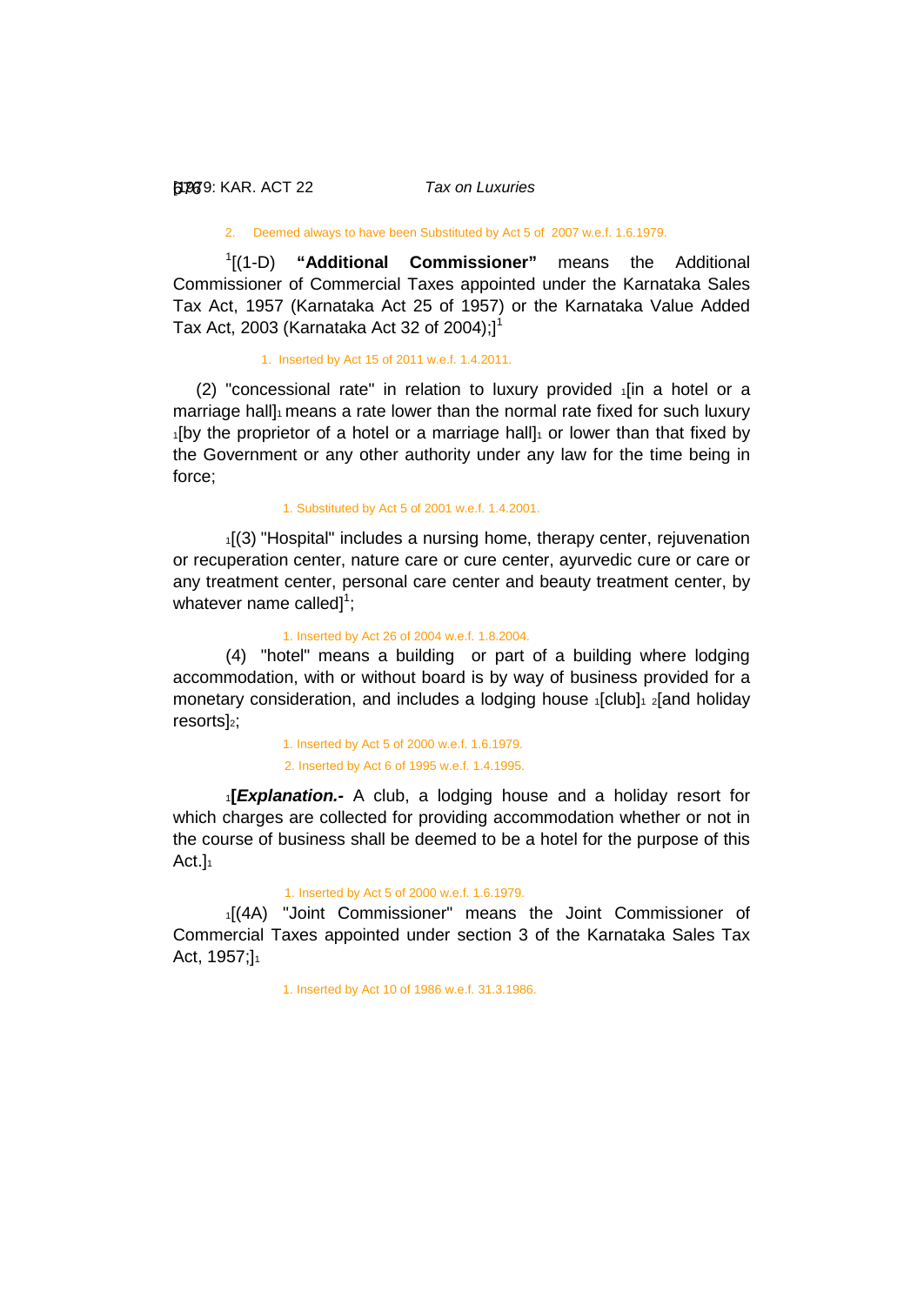#### [1979: 676 KAR. ACT 22 *Tax on Luxuries*

#### 2. Deemed always to have been Substituted by Act 5 of 2007 w.e.f. 1.6.1979.

1 [(1-D) **"Additional Commissioner"** means the Additional Commissioner of Commercial Taxes appointed under the Karnataka Sales Tax Act, 1957 (Karnataka Act 25 of 1957) or the Karnataka Value Added Tax Act, 2003 (Karnataka Act 32 of 2004); $]$ <sup>1</sup>

#### 1. Inserted by Act 15 of 2011 w.e.f. 1.4.2011.

(2) "concessional rate" in relation to luxury provided  $\frac{1}{1}$  a hotel or a marriage hall]<sup>1</sup> means a rate lower than the normal rate fixed for such luxury  $1$ [by the proprietor of a hotel or a marriage hall] $1$  or lower than that fixed by the Government or any other authority under any law for the time being in force;

1. Substituted by Act 5 of 2001 w.e.f. 1.4.2001.

1[(3) "Hospital" includes a nursing home, therapy center, rejuvenation or recuperation center, nature care or cure center, ayurvedic cure or care or any treatment center, personal care center and beauty treatment center, by whatever name called] $^1$ ;

#### 1. Inserted by Act 26 of 2004 w.e.f. 1.8.2004.

(4) "hotel" means a building or part of a building where lodging accommodation, with or without board is by way of business provided for a monetary consideration, and includes a lodging house  $_1$ [club] $_1$  2[and holiday resorts]<sub>2</sub>;

> 1. Inserted by Act 5 of 2000 w.e.f. 1.6.1979. 2. Inserted by Act 6 of 1995 w.e.f. 1.4.1995.

<sup>1</sup>**[***Explanation.-* A club, a lodging house and a holiday resort for which charges are collected for providing accommodation whether or not in the course of business shall be deemed to be a hotel for the purpose of this  $Act.1<sub>1</sub>$ 

#### 1. Inserted by Act 5 of 2000 w.e.f. 1.6.1979.

1[(4A) "Joint Commissioner" means the Joint Commissioner of Commercial Taxes appointed under section 3 of the Karnataka Sales Tax Act, 1957;]<sub>1</sub>

1. Inserted by Act 10 of 1986 w.e.f. 31.3.1986.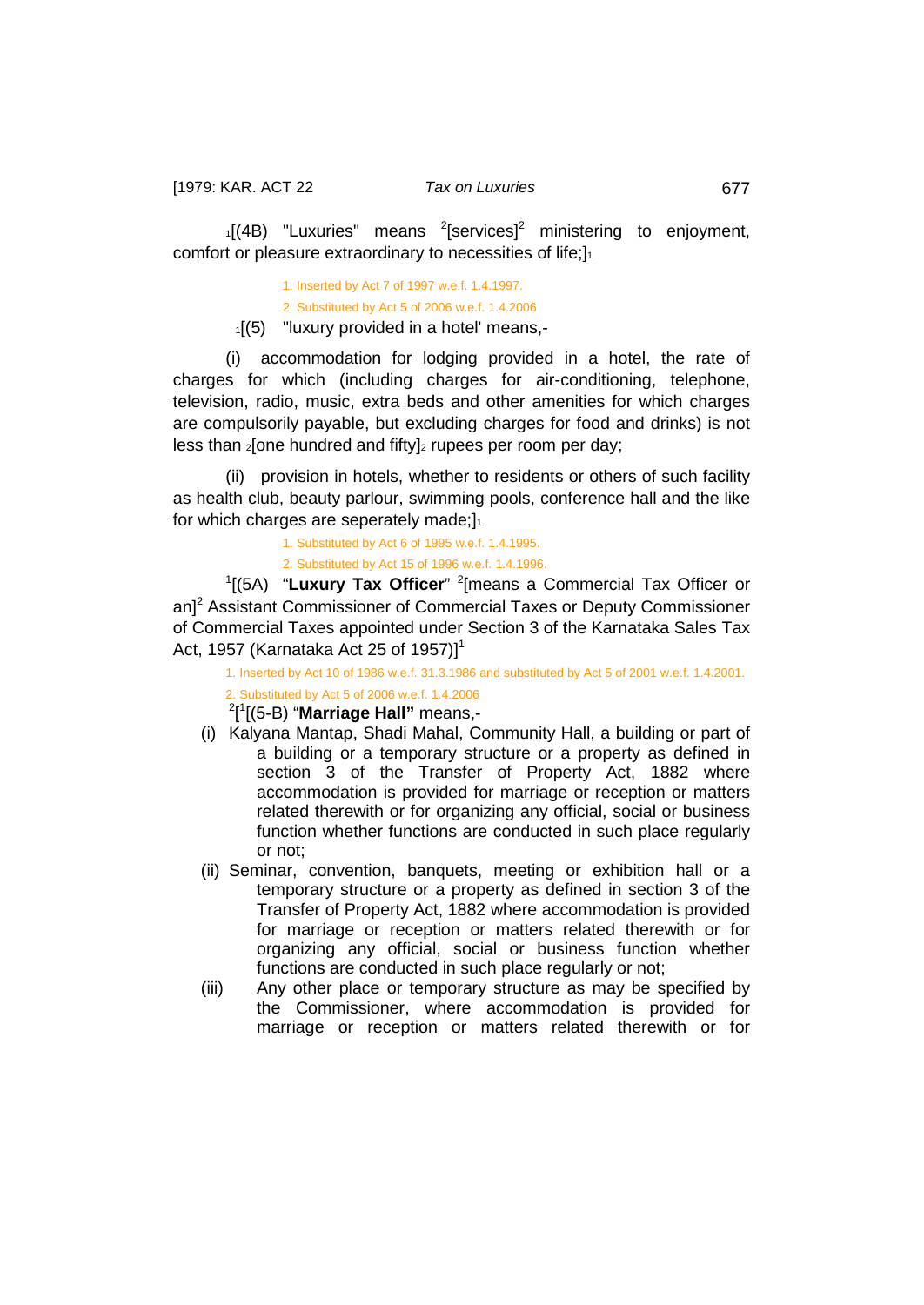$1[(4B)$  "Luxuries" means <sup>2</sup>[services]<sup>2</sup> ministering to enjoyment, comfort or pleasure extraordinary to necessities of life;]<sup>1</sup>

> 1. Inserted by Act 7 of 1997 w.e.f. 1.4.1997. 2. Substituted by Act 5 of 2006 w.e.f. 1.4.2006  $1(5)$  "luxury provided in a hotel' means,-

(i) accommodation for lodging provided in a hotel, the rate of charges for which (including charges for air-conditioning, telephone, television, radio, music, extra beds and other amenities for which charges are compulsorily payable, but excluding charges for food and drinks) is not less than  $2$ [one hundred and fifty] $2$  rupees per room per day;

(ii) provision in hotels, whether to residents or others of such facility as health club, beauty parlour, swimming pools, conference hall and the like for which charges are seperately made; $]_1$ 

1. Substituted by Act 6 of 1995 w.e.f. 1.4.1995.

2. Substituted by Act 15 of 1996 w.e.f. 1.4.1996.

<sup>1</sup>[(5A) "Luxury Tax Officer" <sup>2</sup>[means a Commercial Tax Officer or an<sup>2</sup> Assistant Commissioner of Commercial Taxes or Deputy Commissioner of Commercial Taxes appointed under Section 3 of the Karnataka Sales Tax Act, 1957 (Karnataka Act 25 of 1957)]<sup>1</sup>

1. Inserted by Act 10 of 1986 w.e.f. 31.3.1986 and substituted by Act 5 of 2001 w.e.f. 1.4.2001. 2. Substituted by Act 5 of 2006 w.e.f. 1.4.2006

2 [ 1 [(5-B) "**Marriage Hall"** means,-

- (i) Kalyana Mantap, Shadi Mahal, Community Hall, a building or part of a building or a temporary structure or a property as defined in section 3 of the Transfer of Property Act, 1882 where accommodation is provided for marriage or reception or matters related therewith or for organizing any official, social or business function whether functions are conducted in such place regularly or not;
- (ii) Seminar, convention, banquets, meeting or exhibition hall or a temporary structure or a property as defined in section 3 of the Transfer of Property Act, 1882 where accommodation is provided for marriage or reception or matters related therewith or for organizing any official, social or business function whether functions are conducted in such place regularly or not;
- (iii) Any other place or temporary structure as may be specified by the Commissioner, where accommodation is provided for marriage or reception or matters related therewith or for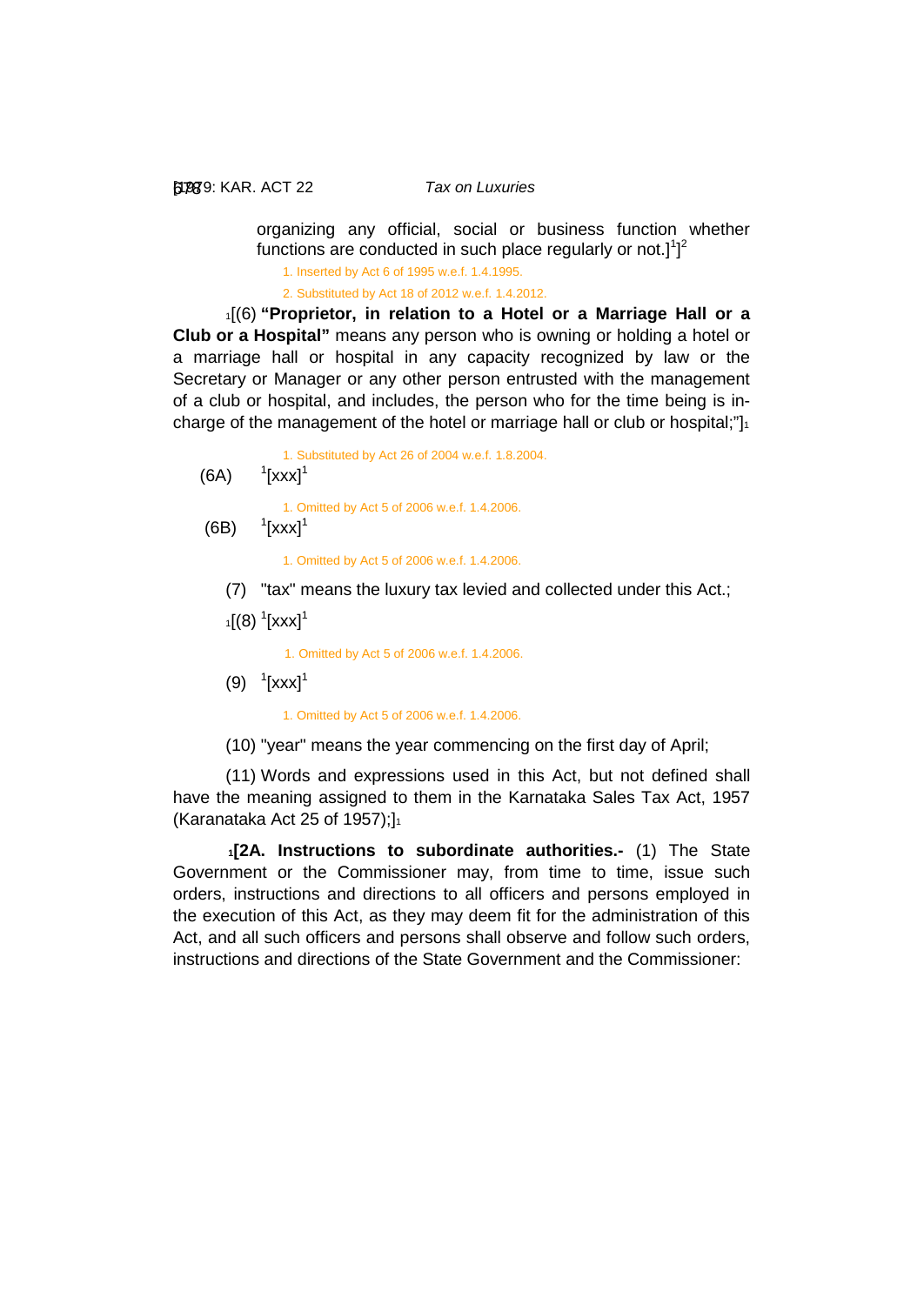[1979: 678 KAR. ACT 22 *Tax on Luxuries*

organizing any official, social or business function whether functions are conducted in such place regularly or not.] $1]^2$ 

1. Inserted by Act 6 of 1995 w.e.f. 1.4.1995.

2. Substituted by Act 18 of 2012 w.e.f. 1.4.2012.

1[(6) **"Proprietor, in relation to a Hotel or a Marriage Hall or a Club or a Hospital"** means any person who is owning or holding a hotel or a marriage hall or hospital in any capacity recognized by law or the Secretary or Manager or any other person entrusted with the management of a club or hospital, and includes, the person who for the time being is incharge of the management of the hotel or marriage hall or club or hospital;" $\vert_1$ 

1. Substituted by Act 26 of 2004 w.e.f. 1.8.2004.

 $(6A)$  $1$ [xxx] $1$ 

1. Omitted by Act 5 of 2006 w.e.f. 1.4.2006.

 $(6B)$  $\frac{1}{2}$ [xxx]<sup>1</sup>

1. Omitted by Act 5 of 2006 w.e.f. 1.4.2006.

- (7) "tax" means the luxury tax levied and collected under this Act.;
- $_{1}[\left( 8\right) \, ^{1}[\text{XXX}]^{1}$

1. Omitted by Act 5 of 2006 w.e.f. 1.4.2006.

 $(9)$ <sup>1</sup>[xxx]<sup>1</sup>

1. Omitted by Act 5 of 2006 w.e.f. 1.4.2006.

(10) "year" means the year commencing on the first day of April;

(11) Words and expressions used in this Act, but not defined shall have the meaning assigned to them in the Karnataka Sales Tax Act, 1957 (Karanataka Act 25 of 1957); $]_1$ 

<span id="page-20-0"></span>**1[2A. Instructions to subordinate authorities.-** (1) The State Government or the Commissioner may, from time to time, issue such orders, instructions and directions to all officers and persons employed in the execution of this Act, as they may deem fit for the administration of this Act, and all such officers and persons shall observe and follow such orders, instructions and directions of the State Government and the Commissioner: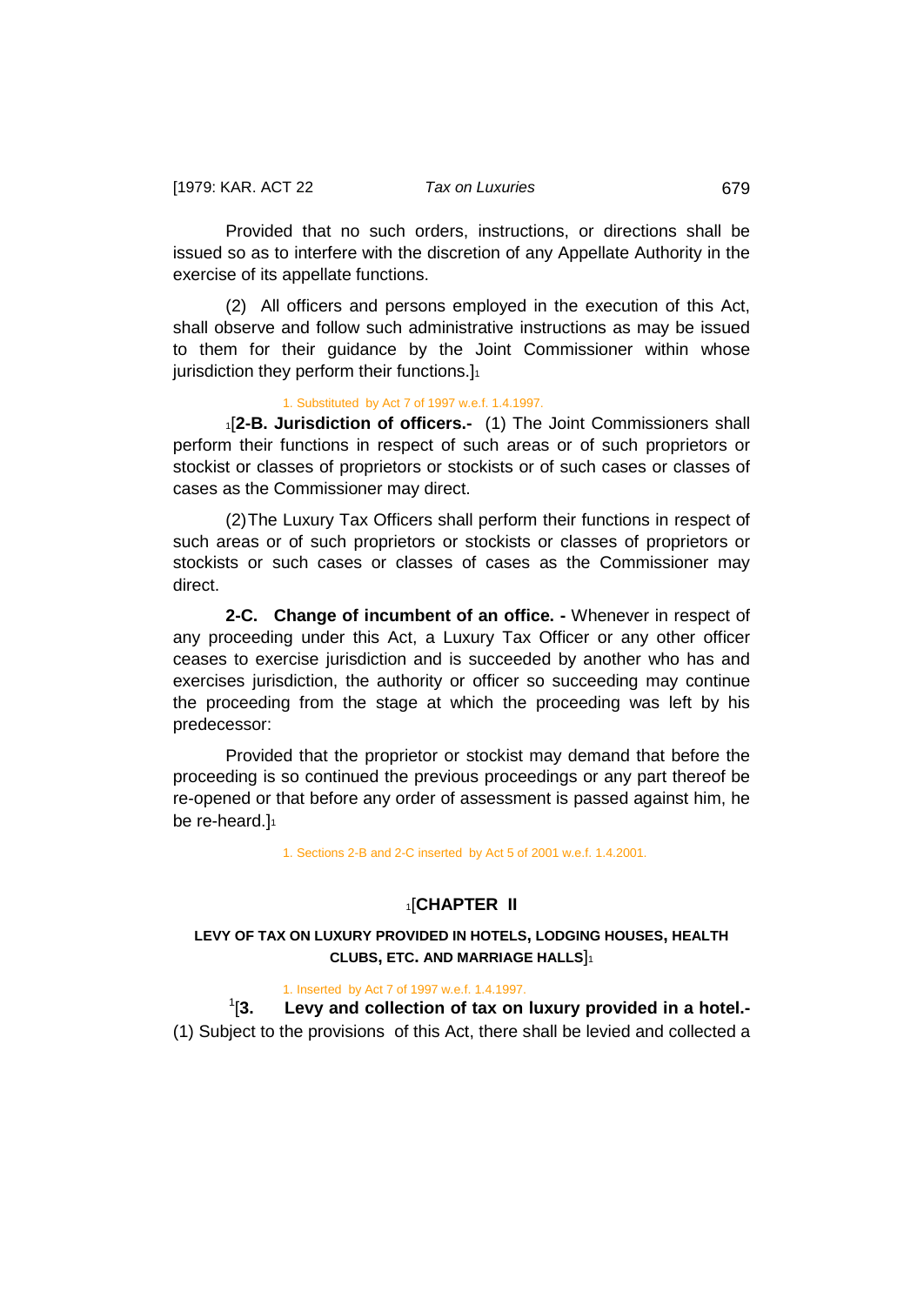Provided that no such orders, instructions, or directions shall be issued so as to interfere with the discretion of any Appellate Authority in the exercise of its appellate functions.

(2) All officers and persons employed in the execution of this Act, shall observe and follow such administrative instructions as may be issued to them for their guidance by the Joint Commissioner within whose jurisdiction they perform their functions.]<sup>1</sup>

#### <span id="page-21-0"></span>1. Substituted by Act 7 of 1997 w.e.f. 1.4.1997.

1[**2-B. Jurisdiction of officers.-** (1) The Joint Commissioners shall perform their functions in respect of such areas or of such proprietors or stockist or classes of proprietors or stockists or of such cases or classes of cases as the Commissioner may direct.

(2)The Luxury Tax Officers shall perform their functions in respect of such areas or of such proprietors or stockists or classes of proprietors or stockists or such cases or classes of cases as the Commissioner may direct.

<span id="page-21-1"></span>**2-C. Change of incumbent of an office. -** Whenever in respect of any proceeding under this Act, a Luxury Tax Officer or any other officer ceases to exercise jurisdiction and is succeeded by another who has and exercises jurisdiction, the authority or officer so succeeding may continue the proceeding from the stage at which the proceeding was left by his predecessor:

Provided that the proprietor or stockist may demand that before the proceeding is so continued the previous proceedings or any part thereof be re-opened or that before any order of assessment is passed against him, he be re-heard.]

1. Sections 2-B and 2-C inserted by Act 5 of 2001 w.e.f. 1.4.2001.

#### 1[**CHAPTER II**

# **LEVY OF TAX ON LUXURY PROVIDED IN HOTELS, LODGING HOUSES, HEALTH CLUBS, ETC. AND MARRIAGE HALLS**]1

1. Inserted by Act 7 of 1997 w.e.f. 1.4.1997.

 $1/3$ . Levy and collection of tax on luxury provided in a hotel.-(1) Subject to the provisions of this Act, there shall be levied and collected a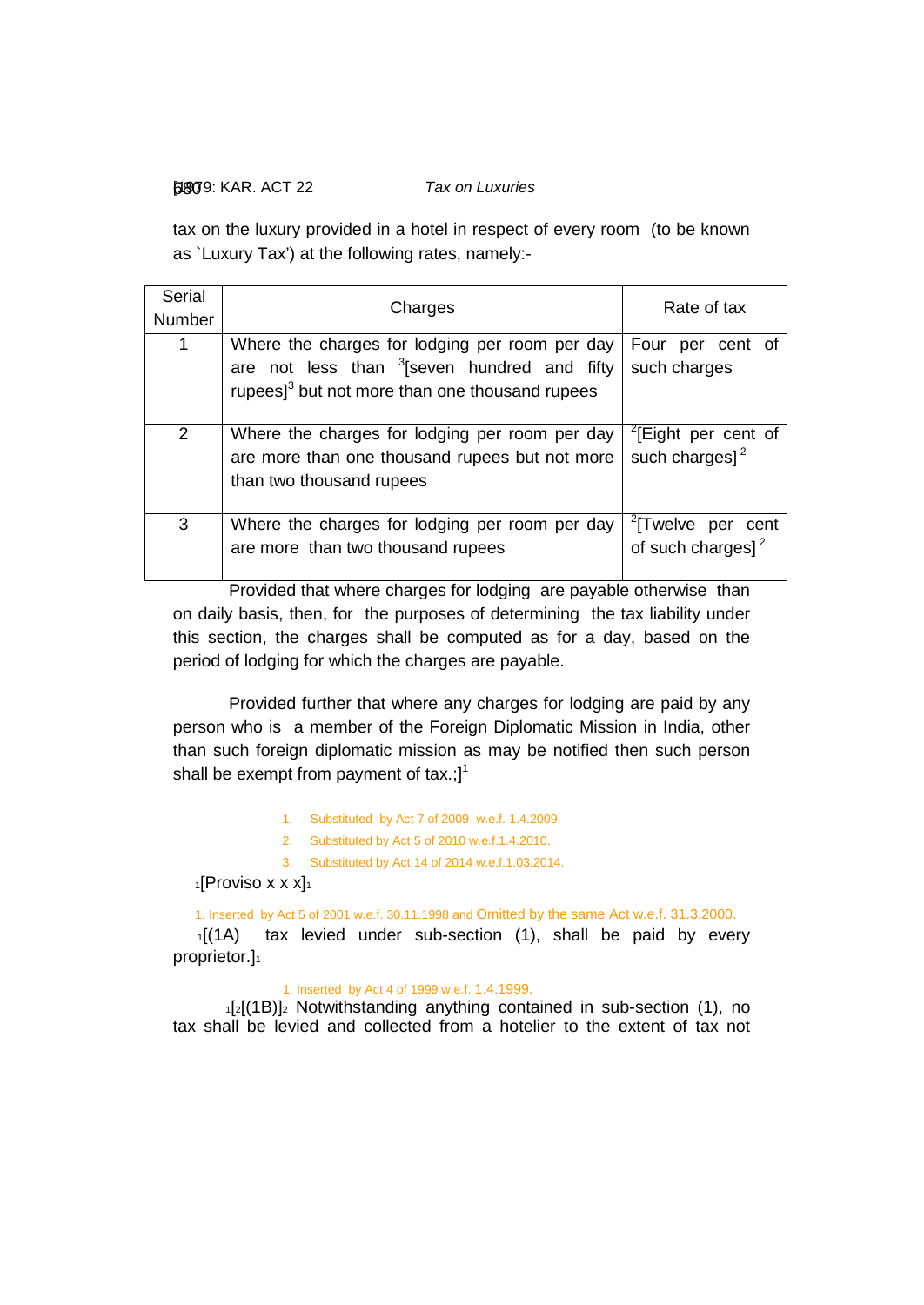### [1979: 680 KAR. ACT 22 *Tax on Luxuries*

tax on the luxury provided in a hotel in respect of every room (to be known as `Luxury Tax') at the following rates, namely:-

| Serial<br>Number | Charges                                                                                                                                                                    | Rate of tax                                                    |
|------------------|----------------------------------------------------------------------------------------------------------------------------------------------------------------------------|----------------------------------------------------------------|
| 1                | Where the charges for lodging per room per day<br>are not less than <sup>3</sup> [seven hundred and fifty<br>rupees $]$ <sup>3</sup> but not more than one thousand rupees | Four per cent of<br>such charges                               |
| $\overline{2}$   | Where the charges for lodging per room per day<br>are more than one thousand rupees but not more<br>than two thousand rupees                                               | <sup>2</sup> [Eight per cent of<br>such charges] $2$           |
| 3                | Where the charges for lodging per room per day<br>are more than two thousand rupees                                                                                        | <sup>2</sup> [Twelve per cent<br>of such charges] <sup>2</sup> |

Provided that where charges for lodging are payable otherwise than on daily basis, then, for the purposes of determining the tax liability under this section, the charges shall be computed as for a day, based on the period of lodging for which the charges are payable.

Provided further that where any charges for lodging are paid by any person who is a member of the Foreign Diplomatic Mission in India, other than such foreign diplomatic mission as may be notified then such person shall be exempt from payment of tax.; $]$ <sup>1</sup>

1. Substituted by Act 7 of 2009 w.e.f. 1.4.2009.

2. Substituted by Act 5 of 2010 w.e.f.1.4.2010.

3. Substituted by Act 14 of 2014 w.e.f.1.03.2014.

 $1$ [Proviso x x x] $1$ 

1. Inserted by Act 5 of 2001 w.e.f. 30.11.1998 and Omitted by the same Act w.e.f. 31.3.2000.

1[(1A) tax levied under sub-section (1), shall be paid by every proprietor.]<sup>1</sup>

### 1. Inserted by Act 4 of 1999 w.e.f. 1.4.1999.

 $12[(1B)]_2$  Notwithstanding anything contained in sub-section (1), no tax shall be levied and collected from a hotelier to the extent of tax not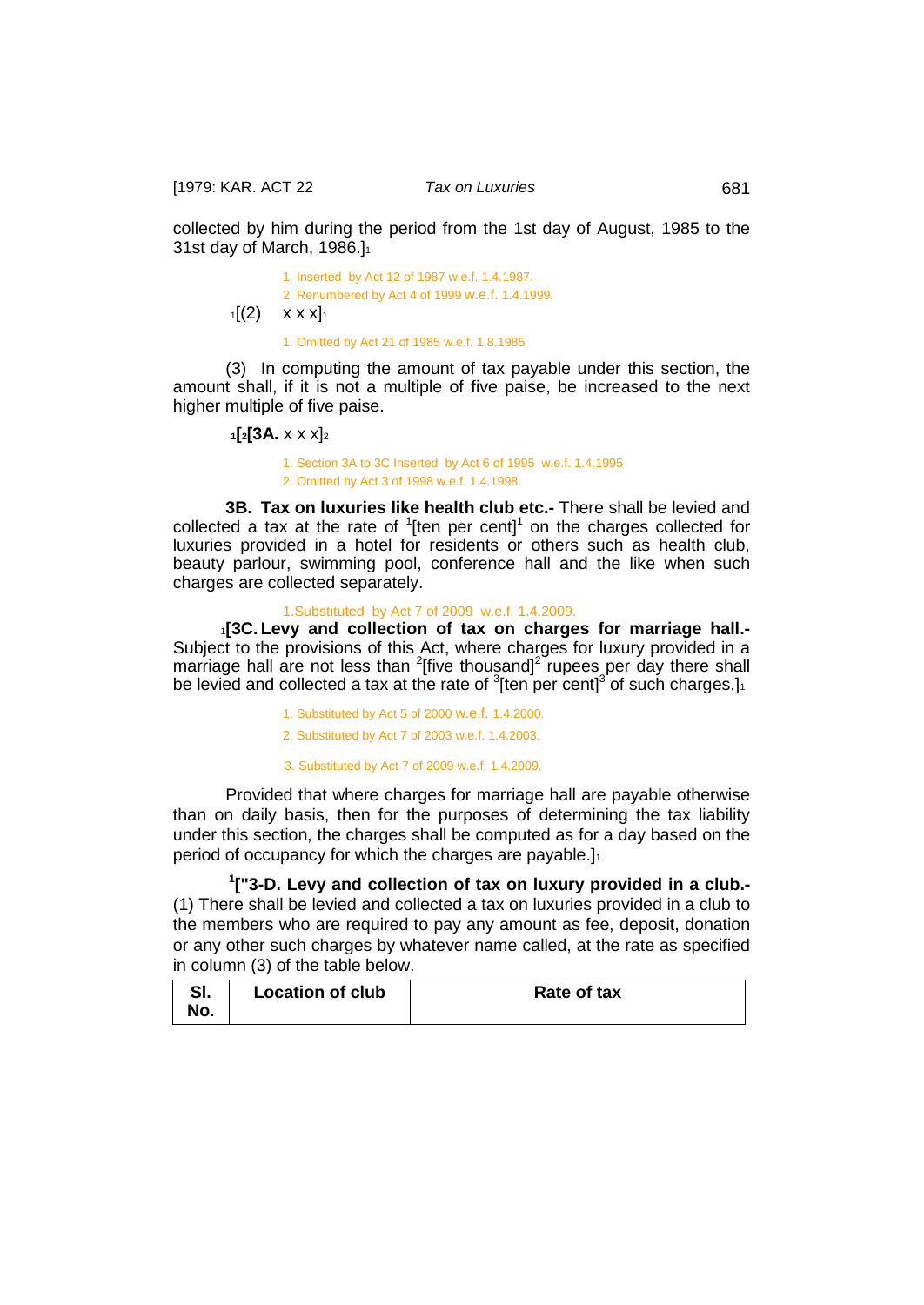[1979: KAR. ACT 22 *Tax on Luxuries* 681

collected by him during the period from the 1st day of August, 1985 to the 31st day of March, 1986.]1

> 1. Inserted by Act 12 of 1987 w.e.f. 1.4.1987. 2. Renumbered by Act 4 of 1999 w.e.f. 1.4.1999.  $1[(2) \times x]_1$ 1. Omitted by Act 21 of 1985 w.e.f. 1.8.1985

(3) In computing the amount of tax payable under this section, the amount shall, if it is not a multiple of five paise, be increased to the next higher multiple of five paise.

 **1[2[3A.** x x x]2

<span id="page-23-1"></span><span id="page-23-0"></span>1. Section 3A to 3C Inserted by Act 6 of 1995 w.e.f. 1.4.1995 2. Omitted by Act 3 of 1998 w.e.f. 1.4.1998.

**3B. Tax on luxuries like health club etc.-** There shall be levied and collected a tax at the rate of  $1$ [ten per cent]<sup>1</sup> on the charges collected for luxuries provided in a hotel for residents or others such as health club, beauty parlour, swimming pool, conference hall and the like when such charges are collected separately.

#### <span id="page-23-2"></span>1.Substituted by Act 7 of 2009 w.e.f. 1.4.2009.

 1**[3C. Levy and collection of tax on charges for marriage hall.-** Subject to the provisions of this Act, where charges for luxury provided in a marriage hall are not less than  $2$ [five thousand] $2$  rupees per day there shall be levied and collected a tax at the rate of  $3$ [ten per cent] $3$  of such charges.]

1. Substituted by Act 5 of 2000 w.e.f. 1.4.2000.

2. Substituted by Act 7 of 2003 w.e.f. 1.4.2003.

3. Substituted by Act 7 of 2009 w.e.f. 1.4.2009.

Provided that where charges for marriage hall are payable otherwise than on daily basis, then for the purposes of determining the tax liability under this section, the charges shall be computed as for a day based on the period of occupancy for which the charges are payable.]<sup>1</sup>

<span id="page-23-3"></span>**1 ["3-D. Levy and collection of tax on luxury provided in a club.-** (1) There shall be levied and collected a tax on luxuries provided in a club to the members who are required to pay any amount as fee, deposit, donation or any other such charges by whatever name called, at the rate as specified in column (3) of the table below.

| oı. | <b>Location of club</b> | Rate of tax |
|-----|-------------------------|-------------|
| NO. |                         |             |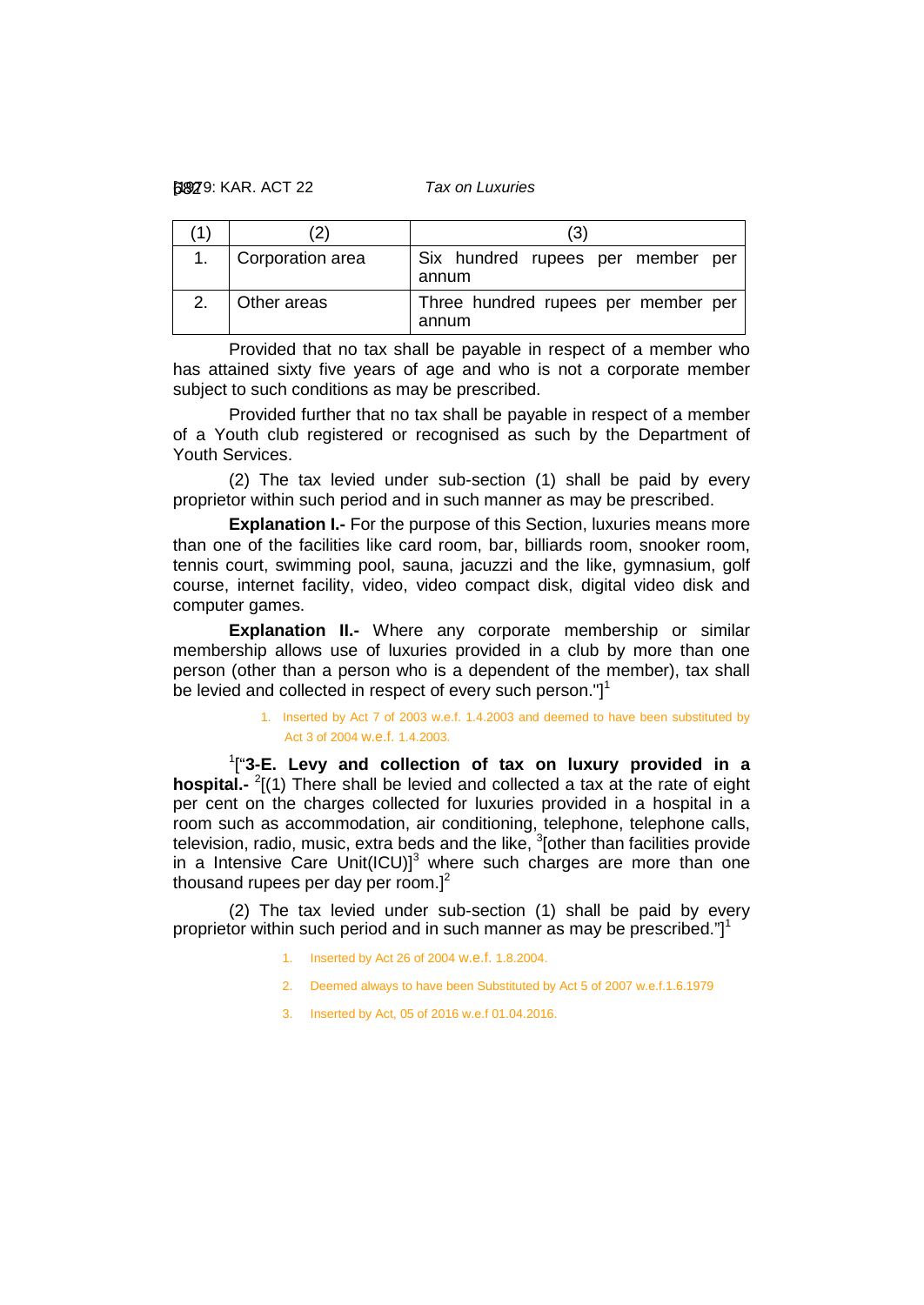| 1) |                  | (3                                           |
|----|------------------|----------------------------------------------|
|    | Corporation area | Six hundred rupees per member per<br>annum   |
| 2. | Other areas      | Three hundred rupees per member per<br>annum |

Provided that no tax shall be payable in respect of a member who has attained sixty five years of age and who is not a corporate member subject to such conditions as may be prescribed.

Provided further that no tax shall be payable in respect of a member of a Youth club registered or recognised as such by the Department of Youth Services.

(2) The tax levied under sub-section (1) shall be paid by every proprietor within such period and in such manner as may be prescribed.

**Explanation I.-** For the purpose of this Section, luxuries means more than one of the facilities like card room, bar, billiards room, snooker room, tennis court, swimming pool, sauna, jacuzzi and the like, gymnasium, golf course, internet facility, video, video compact disk, digital video disk and computer games.

**Explanation II.-** Where any corporate membership or similar membership allows use of luxuries provided in a club by more than one person (other than a person who is a dependent of the member), tax shall be levied and collected in respect of every such person." $]$ <sup>1</sup>

### <span id="page-24-0"></span>1. Inserted by Act 7 of 2003 w.e.f. 1.4.2003 and deemed to have been substituted by Act 3 of 2004 w.e.f. 1.4.2003.

1 ["**3-E. Levy and collection of tax on luxury provided in a**  hospital.- <sup>2</sup>[(1) There shall be levied and collected a tax at the rate of eight per cent on the charges collected for luxuries provided in a hospital in a room such as accommodation, air conditioning, telephone, telephone calls, television, radio, music, extra beds and the like,  $3$  other than facilities provide in a Intensive Care Unit(ICU)] $^3$  where such charges are more than one thousand rupees per day per room. $]^{2}$ 

(2) The tax levied under sub-section (1) shall be paid by every proprietor within such period and in such manner as may be prescribed." $]$ <sup>1</sup>

- 1. Inserted by Act 26 of 2004 w.e.f. 1.8.2004.
- 2. Deemed always to have been Substituted by Act 5 of 2007 w.e.f.1.6.1979
- 3. Inserted by Act, 05 of 2016 w.e.f 01.04.2016.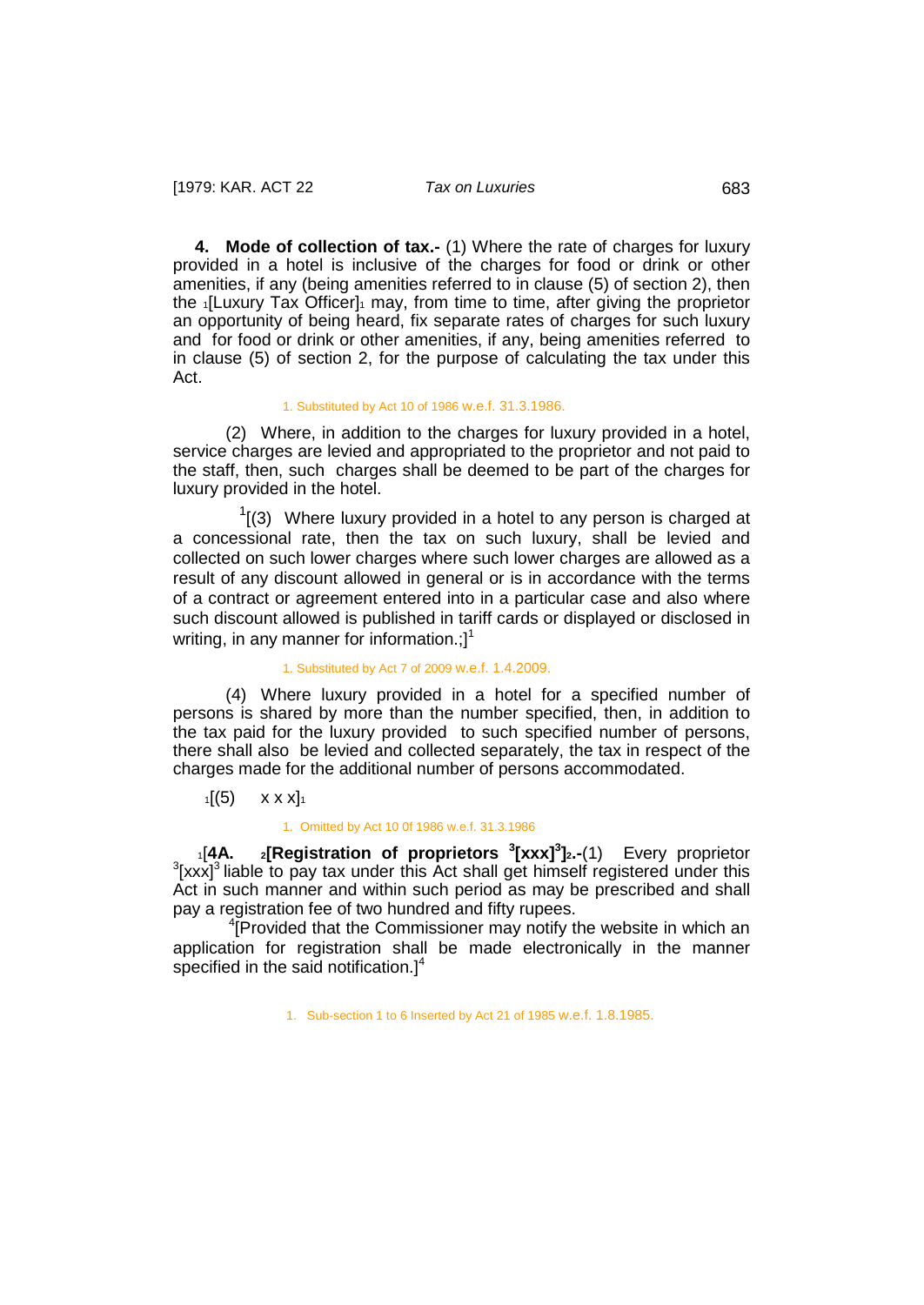<span id="page-25-0"></span>**4. Mode of collection of tax.-** (1) Where the rate of charges for luxury provided in a hotel is inclusive of the charges for food or drink or other amenities, if any (being amenities referred to in clause (5) of section 2), then the 1 Luxury Tax Officer<sub>1</sub> may, from time to time, after giving the proprietor an opportunity of being heard, fix separate rates of charges for such luxury and for food or drink or other amenities, if any, being amenities referred to in clause (5) of section 2, for the purpose of calculating the tax under this Act.

#### 1. Substituted by Act 10 of 1986 w.e.f. 31.3.1986.

(2) Where, in addition to the charges for luxury provided in a hotel, service charges are levied and appropriated to the proprietor and not paid to the staff, then, such charges shall be deemed to be part of the charges for luxury provided in the hotel.

 $\overline{1}$  $\frac{1}{1}$  (3) Where luxury provided in a hotel to any person is charged at a concessional rate, then the tax on such luxury, shall be levied and collected on such lower charges where such lower charges are allowed as a result of any discount allowed in general or is in accordance with the terms of a contract or agreement entered into in a particular case and also where such discount allowed is published in tariff cards or displayed or disclosed in writing, in any manner for information.: $l^1$ 

### 1. Substituted by Act 7 of 2009 w.e.f. 1.4.2009.

(4) Where luxury provided in a hotel for a specified number of persons is shared by more than the number specified, then, in addition to the tax paid for the luxury provided to such specified number of persons, there shall also be levied and collected separately, the tax in respect of the charges made for the additional number of persons accommodated.

 $1[(5) \quad x \times x]_1$ 

#### <span id="page-25-1"></span>1. Omitted by Act 10 0f 1986 w.e.f. 31.3.1986

1<sup>1</sup> [4A. 2<sup>1</sup> **2 [Registration of proprietors** <sup>3</sup>  $\left[$ **xxx**]<sup>3</sup> $\left[$ 2.-(1) Every proprietor 3<sup>3</sup>  $3$ [xxx]<sup>3</sup> liable to pay tax under this Act shall get himself registered under this Act in such manner and within such period as may be prescribed and shall pay a registration fee of two hundred and fifty rupees.

<sup>4</sup>[Provided that the Commissioner may notify the website in which an application for registration shall be made electronically in the manner specified in the said notification. $]^{4}$ 

1. Sub-section 1 to 6 Inserted by Act 21 of 1985 w.e.f. 1.8.1985.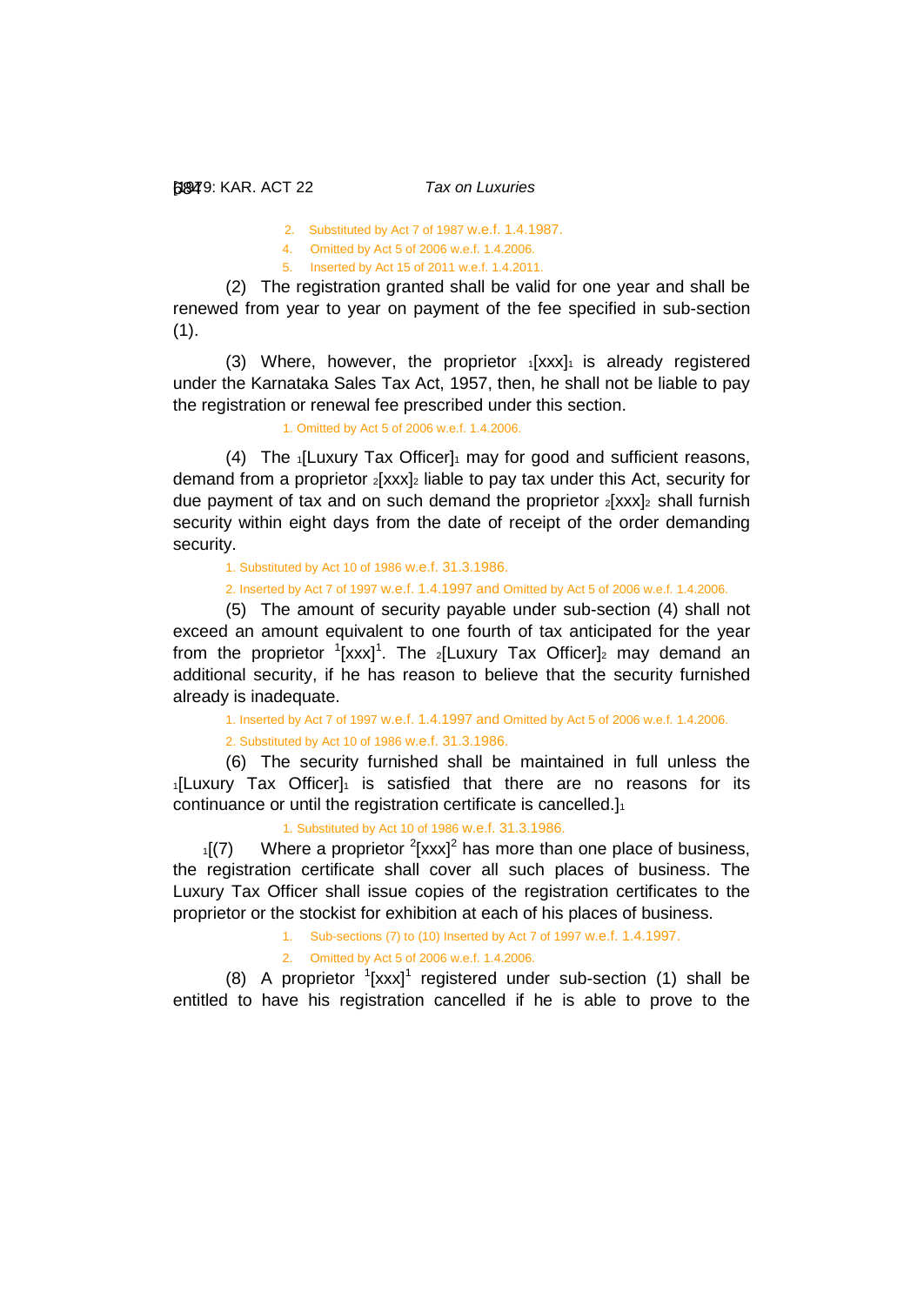2. Substituted by Act 7 of 1987 w.e.f. 1.4.1987.

- 4. Omitted by Act 5 of 2006 w.e.f. 1.4.2006.
- 5. Inserted by Act 15 of 2011 w.e.f. 1.4.2011.

(2) The registration granted shall be valid for one year and shall be renewed from year to year on payment of the fee specified in sub-section  $(1).$ 

(3) Where, however, the proprietor  $1[xxx]_1$  is already registered under the Karnataka Sales Tax Act, 1957, then, he shall not be liable to pay the registration or renewal fee prescribed under this section.

1. Omitted by Act 5 of 2006 w.e.f. 1.4.2006.

(4) The  $\frac{1}{1}$  Luxury Tax Officer $\frac{1}{1}$  may for good and sufficient reasons, demand from a proprietor  $2[xxx]_2$  liable to pay tax under this Act, security for due payment of tax and on such demand the proprietor  $_2$ [xxx] $_2$  shall furnish security within eight days from the date of receipt of the order demanding security.

1. Substituted by Act 10 of 1986 w.e.f. 31.3.1986.

2. Inserted by Act 7 of 1997 w.e.f. 1.4.1997 and Omitted by Act 5 of 2006 w.e.f. 1.4.2006.

(5) The amount of security payable under sub-section (4) shall not exceed an amount equivalent to one fourth of tax anticipated for the year from the proprietor  $\left(\frac{1}{x}x^{1}\right)$ . The  $\left|\frac{1}{x}\right|$  Tax Officer]<sub>2</sub> may demand an additional security, if he has reason to believe that the security furnished already is inadequate.

1. Inserted by Act 7 of 1997 w.e.f. 1.4.1997 and Omitted by Act 5 of 2006 w.e.f. 1.4.2006.

2. Substituted by Act 10 of 1986 w.e.f. 31.3.1986.

(6) The security furnished shall be maintained in full unless the  $1$ [Luxury Tax Officer] $1$  is satisfied that there are no reasons for its continuance or until the registration certificate is cancelled.]<sup>1</sup>

1. Substituted by Act 10 of 1986 w.e.f. 31.3.1986.

 $1(7)$  Where a proprietor <sup>2</sup>[xxx]<sup>2</sup> has more than one place of business, the registration certificate shall cover all such places of business. The Luxury Tax Officer shall issue copies of the registration certificates to the proprietor or the stockist for exhibition at each of his places of business.

1. Sub-sections (7) to (10) Inserted by Act 7 of 1997 w.e.f. 1.4.1997.

2. Omitted by Act 5 of 2006 w.e.f. 1.4.2006.

(8) A proprietor  $1$ [xxx]<sup>1</sup> registered under sub-section (1) shall be entitled to have his registration cancelled if he is able to prove to the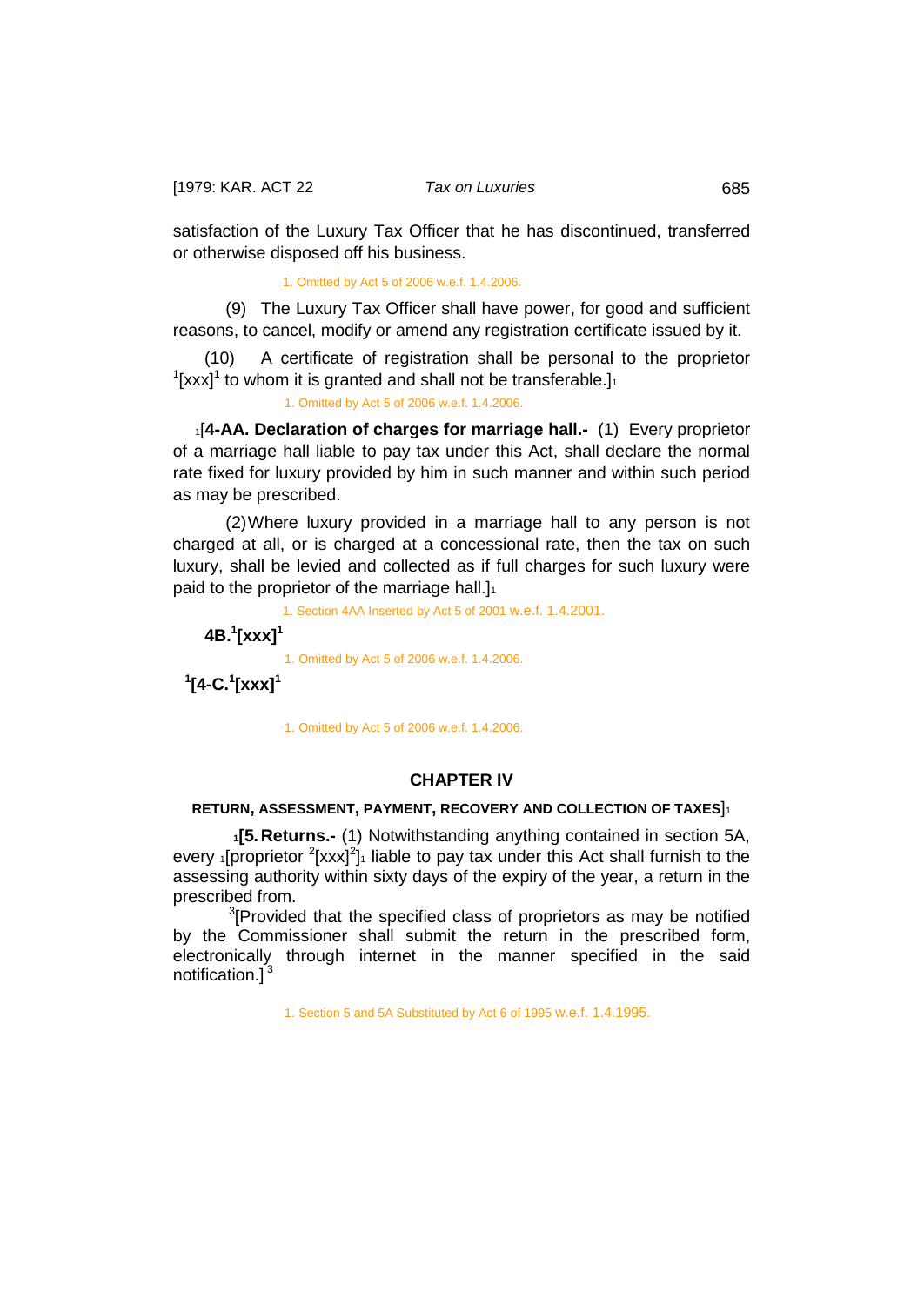satisfaction of the Luxury Tax Officer that he has discontinued, transferred or otherwise disposed off his business.

1. Omitted by Act 5 of 2006 w.e.f. 1.4.2006.

(9) The Luxury Tax Officer shall have power, for good and sufficient reasons, to cancel, modify or amend any registration certificate issued by it.

 (10) A certificate of registration shall be personal to the proprietor  $1$ [xxx]<sup>1</sup> to whom it is granted and shall not be transferable.]<sup>1</sup>

<span id="page-27-0"></span>1. Omitted by Act 5 of 2006 w.e.f. 1.4.2006.

1[**4-AA. Declaration of charges for marriage hall.-** (1) Every proprietor of a marriage hall liable to pay tax under this Act, shall declare the normal rate fixed for luxury provided by him in such manner and within such period as may be prescribed.

(2)Where luxury provided in a marriage hall to any person is not charged at all, or is charged at a concessional rate, then the tax on such luxury, shall be levied and collected as if full charges for such luxury were paid to the proprietor of the marriage hall. $]_1$ 

1. Section 4AA Inserted by Act 5 of 2001 w.e.f. 1.4.2001.

<span id="page-27-1"></span> **4B.1 [xxx]<sup>1</sup>**

1. Omitted by Act 5 of 2006 w.e.f. 1.4.2006.

<span id="page-27-2"></span> **1 [4-C.<sup>1</sup> [xxx]<sup>1</sup>**

1. Omitted by Act 5 of 2006 w.e.f. 1.4.2006.

### **CHAPTER IV**

### <span id="page-27-3"></span>**RETURN, ASSESSMENT, PAYMENT, RECOVERY AND COLLECTION OF TAXES**]1

 **1[5.Returns.-** (1) Notwithstanding anything contained in section 5A, every  $\frac{1}{2}$ [proprietor  $\frac{2}{x}$ [xxx]<sup>2</sup>] $\frac{1}{x}$  liable to pay tax under this Act shall furnish to the assessing authority within sixty days of the expiry of the year, a return in the prescribed from.

 $3$ [Provided that the specified class of proprietors as may be notified by the Commissioner shall submit the return in the prescribed form, electronically through internet in the manner specified in the said notification.<sup>3</sup>

1. Section 5 and 5A Substituted by Act 6 of 1995 w.e.f. 1.4.1995.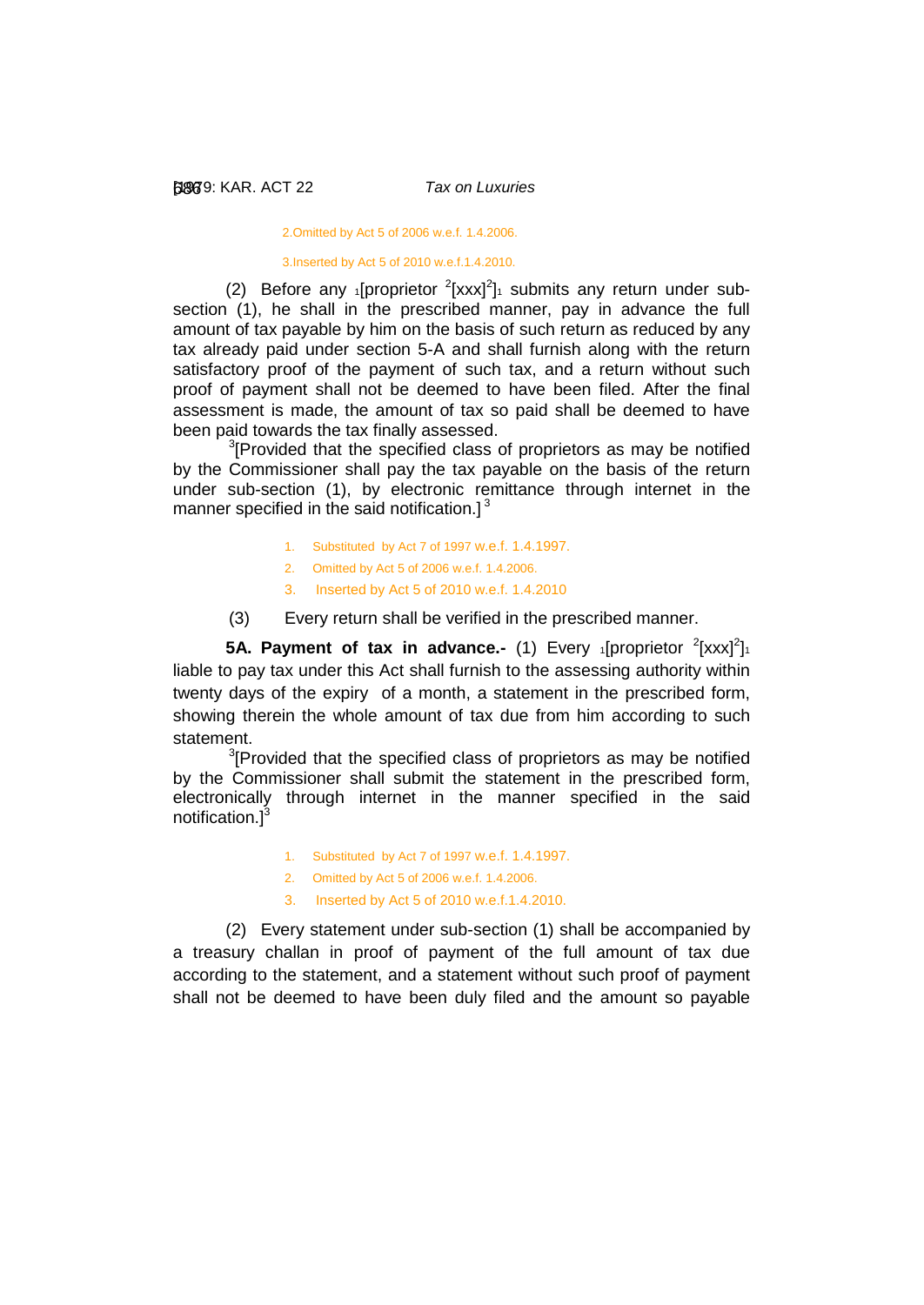2.Omitted by Act 5 of 2006 w.e.f. 1.4.2006.

3.Inserted by Act 5 of 2010 w.e.f.1.4.2010.

(2) Before any 1[proprietor  $2$ [xxx] $2$ ]1 submits any return under subsection (1), he shall in the prescribed manner, pay in advance the full amount of tax payable by him on the basis of such return as reduced by any tax already paid under section 5-A and shall furnish along with the return satisfactory proof of the payment of such tax, and a return without such proof of payment shall not be deemed to have been filed. After the final assessment is made, the amount of tax so paid shall be deemed to have been paid towards the tax finally assessed.

<sup>3</sup>[Provided that the specified class of proprietors as may be notified by the Commissioner shall pay the tax payable on the basis of the return under sub-section (1), by electronic remittance through internet in the manner specified in the said notification.] $3$ 

- 1. Substituted by Act 7 of 1997 w.e.f. 1.4.1997.
- 2. Omitted by Act 5 of 2006 w.e.f. 1.4.2006.
- 3. Inserted by Act 5 of 2010 w.e.f. 1.4.2010
- <span id="page-28-0"></span>(3) Every return shall be verified in the prescribed manner.

**5A. Payment of tax in advance.-** (1) Every 1[proprietor <sup>2</sup>[xxx]<sup>2</sup>] liable to pay tax under this Act shall furnish to the assessing authority within twenty days of the expiry of a month, a statement in the prescribed form, showing therein the whole amount of tax due from him according to such statement.

 $3$ [Provided that the specified class of proprietors as may be notified by the Commissioner shall submit the statement in the prescribed form, electronically through internet in the manner specified in the said notification.]<sup>3</sup>

- 1. Substituted by Act 7 of 1997 w.e.f. 1.4.1997.
- 2. Omitted by Act 5 of 2006 w.e.f. 1.4.2006.
- 3. Inserted by Act 5 of 2010 w.e.f.1.4.2010.

(2) Every statement under sub-section (1) shall be accompanied by a treasury challan in proof of payment of the full amount of tax due according to the statement, and a statement without such proof of payment shall not be deemed to have been duly filed and the amount so payable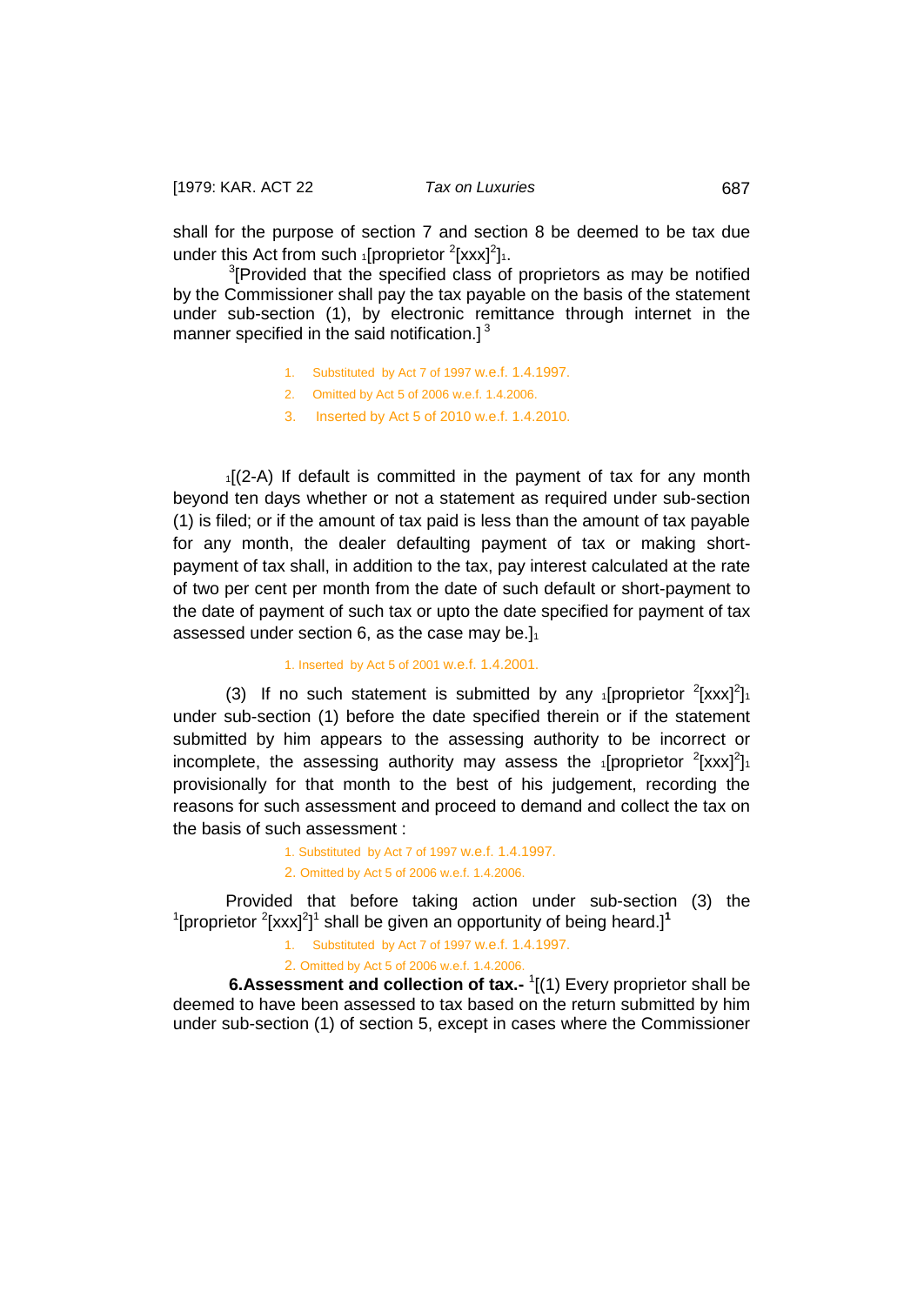shall for the purpose of section 7 and section 8 be deemed to be tax due under this Act from such 1[proprietor <sup>2</sup>[xxx]<sup>2</sup>]1.

<sup>3</sup>[Provided that the specified class of proprietors as may be notified by the Commissioner shall pay the tax payable on the basis of the statement under sub-section (1), by electronic remittance through internet in the manner specified in the said notification.]<sup>3</sup>

- 1. Substituted by Act 7 of 1997 w.e.f. 1.4.1997.
- 2. Omitted by Act 5 of 2006 w.e.f. 1.4.2006.
- 3. Inserted by Act 5 of 2010 w.e.f. 1.4.2010.

 $1[(2-A)$  If default is committed in the payment of tax for any month beyond ten days whether or not a statement as required under sub-section (1) is filed; or if the amount of tax paid is less than the amount of tax payable for any month, the dealer defaulting payment of tax or making shortpayment of tax shall, in addition to the tax, pay interest calculated at the rate of two per cent per month from the date of such default or short-payment to the date of payment of such tax or upto the date specified for payment of tax assessed under section 6, as the case may be.] $1$ 

#### 1. Inserted by Act 5 of 2001 w.e.f. 1.4.2001.

(3) If no such statement is submitted by any  $\frac{1}{1}$  [proprietor  $\frac{2}{1}$  [xxx]<sup>2</sup>] under sub-section (1) before the date specified therein or if the statement submitted by him appears to the assessing authority to be incorrect or incomplete, the assessing authority may assess the  $_1$ [proprietor  $^2$ [xxx]<sup>2</sup>]<sub>1</sub> provisionally for that month to the best of his judgement, recording the reasons for such assessment and proceed to demand and collect the tax on the basis of such assessment :

> 1. Substituted by Act 7 of 1997 w.e.f. 1.4.1997. 2. Omitted by Act 5 of 2006 w.e.f. 1.4.2006.

Provided that before taking action under sub-section (3) the <sup>1</sup>[proprietor <sup>2</sup>[xxx]<sup>2</sup>]<sup>1</sup> shall be given an opportunity of being heard.]<sup>1</sup>

1. Substituted by Act 7 of 1997 w.e.f. 1.4.1997.

<span id="page-29-0"></span>2. Omitted by Act 5 of 2006 w.e.f. 1.4.2006.

**6.Assessment and collection of tax.-** <sup>1</sup>[(1) Every proprietor shall be deemed to have been assessed to tax based on the return submitted by him under sub-section (1) of section 5, except in cases where the Commissioner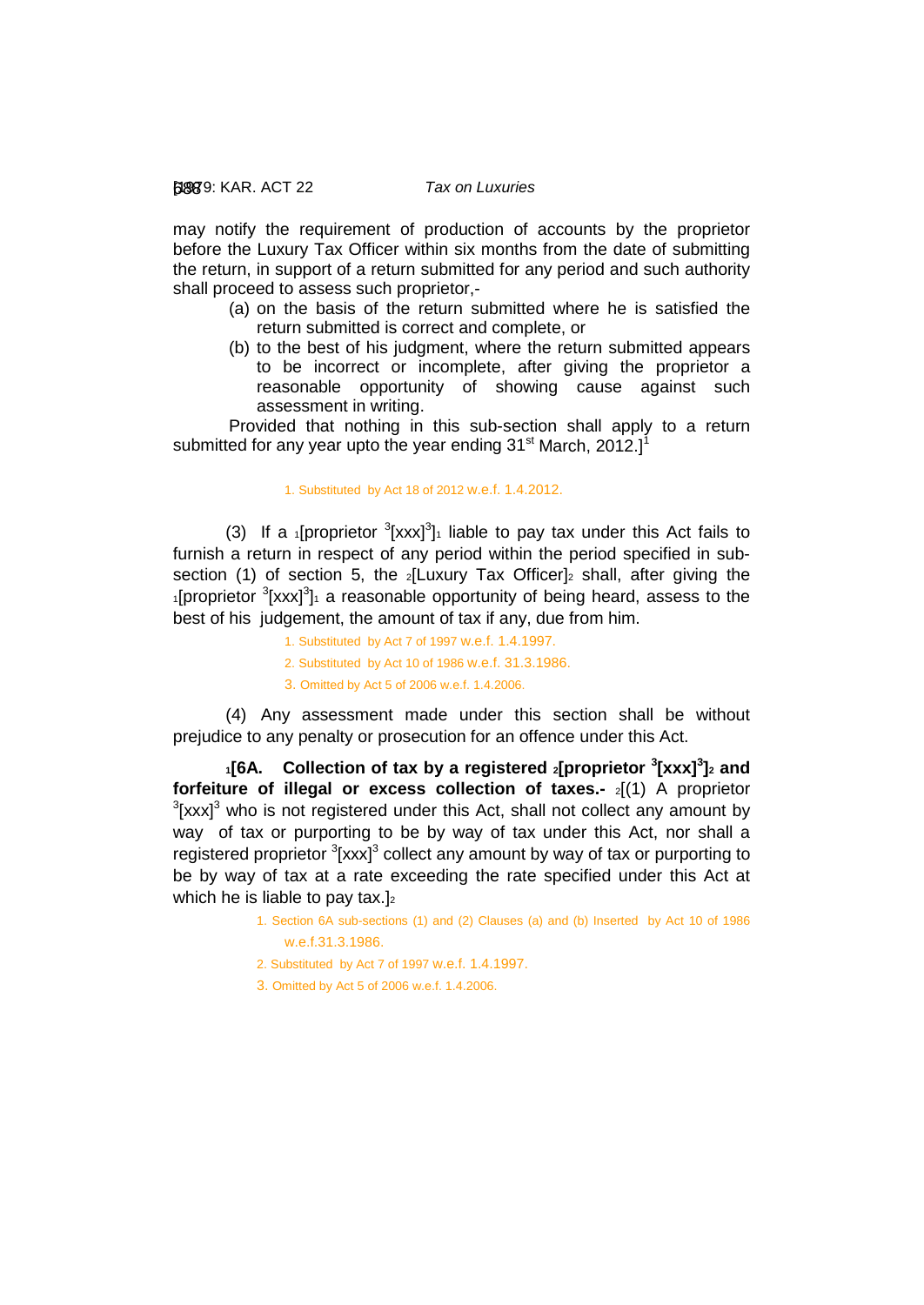may notify the requirement of production of accounts by the proprietor before the Luxury Tax Officer within six months from the date of submitting the return, in support of a return submitted for any period and such authority shall proceed to assess such proprietor,-

- (a) on the basis of the return submitted where he is satisfied the return submitted is correct and complete, or
- (b) to the best of his judgment, where the return submitted appears to be incorrect or incomplete, after giving the proprietor a reasonable opportunity of showing cause against such assessment in writing.

Provided that nothing in this sub-section shall apply to a return submitted for any year upto the year ending  $31<sup>st</sup>$  March, 2012.]<sup>1</sup>

#### 1. Substituted by Act 18 of 2012 w.e.f. 1.4.2012.

(3) If a *i*[proprietor  ${}^{3}$ [xxx]<sup>3</sup>]<sup>*i*</sup> liable to pay tax under this Act fails to furnish a return in respect of any period within the period specified in subsection (1) of section 5, the  $_2$ [Luxury Tax Officer] $_2$  shall, after giving the  $1$ [proprietor  $3$ [xxx] $3$ ] $1$  a reasonable opportunity of being heard, assess to the best of his judgement, the amount of tax if any, due from him.

1. Substituted by Act 7 of 1997 w.e.f. 1.4.1997.

- 2. Substituted by Act 10 of 1986 w.e.f. 31.3.1986.
- <span id="page-30-0"></span>3. Omitted by Act 5 of 2006 w.e.f. 1.4.2006.

(4) Any assessment made under this section shall be without prejudice to any penalty or prosecution for an offence under this Act.

 **1[6A. Collection of tax by a registered 2[proprietor <sup>3</sup> [xxx]<sup>3</sup> ]2 and forfeiture of illegal or excess collection of taxes.-**  $_2$ [(1) A proprietor  ${}^{3}$ [xxx]<sup>3</sup> who is not registered under this Act, shall not collect any amount by way of tax or purporting to be by way of tax under this Act, nor shall a registered proprietor <sup>3</sup>[xxx]<sup>3</sup> collect any amount by way of tax or purporting to be by way of tax at a rate exceeding the rate specified under this Act at which he is liable to pay tax. $]_2$ 

- 1. Section 6A sub-sections (1) and (2) Clauses (a) and (b) Inserted by Act 10 of 1986 w.e.f.31.3.1986.
- 2. Substituted by Act 7 of 1997 w.e.f. 1.4.1997.
- 3. Omitted by Act 5 of 2006 w.e.f. 1.4.2006.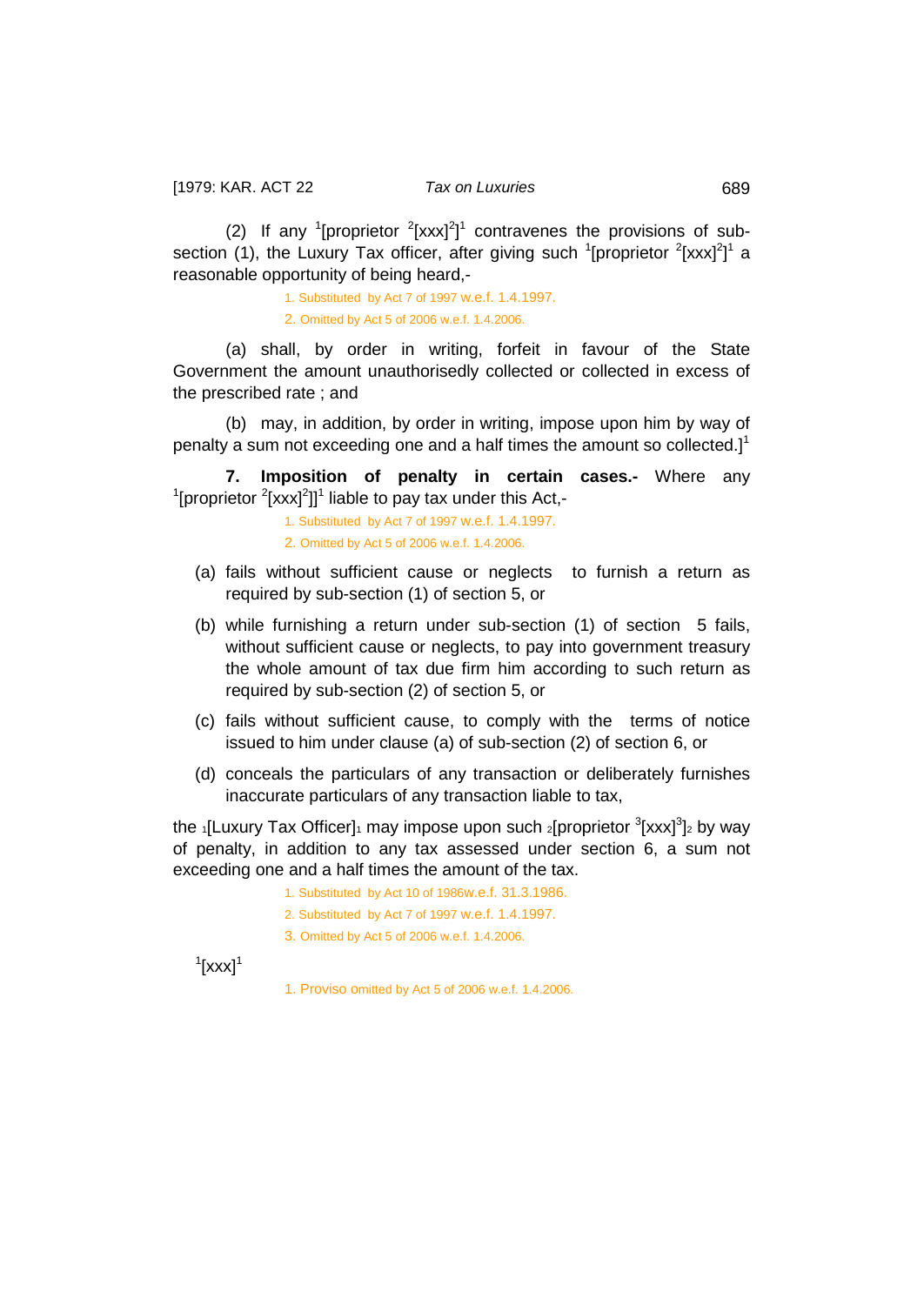(2) If any <sup>1</sup>[proprietor  $2$ [xxx]<sup>2</sup>]<sup>1</sup> contravenes the provisions of subsection (1), the Luxury Tax officer, after giving such  $1$ [proprietor  $2$ [xxx] $2$ ]<sup>1</sup> a reasonable opportunity of being heard,-

> 1. Substituted by Act 7 of 1997 w.e.f. 1.4.1997. 2. Omitted by Act 5 of 2006 w.e.f. 1.4.2006.

(a) shall, by order in writing, forfeit in favour of the State Government the amount unauthorisedly collected or collected in excess of the prescribed rate ; and

(b) may, in addition, by order in writing, impose upon him by way of penalty a sum not exceeding one and a half times the amount so collected. $l^1$ 

**7. Imposition of penalty in certain cases.-** Where any  $\rm1$ [proprietor  $\rm2$ [xxx]<sup>2</sup>]]<sup>1</sup> liable to pay tax under this Act,-

> <span id="page-31-0"></span>1. Substituted by Act 7 of 1997 w.e.f. 1.4.1997. 2. Omitted by Act 5 of 2006 w.e.f. 1.4.2006.

- (a) fails without sufficient cause or neglects to furnish a return as required by sub-section (1) of section 5, or
- (b) while furnishing a return under sub-section (1) of section 5 fails, without sufficient cause or neglects, to pay into government treasury the whole amount of tax due firm him according to such return as required by sub-section (2) of section 5, or
- (c) fails without sufficient cause, to comply with the terms of notice issued to him under clause (a) of sub-section (2) of section 6, or
- (d) conceals the particulars of any transaction or deliberately furnishes inaccurate particulars of any transaction liable to tax,

the <sub>1</sub>[Luxury Tax Officer]<sub>1</sub> may impose upon such 2[proprietor <sup>3</sup>[xxx]<sup>3</sup>]2 by way of penalty, in addition to any tax assessed under section 6, a sum not exceeding one and a half times the amount of the tax.

- 1. Substituted by Act 10 of 1986w.e.f. 31.3.1986.
- 2. Substituted by Act 7 of 1997 w.e.f. 1.4.1997.
- 3. Omitted by Act 5 of 2006 w.e.f. 1.4.2006.

 $\left[$ xxx]<sup>1</sup>

1. Proviso omitted by Act 5 of 2006 w.e.f. 1.4.2006.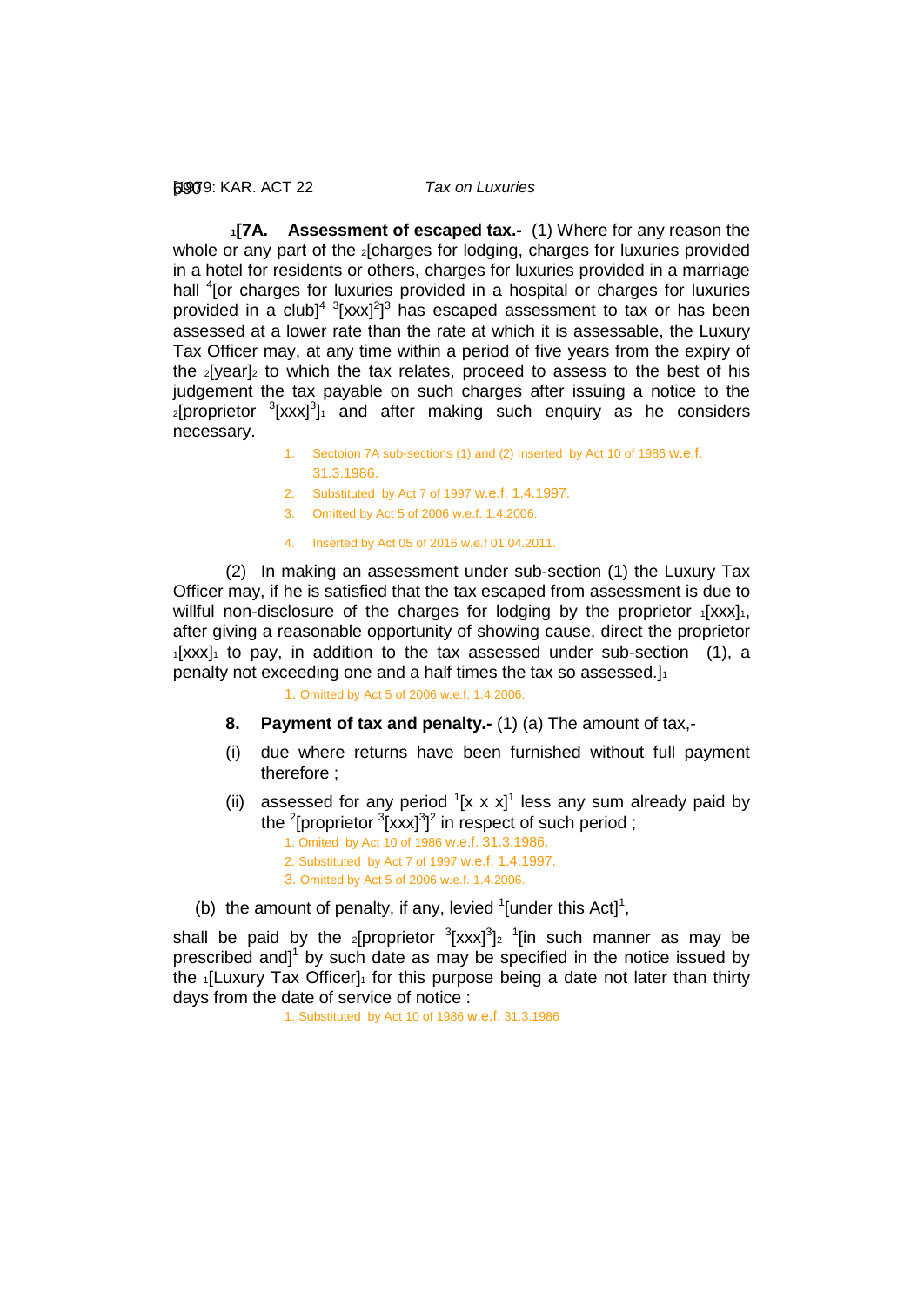#### [1979: 690 KAR. ACT 22 *Tax on Luxuries*

<span id="page-32-0"></span> **1[7A. Assessment of escaped tax.-** (1) Where for any reason the whole or any part of the *2*[charges for lodging, charges for luxuries provided in a hotel for residents or others, charges for luxuries provided in a marriage hall <sup>4</sup> [or charges for luxuries provided in a hospital or charges for luxuries provided in a club]<sup>4  $3$ </sup>[xxx]<sup>2</sup>]<sup>3</sup> has escaped assessment to tax or has been assessed at a lower rate than the rate at which it is assessable, the Luxury Tax Officer may, at any time within a period of five years from the expiry of the  $2$ [year] $2$  to which the tax relates, proceed to assess to the best of his judgement the tax payable on such charges after issuing a notice to the  $2$ [proprietor  $3$ [xxx] $3$ ]<sub>1</sub> and after making such enquiry as he considers necessary.

- 1. Sectoion 7A sub-sections (1) and (2) Inserted by Act 10 of 1986 w.e.f. 31.3.1986.
- 2. Substituted by Act 7 of 1997 w.e.f. 1.4.1997.
- 3. Omitted by Act 5 of 2006 w.e.f. 1.4.2006.
- 4. Inserted by Act 05 of 2016 w.e.f 01.04.2011.

(2) In making an assessment under sub-section (1) the Luxury Tax Officer may, if he is satisfied that the tax escaped from assessment is due to willful non-disclosure of the charges for lodging by the proprietor  $1[xxx]_1$ , after giving a reasonable opportunity of showing cause, direct the proprietor  $1$ [xxx] $1$  to pay, in addition to the tax assessed under sub-section (1), a penalty not exceeding one and a half times the tax so assessed.]

1. Omitted by Act 5 of 2006 w.e.f. 1.4.2006.

- <span id="page-32-1"></span>**8. Payment of tax and penalty.-** (1) (a) The amount of tax,-
- (i) due where returns have been furnished without full payment therefore ;
- (ii) assessed for any period  $( [x \times x]^1)$  less any sum already paid by the <sup>2</sup>[proprietor  $3$ [xxx] $3$ ]<sup>2</sup> in respect of such period ;
	- 1. Omited by Act 10 of 1986 w.e.f. 31.3.1986.
	- 2. Substituted by Act 7 of 1997 w.e.f. 1.4.1997.
	- 3. Omitted by Act 5 of 2006 w.e.f. 1.4.2006.
- (b) the amount of penalty, if any, levied  $\textsuperscript{1}{[}$  tunder this Act $\textsuperscript{1}{[}$ ,

shall be paid by the  $_2$ [proprietor  $3$ [xxx] $3$ ] $_2$   $1$ [in such manner as may be prescribed and] $1$  by such date as may be specified in the notice issued by the  $1$ [Luxury Tax Officer] $1$  for this purpose being a date not later than thirty days from the date of service of notice :

1. Substituted by Act 10 of 1986 w.e.f. 31.3.1986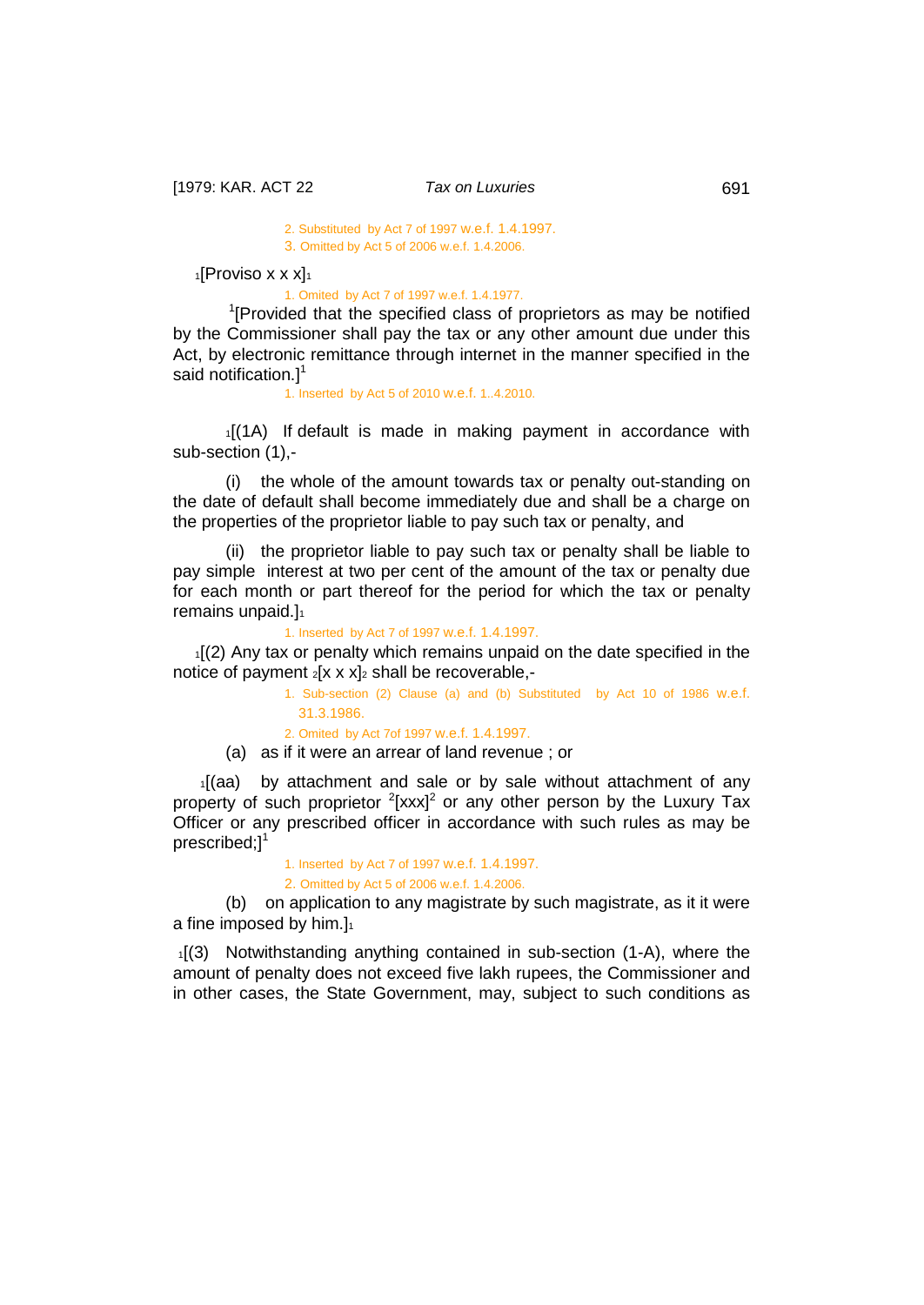#### 2. Substituted by Act 7 of 1997 w.e.f. 1.4.1997. 3. Omitted by Act 5 of 2006 w.e.f. 1.4.2006.

 $1$ [Proviso x x x $1_1$ 

1. Omited by Act 7 of 1997 w.e.f. 1.4.1977.

<sup>1</sup>[Provided that the specified class of proprietors as may be notified by the Commissioner shall pay the tax or any other amount due under this Act, by electronic remittance through internet in the manner specified in the said notification.<sup>1</sup>

1. Inserted by Act 5 of 2010 w.e.f. 1..4.2010.

1[(1A) If default is made in making payment in accordance with sub-section (1),-

(i) the whole of the amount towards tax or penalty out-standing on the date of default shall become immediately due and shall be a charge on the properties of the proprietor liable to pay such tax or penalty, and

(ii) the proprietor liable to pay such tax or penalty shall be liable to pay simple interest at two per cent of the amount of the tax or penalty due for each month or part thereof for the period for which the tax or penalty remains unpaid.]<sup>1</sup>

1. Inserted by Act 7 of 1997 w.e.f. 1.4.1997.

1[(2) Any tax or penalty which remains unpaid on the date specified in the notice of payment  $2[x \times x]_2$  shall be recoverable,-

> 1. Sub-section (2) Clause (a) and (b) Substituted by Act 10 of 1986 w.e.f. 31.3.1986. 2. Omited by Act 7of 1997 w.e.f. 1.4.1997.

(a) as if it were an arrear of land revenue ; or

 1[(aa) by attachment and sale or by sale without attachment of any property of such proprietor  $2$ [xxx] $2$  or any other person by the Luxury Tax Officer or any prescribed officer in accordance with such rules as may be prescribed; $]^{1}$ 

> 1. Inserted by Act 7 of 1997 w.e.f. 1.4.1997. 2. Omitted by Act 5 of 2006 w.e.f. 1.4.2006.

(b) on application to any magistrate by such magistrate, as it it were a fine imposed by him.] $1$ 

 1[(3) Notwithstanding anything contained in sub-section (1-A), where the amount of penalty does not exceed five lakh rupees, the Commissioner and in other cases, the State Government, may, subject to such conditions as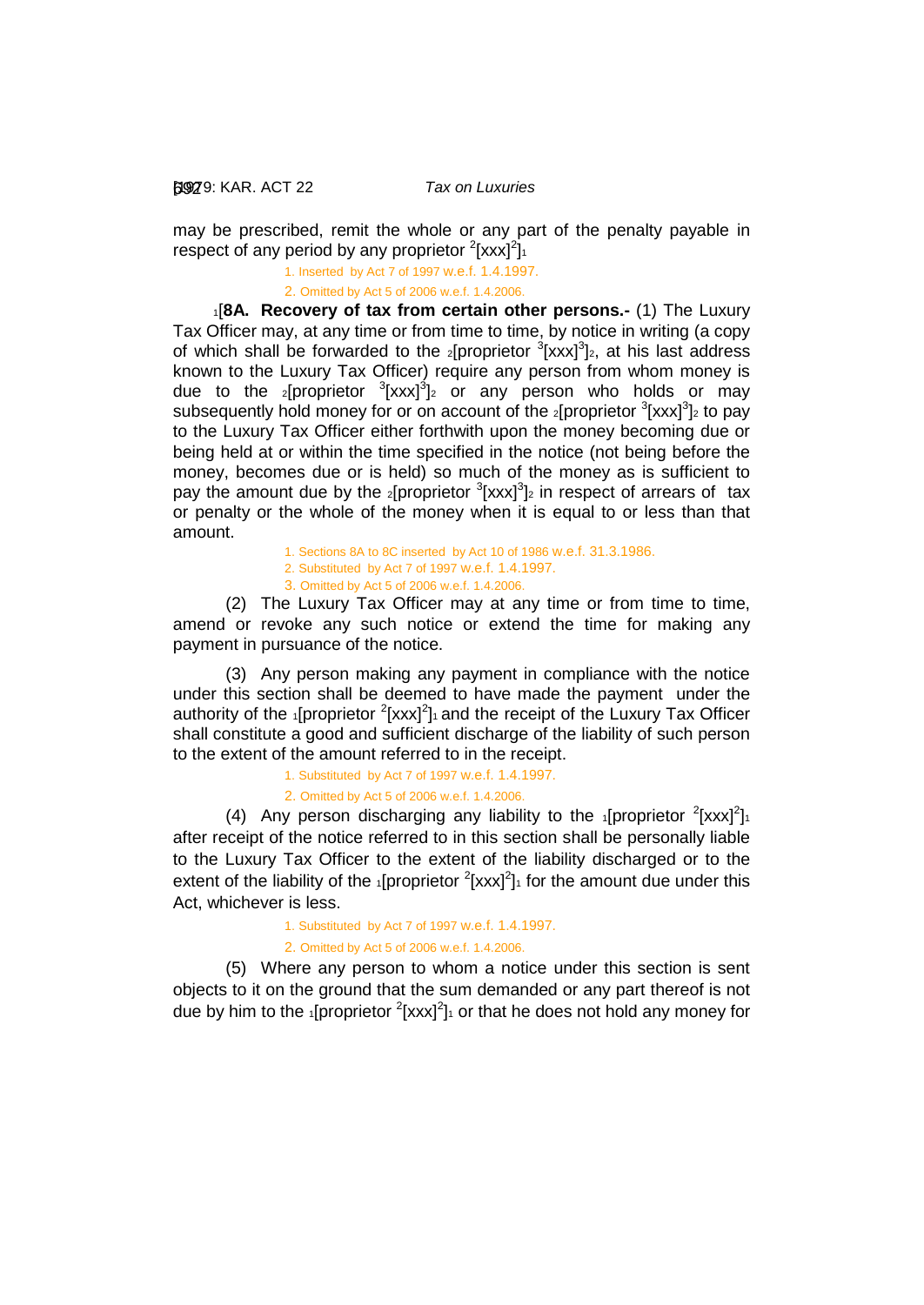[1979: 692 KAR. ACT 22 *Tax on Luxuries*

may be prescribed, remit the whole or any part of the penalty payable in respect of any period by any proprietor  $2[xxx]^2$ ]

1. Inserted by Act 7 of 1997 w.e.f. 1.4.1997.

<span id="page-34-0"></span>2. Omitted by Act 5 of 2006 w.e.f. 1.4.2006.

 1[**8A. Recovery of tax from certain other persons.-** (1) The Luxury Tax Officer may, at any time or from time to time, by notice in writing (a copy of which shall be forwarded to the  $_2$ [proprietor  $_3$ [xxx] $_3$ ]<sub>2</sub>, at his last address known to the Luxury Tax Officer) require any person from whom money is due to the <sub>2</sub>[proprietor <sup>3</sup>[xxx]<sup>3</sup>]<sub>2</sub> or any person who holds or may subsequently hold money for or on account of the  $2$ [proprietor  $3$ [xxx] $3$ ] $2$  to pay to the Luxury Tax Officer either forthwith upon the money becoming due or being held at or within the time specified in the notice (not being before the money, becomes due or is held) so much of the money as is sufficient to pay the amount due by the *2*[proprietor  $3$ [xxx] $3$ ]<sub>2</sub> in respect of arrears of tax or penalty or the whole of the money when it is equal to or less than that amount.

> 1. Sections 8A to 8C inserted by Act 10 of 1986 w.e.f. 31.3.1986. 2. Substituted by Act 7 of 1997 w.e.f. 1.4.1997. 3. Omitted by Act 5 of 2006 w.e.f. 1.4.2006.

(2) The Luxury Tax Officer may at any time or from time to time, amend or revoke any such notice or extend the time for making any payment in pursuance of the notice.

(3) Any person making any payment in compliance with the notice under this section shall be deemed to have made the payment under the authority of the  $\cdot$ [proprietor  $\frac{2}{x}$ [xxx]<sup>2</sup>] $\cdot$  and the receipt of the Luxury Tax Officer shall constitute a good and sufficient discharge of the liability of such person to the extent of the amount referred to in the receipt.

> 1. Substituted by Act 7 of 1997 w.e.f. 1.4.1997. 2. Omitted by Act 5 of 2006 w.e.f. 1.4.2006.

(4) Any person discharging any liability to the  $1$ [proprietor  $2$ [xxx] $2$ ] after receipt of the notice referred to in this section shall be personally liable to the Luxury Tax Officer to the extent of the liability discharged or to the extent of the liability of the  $_1$ [proprietor  $^2$ [xxx] $^2$ ]<sub>1</sub> for the amount due under this Act, whichever is less.

> 1. Substituted by Act 7 of 1997 w.e.f. 1.4.1997. 2. Omitted by Act 5 of 2006 w.e.f. 1.4.2006.

(5) Where any person to whom a notice under this section is sent objects to it on the ground that the sum demanded or any part thereof is not due by him to the <sub>1</sub>[proprietor  $2$ [xxx] $2$ <sub>1</sub> or that he does not hold any money for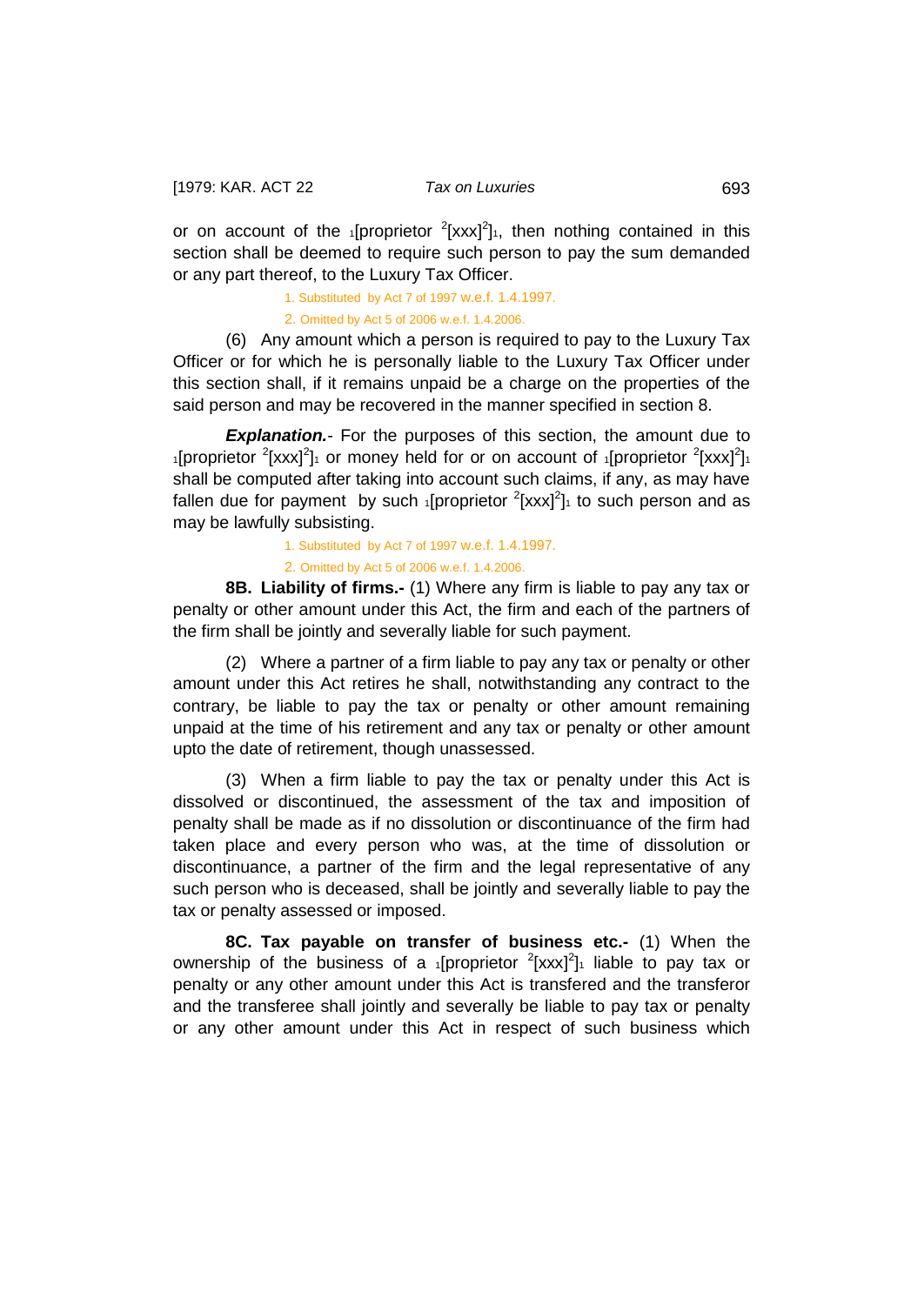or on account of the  $_1$ [proprietor  $^2$ [xxx] $^2$ ]<sub>1</sub>, then nothing contained in this section shall be deemed to require such person to pay the sum demanded or any part thereof, to the Luxury Tax Officer.

1. Substituted by Act 7 of 1997 w.e.f. 1.4.1997.

2. Omitted by Act 5 of 2006 w.e.f. 1.4.2006.

(6) Any amount which a person is required to pay to the Luxury Tax Officer or for which he is personally liable to the Luxury Tax Officer under this section shall, if it remains unpaid be a charge on the properties of the said person and may be recovered in the manner specified in section 8.

**Explanation.**<sup>-</sup> For the purposes of this section, the amount due to 1[proprietor  $2$ [xxx] $2$ ]1 or money held for or on account of 1[proprietor  $2$ [xxx] $2$ ]1 shall be computed after taking into account such claims, if any, as may have fallen due for payment by such  $_1$ [proprietor  $^2$ [xxx] $^2$ ] $_1$  to such person and as may be lawfully subsisting.

1. Substituted by Act 7 of 1997 w.e.f. 1.4.1997.

<span id="page-35-0"></span>2. Omitted by Act 5 of 2006 w.e.f. 1.4.2006.

**8B. Liability of firms.-** (1) Where any firm is liable to pay any tax or penalty or other amount under this Act, the firm and each of the partners of the firm shall be jointly and severally liable for such payment.

(2) Where a partner of a firm liable to pay any tax or penalty or other amount under this Act retires he shall, notwithstanding any contract to the contrary, be liable to pay the tax or penalty or other amount remaining unpaid at the time of his retirement and any tax or penalty or other amount upto the date of retirement, though unassessed.

(3) When a firm liable to pay the tax or penalty under this Act is dissolved or discontinued, the assessment of the tax and imposition of penalty shall be made as if no dissolution or discontinuance of the firm had taken place and every person who was, at the time of dissolution or discontinuance, a partner of the firm and the legal representative of any such person who is deceased, shall be jointly and severally liable to pay the tax or penalty assessed or imposed.

<span id="page-35-1"></span>**8C. Tax payable on transfer of business etc.-** (1) When the ownership of the business of a  $_1$ [proprietor  $^2$ [xxx] $^2$ ] $_1$  liable to pay tax or penalty or any other amount under this Act is transfered and the transferor and the transferee shall jointly and severally be liable to pay tax or penalty or any other amount under this Act in respect of such business which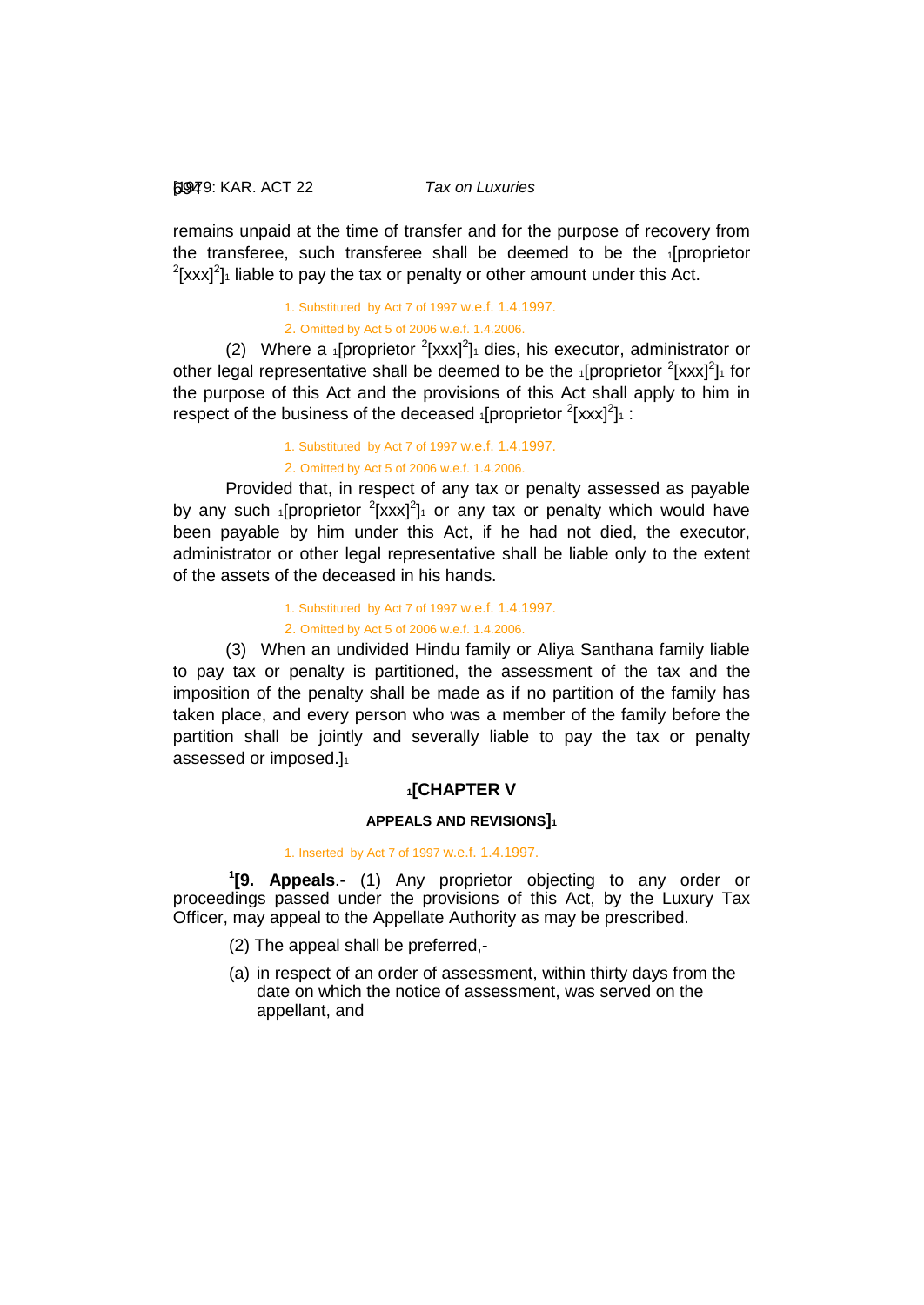### [1979: 694 KAR. ACT 22 *Tax on Luxuries*

remains unpaid at the time of transfer and for the purpose of recovery from the transferee, such transferee shall be deemed to be the 1[proprietor  $^{2}$ [xxx]<sup>2</sup>]<sub>1</sub> liable to pay the tax or penalty or other amount under this Act.

> 1. Substituted by Act 7 of 1997 w.e.f. 1.4.1997. 2. Omitted by Act 5 of 2006 w.e.f. 1.4.2006.

(2) Where a 1[proprietor  $2$ [xxx] $2$ ]1 dies, his executor, administrator or other legal representative shall be deemed to be the  $_1$ [proprietor  $^2$ [xxx] $^2$ ] $_1$  for the purpose of this Act and the provisions of this Act shall apply to him in respect of the business of the deceased  $_1$ [proprietor  $^2$ [xxx] $^2$ ] $_1$  :

> 1. Substituted by Act 7 of 1997 w.e.f. 1.4.1997. 2. Omitted by Act 5 of 2006 w.e.f. 1.4.2006.

Provided that, in respect of any tax or penalty assessed as payable by any such  $\frac{1}{1}$ [proprietor  $\frac{2}{x}$ [xxx]<sup>2</sup>] $\frac{1}{x}$  or any tax or penalty which would have been payable by him under this Act, if he had not died, the executor, administrator or other legal representative shall be liable only to the extent of the assets of the deceased in his hands.

> 1. Substituted by Act 7 of 1997 w.e.f. 1.4.1997. 2. Omitted by Act 5 of 2006 w.e.f. 1.4.2006.

(3) When an undivided Hindu family or Aliya Santhana family liable to pay tax or penalty is partitioned, the assessment of the tax and the imposition of the penalty shall be made as if no partition of the family has taken place, and every person who was a member of the family before the partition shall be jointly and severally liable to pay the tax or penalty assessed or imposed.]1

### **1[CHAPTER V**

#### **APPEALS AND REVISIONS]1**

#### 1. Inserted by Act 7 of 1997 w.e.f. 1.4.1997.

**1 [9. Appeals**.- (1) Any proprietor objecting to any order or proceedings passed under the provisions of this Act, by the Luxury Tax Officer, may appeal to the Appellate Authority as may be prescribed.

- (2) The appeal shall be preferred,-
- (a) in respect of an order of assessment, within thirty days from the date on which the notice of assessment, was served on the appellant, and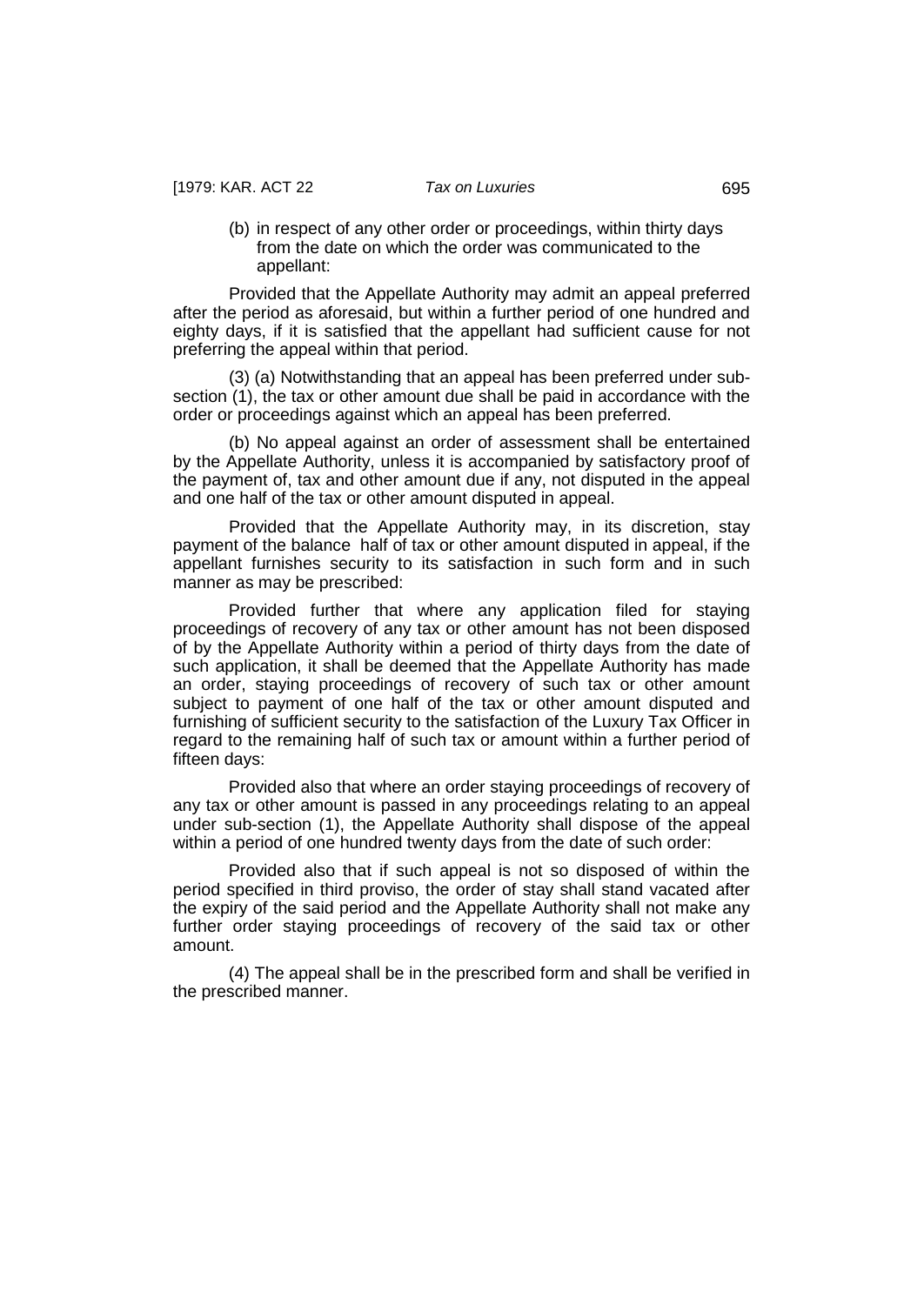(b) in respect of any other order or proceedings, within thirty days from the date on which the order was communicated to the appellant:

Provided that the Appellate Authority may admit an appeal preferred after the period as aforesaid, but within a further period of one hundred and eighty days, if it is satisfied that the appellant had sufficient cause for not preferring the appeal within that period.

(3) (a) Notwithstanding that an appeal has been preferred under subsection (1), the tax or other amount due shall be paid in accordance with the order or proceedings against which an appeal has been preferred.

(b) No appeal against an order of assessment shall be entertained by the Appellate Authority, unless it is accompanied by satisfactory proof of the payment of, tax and other amount due if any, not disputed in the appeal and one half of the tax or other amount disputed in appeal.

Provided that the Appellate Authority may, in its discretion, stay payment of the balance half of tax or other amount disputed in appeal, if the appellant furnishes security to its satisfaction in such form and in such manner as may be prescribed:

Provided further that where any application filed for staying proceedings of recovery of any tax or other amount has not been disposed of by the Appellate Authority within a period of thirty days from the date of such application, it shall be deemed that the Appellate Authority has made an order, staying proceedings of recovery of such tax or other amount subject to payment of one half of the tax or other amount disputed and furnishing of sufficient security to the satisfaction of the Luxury Tax Officer in regard to the remaining half of such tax or amount within a further period of fifteen days:

Provided also that where an order staying proceedings of recovery of any tax or other amount is passed in any proceedings relating to an appeal under sub-section (1), the Appellate Authority shall dispose of the appeal within a period of one hundred twenty days from the date of such order:

Provided also that if such appeal is not so disposed of within the period specified in third proviso, the order of stay shall stand vacated after the expiry of the said period and the Appellate Authority shall not make any further order staying proceedings of recovery of the said tax or other amount.

(4) The appeal shall be in the prescribed form and shall be verified in the prescribed manner.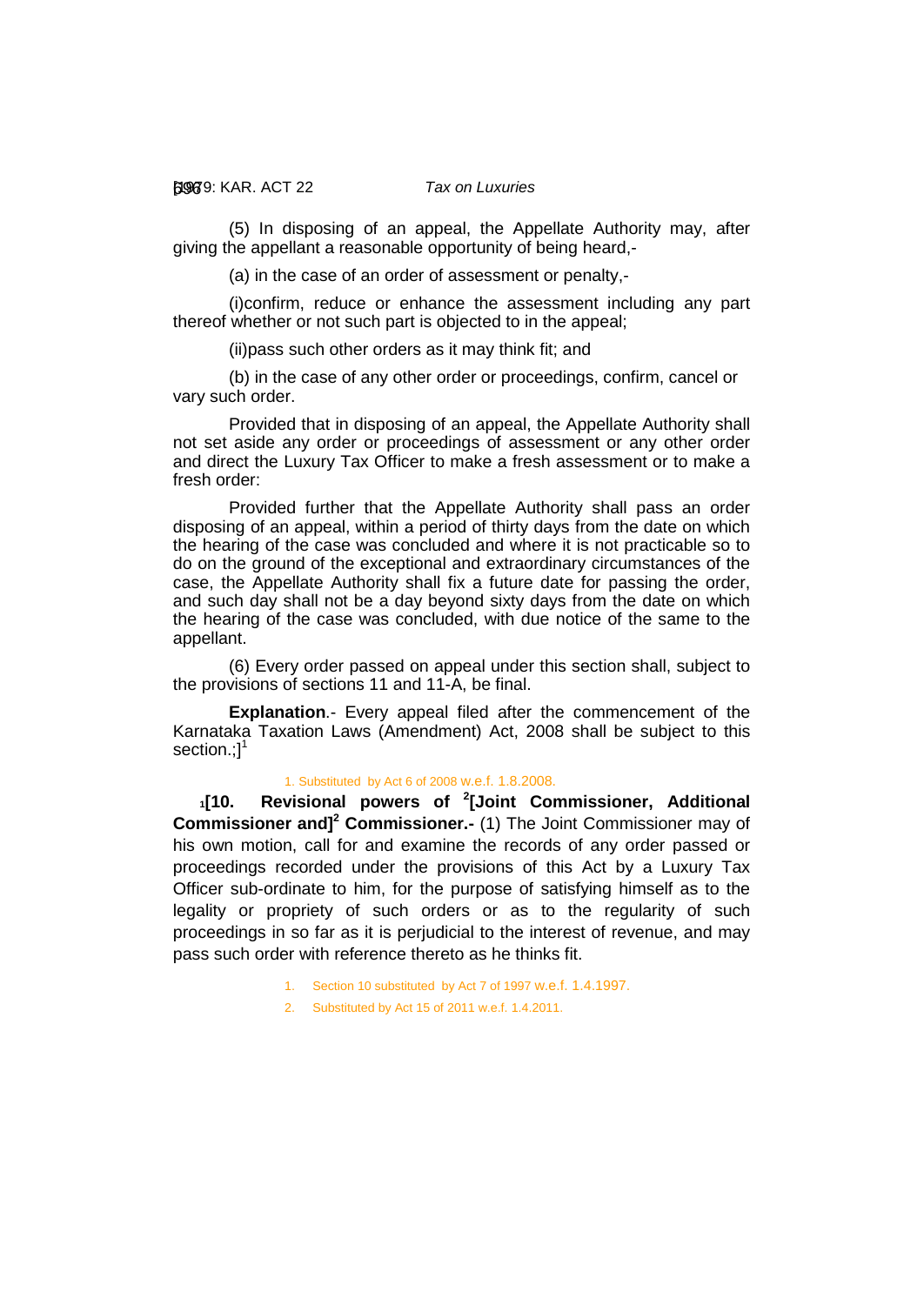[1979: 696 KAR. ACT 22 *Tax on Luxuries*

(5) In disposing of an appeal, the Appellate Authority may, after giving the appellant a reasonable opportunity of being heard,-

(a) in the case of an order of assessment or penalty,-

(i)confirm, reduce or enhance the assessment including any part thereof whether or not such part is objected to in the appeal;

(ii)pass such other orders as it may think fit; and

(b) in the case of any other order or proceedings, confirm, cancel or vary such order.

Provided that in disposing of an appeal, the Appellate Authority shall not set aside any order or proceedings of assessment or any other order and direct the Luxury Tax Officer to make a fresh assessment or to make a fresh order:

Provided further that the Appellate Authority shall pass an order disposing of an appeal, within a period of thirty days from the date on which the hearing of the case was concluded and where it is not practicable so to do on the ground of the exceptional and extraordinary circumstances of the case, the Appellate Authority shall fix a future date for passing the order, and such day shall not be a day beyond sixty days from the date on which the hearing of the case was concluded, with due notice of the same to the appellant.

(6) Every order passed on appeal under this section shall, subject to the provisions of sections 11 and 11-A, be final.

**Explanation**.- Every appeal filed after the commencement of the Karnataka Taxation Laws (Amendment) Act, 2008 shall be subject to this section.;<sup>11</sup>

#### <span id="page-38-0"></span>1. Substituted by Act 6 of 2008 w.e.f. 1.8.2008.

**1[10. Revisional powers of <sup>2</sup> [Joint Commissioner, Additional Commissioner and]<sup>2</sup> Commissioner.-** (1) The Joint Commissioner may of his own motion, call for and examine the records of any order passed or proceedings recorded under the provisions of this Act by a Luxury Tax Officer sub-ordinate to him, for the purpose of satisfying himself as to the legality or propriety of such orders or as to the regularity of such proceedings in so far as it is perjudicial to the interest of revenue, and may pass such order with reference thereto as he thinks fit.

- 1. Section 10 substituted by Act 7 of 1997 w.e.f. 1.4.1997.
- 2. Substituted by Act 15 of 2011 w.e.f. 1.4.2011.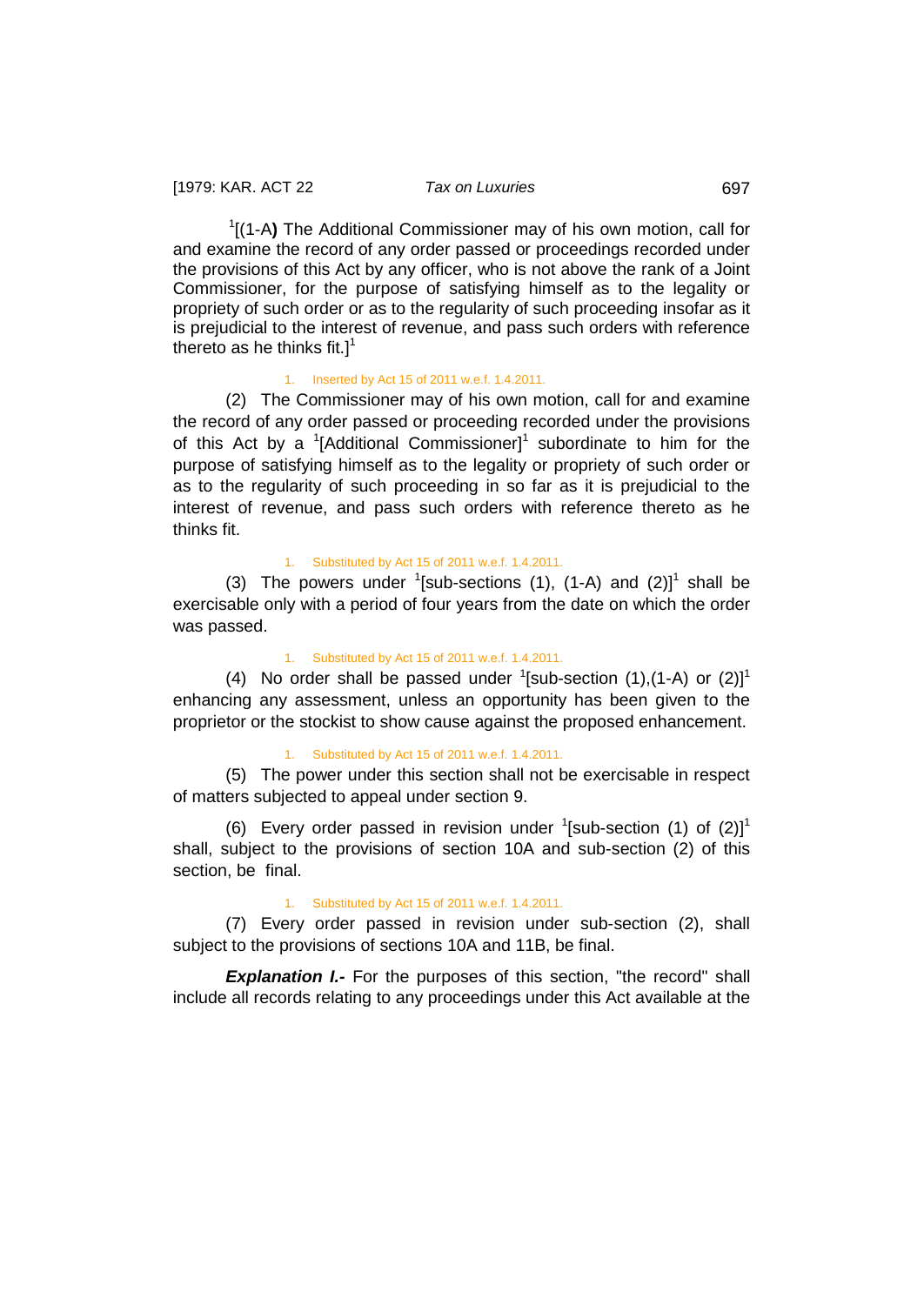1 [(1-A**)** The Additional Commissioner may of his own motion, call for and examine the record of any order passed or proceedings recorded under the provisions of this Act by any officer, who is not above the rank of a Joint Commissioner, for the purpose of satisfying himself as to the legality or propriety of such order or as to the regularity of such proceeding insofar as it is prejudicial to the interest of revenue, and pass such orders with reference thereto as he thinks fit.]<sup>1</sup>

#### 1. Inserted by Act 15 of 2011 w.e.f. 1.4.2011.

(2) The Commissioner may of his own motion, call for and examine the record of any order passed or proceeding recorded under the provisions of this Act by a  $\textsuperscript{1}$  [Additional Commissioner]<sup>1</sup> subordinate to him for the purpose of satisfying himself as to the legality or propriety of such order or as to the regularity of such proceeding in so far as it is prejudicial to the interest of revenue, and pass such orders with reference thereto as he thinks fit.

#### 1. Substituted by Act 15 of 2011 w.e.f. 1.4.2011.

(3) The powers under  $\frac{1}{2}$ [sub-sections (1), (1-A) and (2)]<sup>1</sup> shall be exercisable only with a period of four years from the date on which the order was passed.

#### 1. Substituted by Act 15 of 2011 w.e.f. 1.4.2011.

(4) No order shall be passed under  $\left[5 \right]$  section (1), (1-A) or (2)]<sup>1</sup> enhancing any assessment, unless an opportunity has been given to the proprietor or the stockist to show cause against the proposed enhancement.

### 1. Substituted by Act 15 of 2011 w.e.f. 1.4.2011.

(5) The power under this section shall not be exercisable in respect of matters subjected to appeal under section 9.

(6) Every order passed in revision under  $\frac{1}{2}$ [sub-section (1) of (2)]<sup>1</sup> shall, subject to the provisions of section 10A and sub-section (2) of this section, be final.

#### 1. Substituted by Act 15 of 2011 w.e.f. 1.4.2011.

(7) Every order passed in revision under sub-section (2), shall subject to the provisions of sections 10A and 11B, be final.

**Explanation I.-** For the purposes of this section, "the record" shall include all records relating to any proceedings under this Act available at the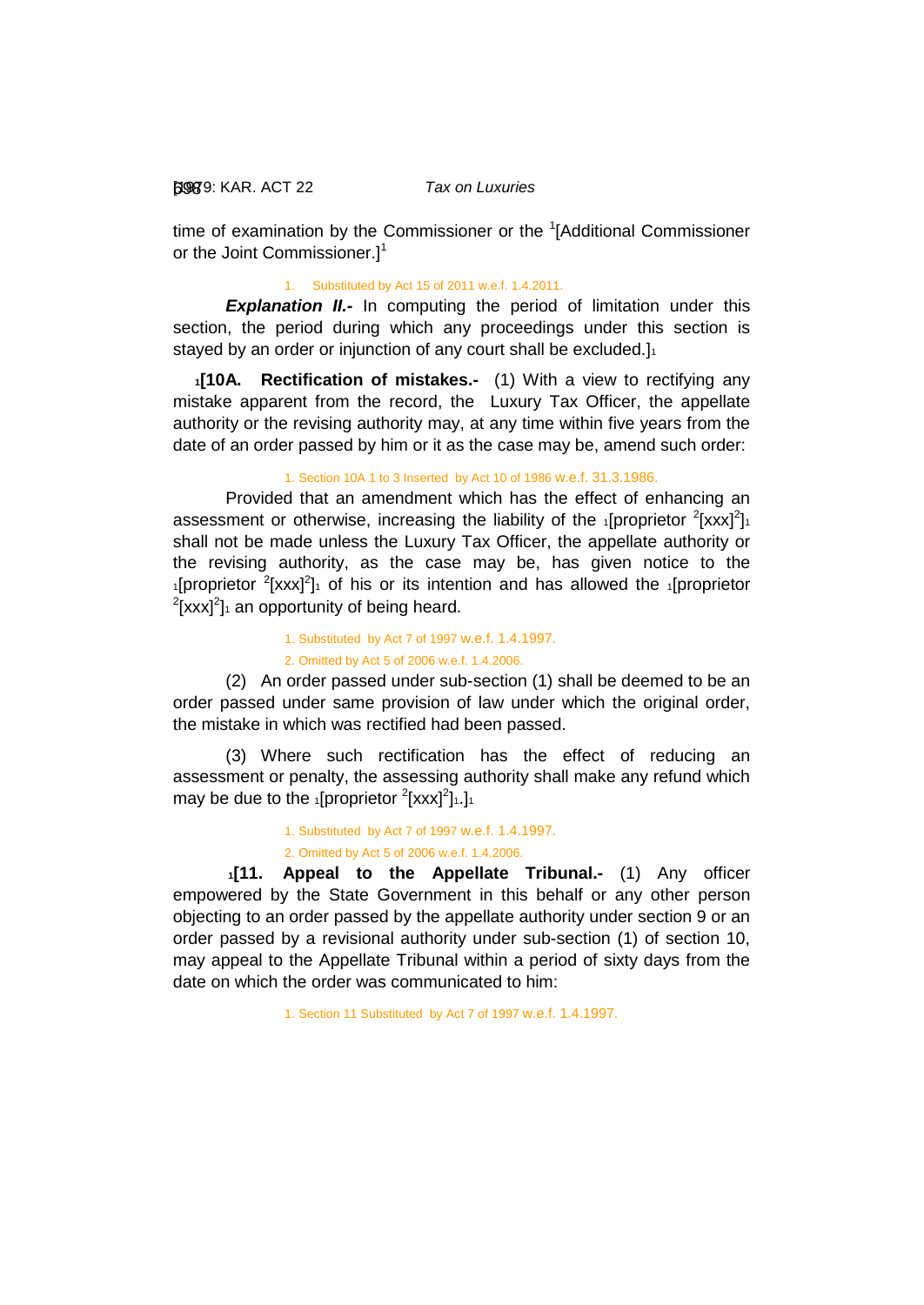[1979: 698 KAR. ACT 22 *Tax on Luxuries*

time of examination by the Commissioner or the <sup>1</sup>[Additional Commissioner or the Joint Commissioner.<sup>1</sup>

1. Substituted by Act 15 of 2011 w.e.f. 1.4.2011.

**Explanation II.-** In computing the period of limitation under this section, the period during which any proceedings under this section is stayed by an order or injunction of any court shall be excluded.]<sup>1</sup>

<span id="page-40-0"></span>**1[10A. Rectification of mistakes.-** (1) With a view to rectifying any mistake apparent from the record, the Luxury Tax Officer, the appellate authority or the revising authority may, at any time within five years from the date of an order passed by him or it as the case may be, amend such order:

1. Section 10A 1 to 3 Inserted by Act 10 of 1986 w.e.f. 31.3.1986.

Provided that an amendment which has the effect of enhancing an assessment or otherwise, increasing the liability of the  $_1$ [proprietor  $^2$ [xxx]<sup>2</sup>]<sup>1</sup> shall not be made unless the Luxury Tax Officer, the appellate authority or the revising authority, as the case may be, has given notice to the  $1$ [proprietor  $2$ [xxx] $2$ ] $1$  of his or its intention and has allowed the  $1$ [proprietor  $2$ [xxx] $2$ ]<sub>1</sub> an opportunity of being heard.

> 1. Substituted by Act 7 of 1997 w.e.f. 1.4.1997. 2. Omitted by Act 5 of 2006 w.e.f. 1.4.2006.

(2) An order passed under sub-section (1) shall be deemed to be an order passed under same provision of law under which the original order, the mistake in which was rectified had been passed.

(3) Where such rectification has the effect of reducing an assessment or penalty, the assessing authority shall make any refund which may be due to the  $_1$ [proprietor  $^2$ [xxx] $^2$ ] $_1$ .] $_1$ 

1. Substituted by Act 7 of 1997 w.e.f. 1.4.1997.

<span id="page-40-1"></span>2. Omitted by Act 5 of 2006 w.e.f. 1.4.2006.

**1[11. Appeal to the Appellate Tribunal.-** (1) Any officer empowered by the State Government in this behalf or any other person objecting to an order passed by the appellate authority under section 9 or an order passed by a revisional authority under sub-section (1) of section 10, may appeal to the Appellate Tribunal within a period of sixty days from the date on which the order was communicated to him:

1. Section 11 Substituted by Act 7 of 1997 w.e.f. 1.4.1997.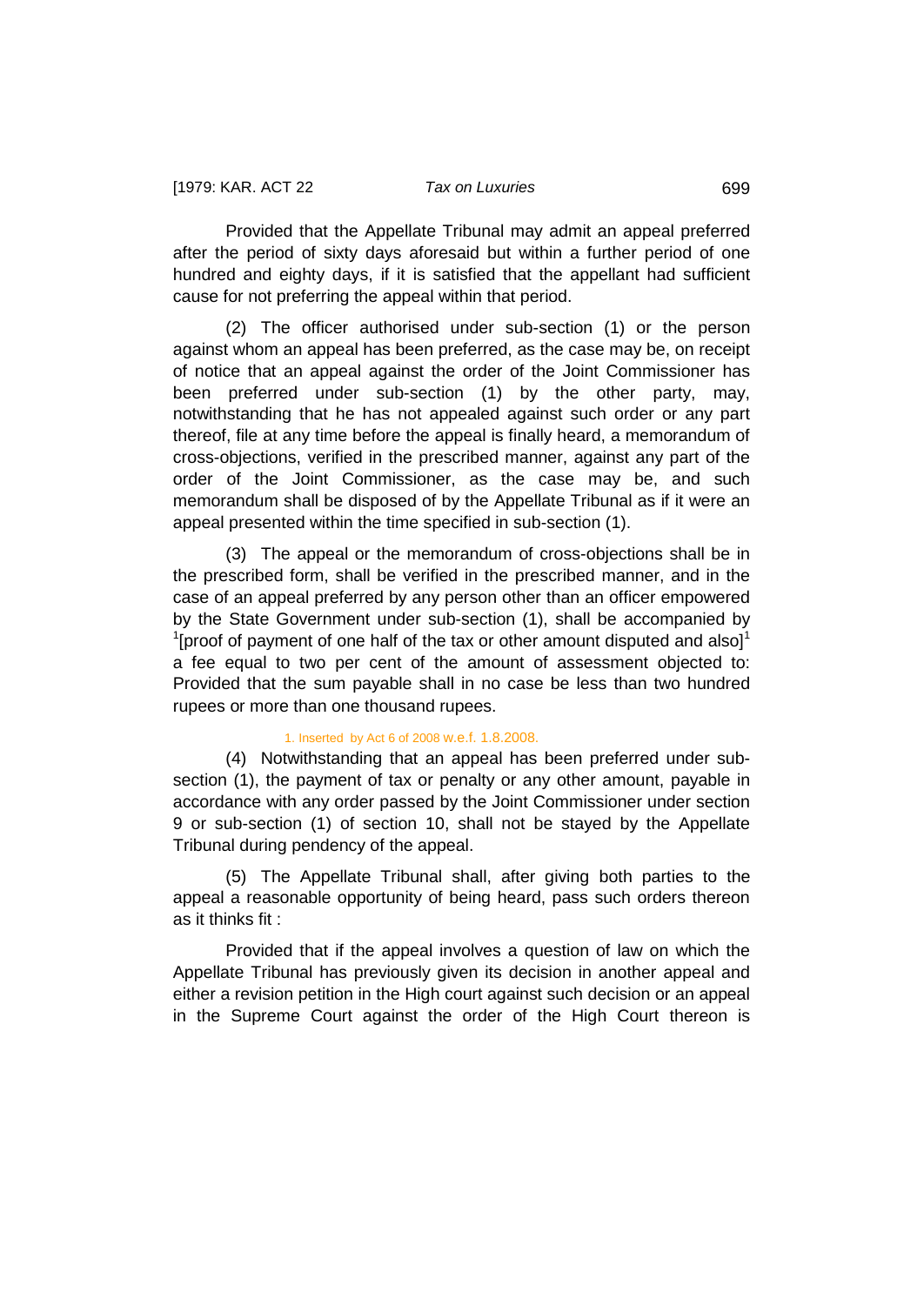Provided that the Appellate Tribunal may admit an appeal preferred after the period of sixty days aforesaid but within a further period of one hundred and eighty days, if it is satisfied that the appellant had sufficient cause for not preferring the appeal within that period.

(2) The officer authorised under sub-section (1) or the person against whom an appeal has been preferred, as the case may be, on receipt of notice that an appeal against the order of the Joint Commissioner has been preferred under sub-section (1) by the other party, may, notwithstanding that he has not appealed against such order or any part thereof, file at any time before the appeal is finally heard, a memorandum of cross-objections, verified in the prescribed manner, against any part of the order of the Joint Commissioner, as the case may be, and such memorandum shall be disposed of by the Appellate Tribunal as if it were an appeal presented within the time specified in sub-section (1).

(3) The appeal or the memorandum of cross-objections shall be in the prescribed form, shall be verified in the prescribed manner, and in the case of an appeal preferred by any person other than an officer empowered by the State Government under sub-section (1), shall be accompanied by  $1$ [proof of payment of one half of the tax or other amount disputed and also]<sup>1</sup> a fee equal to two per cent of the amount of assessment objected to: Provided that the sum payable shall in no case be less than two hundred rupees or more than one thousand rupees.

### 1. Inserted by Act 6 of 2008 w.e.f. 1.8.2008.

(4) Notwithstanding that an appeal has been preferred under subsection (1), the payment of tax or penalty or any other amount, payable in accordance with any order passed by the Joint Commissioner under section 9 or sub-section (1) of section 10, shall not be stayed by the Appellate Tribunal during pendency of the appeal.

(5) The Appellate Tribunal shall, after giving both parties to the appeal a reasonable opportunity of being heard, pass such orders thereon as it thinks fit :

Provided that if the appeal involves a question of law on which the Appellate Tribunal has previously given its decision in another appeal and either a revision petition in the High court against such decision or an appeal in the Supreme Court against the order of the High Court thereon is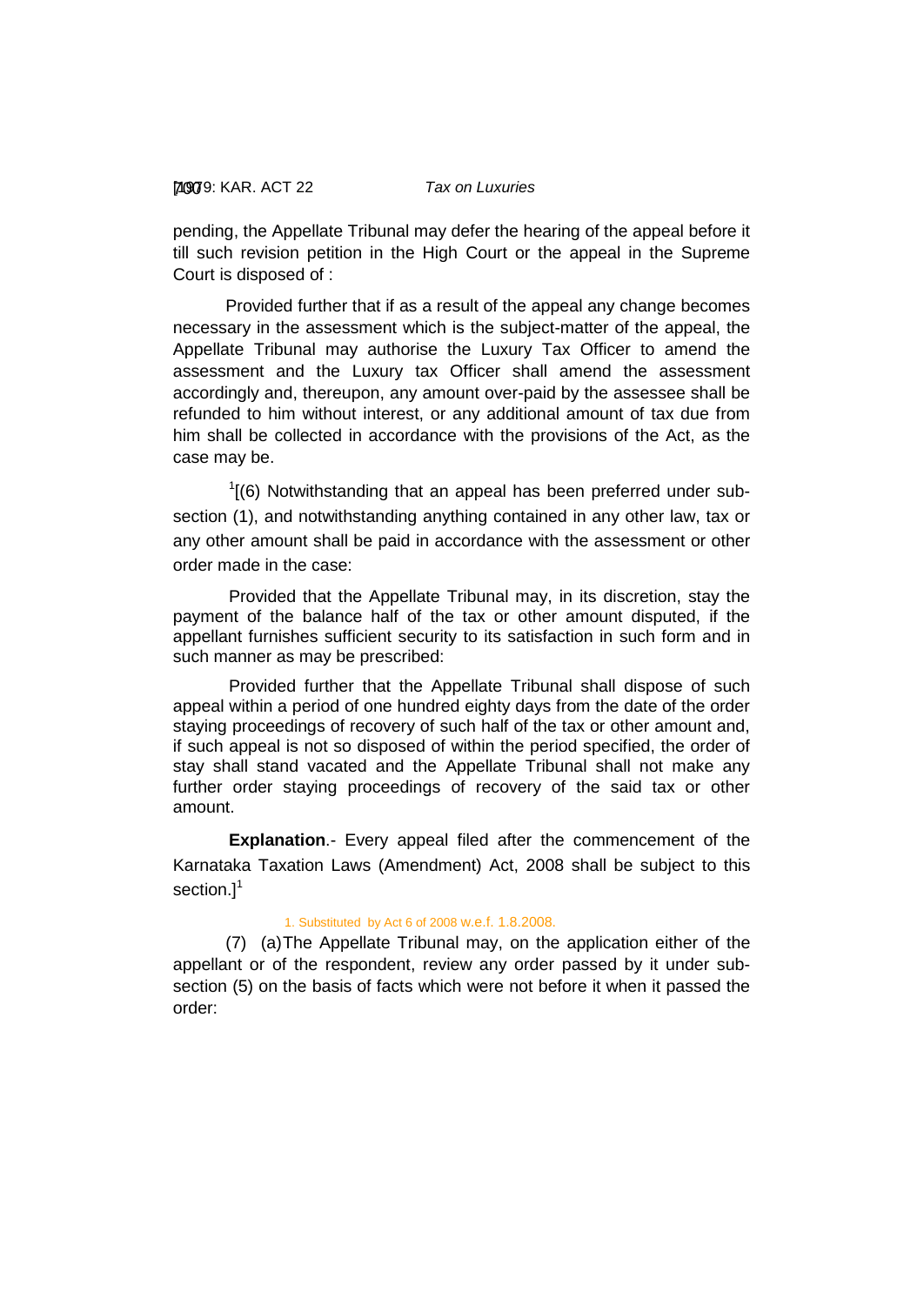pending, the Appellate Tribunal may defer the hearing of the appeal before it till such revision petition in the High Court or the appeal in the Supreme Court is disposed of :

Provided further that if as a result of the appeal any change becomes necessary in the assessment which is the subject-matter of the appeal, the Appellate Tribunal may authorise the Luxury Tax Officer to amend the assessment and the Luxury tax Officer shall amend the assessment accordingly and, thereupon, any amount over-paid by the assessee shall be refunded to him without interest, or any additional amount of tax due from him shall be collected in accordance with the provisions of the Act, as the case may be.

 $1(6)$  Notwithstanding that an appeal has been preferred under subsection (1), and notwithstanding anything contained in any other law, tax or any other amount shall be paid in accordance with the assessment or other order made in the case:

 Provided that the Appellate Tribunal may, in its discretion, stay the payment of the balance half of the tax or other amount disputed, if the appellant furnishes sufficient security to its satisfaction in such form and in such manner as may be prescribed:

Provided further that the Appellate Tribunal shall dispose of such appeal within a period of one hundred eighty days from the date of the order staying proceedings of recovery of such half of the tax or other amount and, if such appeal is not so disposed of within the period specified, the order of stay shall stand vacated and the Appellate Tribunal shall not make any further order staying proceedings of recovery of the said tax or other amount.

**Explanation**.- Every appeal filed after the commencement of the Karnataka Taxation Laws (Amendment) Act, 2008 shall be subject to this section.]<sup>1</sup>

#### 1. Substituted by Act 6 of 2008 w.e.f. 1.8.2008.

(7) (a)The Appellate Tribunal may, on the application either of the appellant or of the respondent, review any order passed by it under subsection (5) on the basis of facts which were not before it when it passed the order: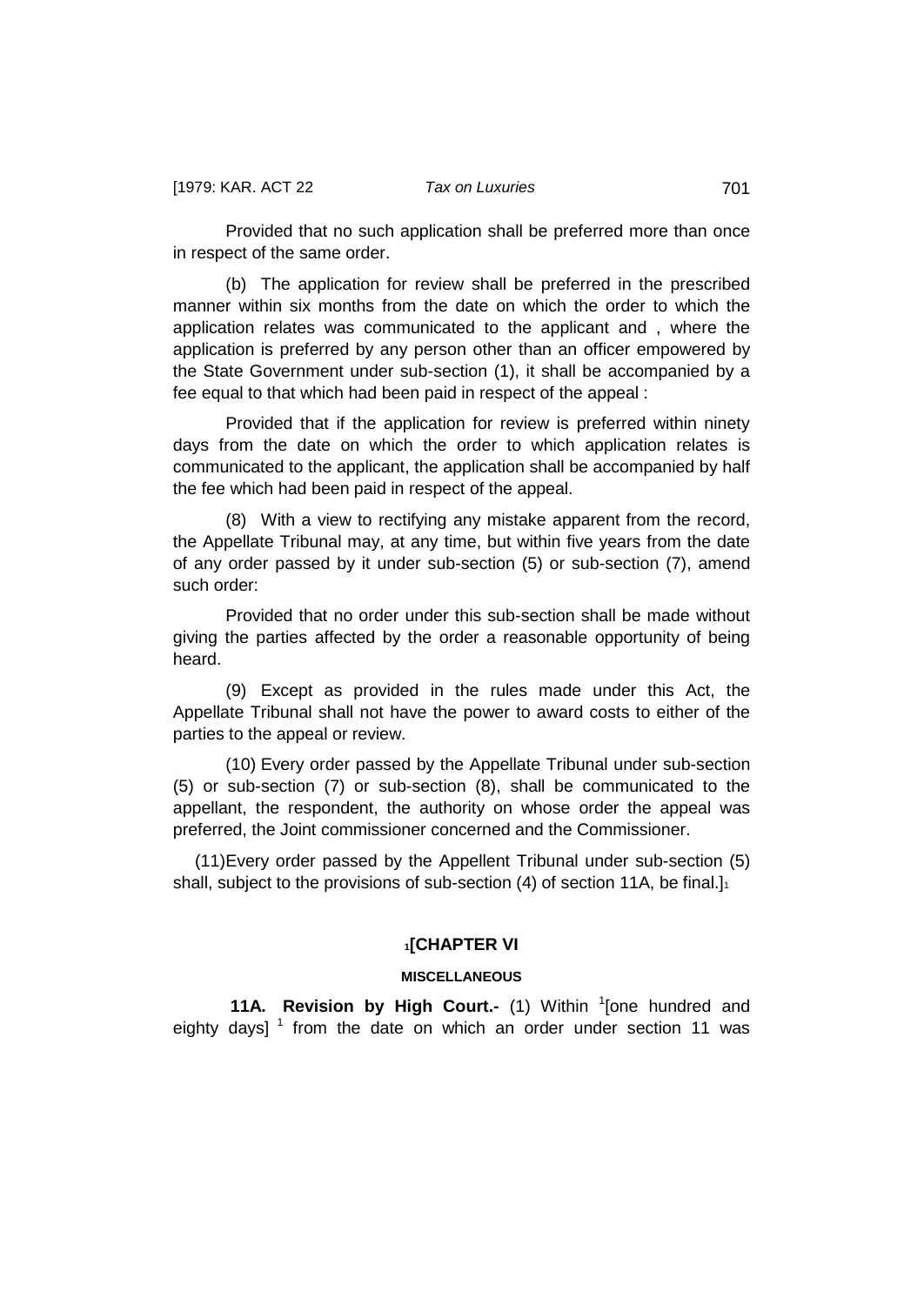Provided that no such application shall be preferred more than once in respect of the same order.

(b) The application for review shall be preferred in the prescribed manner within six months from the date on which the order to which the application relates was communicated to the applicant and , where the application is preferred by any person other than an officer empowered by the State Government under sub-section (1), it shall be accompanied by a fee equal to that which had been paid in respect of the appeal :

Provided that if the application for review is preferred within ninety days from the date on which the order to which application relates is communicated to the applicant, the application shall be accompanied by half the fee which had been paid in respect of the appeal.

(8) With a view to rectifying any mistake apparent from the record, the Appellate Tribunal may, at any time, but within five years from the date of any order passed by it under sub-section (5) or sub-section (7), amend such order:

Provided that no order under this sub-section shall be made without giving the parties affected by the order a reasonable opportunity of being heard.

(9) Except as provided in the rules made under this Act, the Appellate Tribunal shall not have the power to award costs to either of the parties to the appeal or review.

 (10) Every order passed by the Appellate Tribunal under sub-section (5) or sub-section (7) or sub-section (8), shall be communicated to the appellant, the respondent, the authority on whose order the appeal was preferred, the Joint commissioner concerned and the Commissioner.

 (11)Every order passed by the Appellent Tribunal under sub-section (5) shall, subject to the provisions of sub-section (4) of section 11A, be final. $\mathbf{I}_1$ 

### **1[CHAPTER VI**

# **MISCELLANEOUS**

<span id="page-43-0"></span>**11A. Revision by High Court.-** (1) Within <sup>1</sup> [one hundred and eighty days]  $<sup>1</sup>$  from the date on which an order under section 11 was</sup>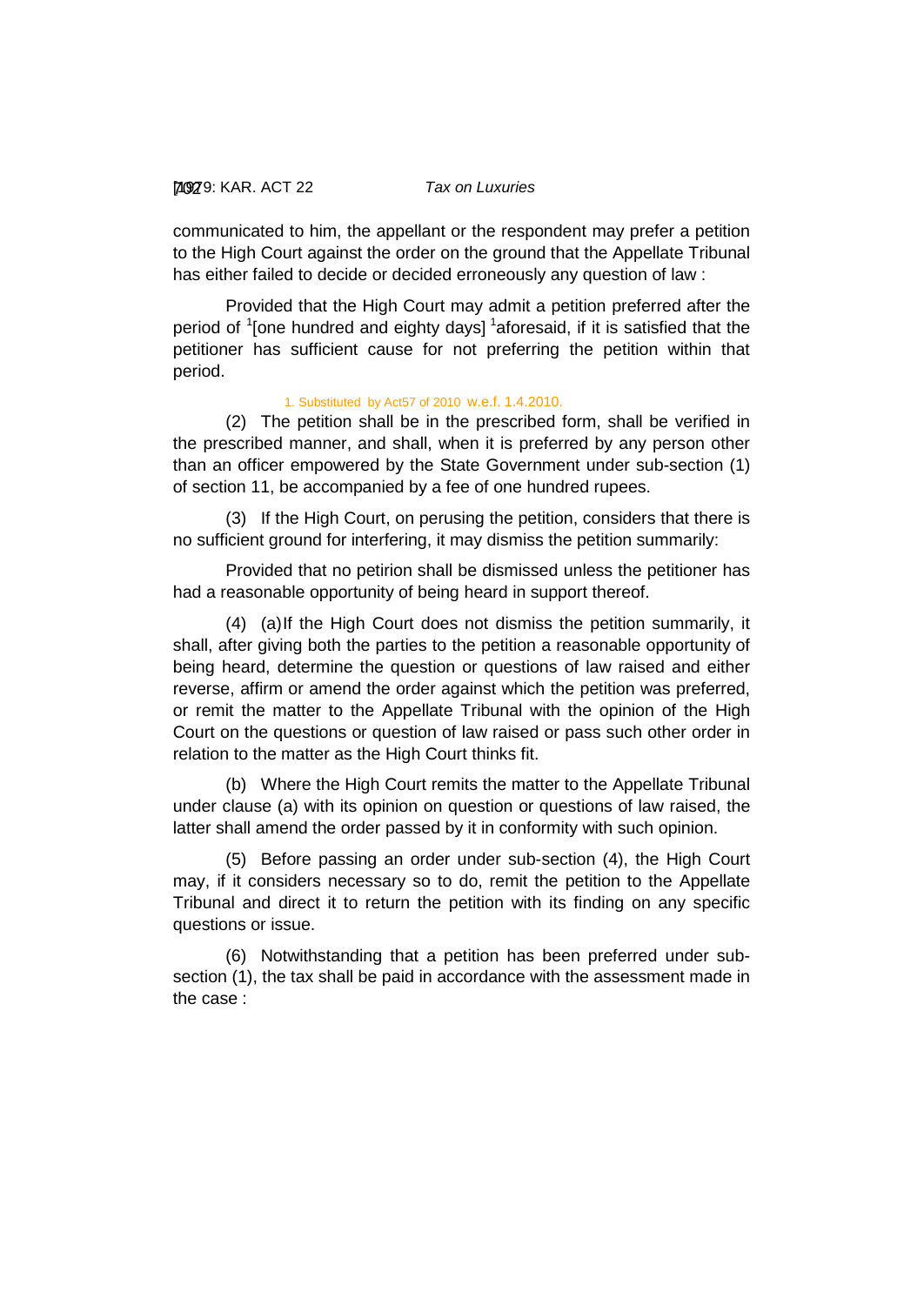### [1979: 702 KAR. ACT 22 *Tax on Luxuries*

communicated to him, the appellant or the respondent may prefer a petition to the High Court against the order on the ground that the Appellate Tribunal has either failed to decide or decided erroneously any question of law :

Provided that the High Court may admit a petition preferred after the period of <sup>1</sup>[one hundred and eighty days] <sup>1</sup>aforesaid, if it is satisfied that the petitioner has sufficient cause for not preferring the petition within that period.

### 1. Substituted by Act57 of 2010 w.e.f. 1.4.2010.

(2) The petition shall be in the prescribed form, shall be verified in the prescribed manner, and shall, when it is preferred by any person other than an officer empowered by the State Government under sub-section (1) of section 11, be accompanied by a fee of one hundred rupees.

(3) If the High Court, on perusing the petition, considers that there is no sufficient ground for interfering, it may dismiss the petition summarily:

Provided that no petirion shall be dismissed unless the petitioner has had a reasonable opportunity of being heard in support thereof.

(4) (a)If the High Court does not dismiss the petition summarily, it shall, after giving both the parties to the petition a reasonable opportunity of being heard, determine the question or questions of law raised and either reverse, affirm or amend the order against which the petition was preferred, or remit the matter to the Appellate Tribunal with the opinion of the High Court on the questions or question of law raised or pass such other order in relation to the matter as the High Court thinks fit.

(b) Where the High Court remits the matter to the Appellate Tribunal under clause (a) with its opinion on question or questions of law raised, the latter shall amend the order passed by it in conformity with such opinion.

(5) Before passing an order under sub-section (4), the High Court may, if it considers necessary so to do, remit the petition to the Appellate Tribunal and direct it to return the petition with its finding on any specific questions or issue.

(6) Notwithstanding that a petition has been preferred under subsection (1), the tax shall be paid in accordance with the assessment made in the case :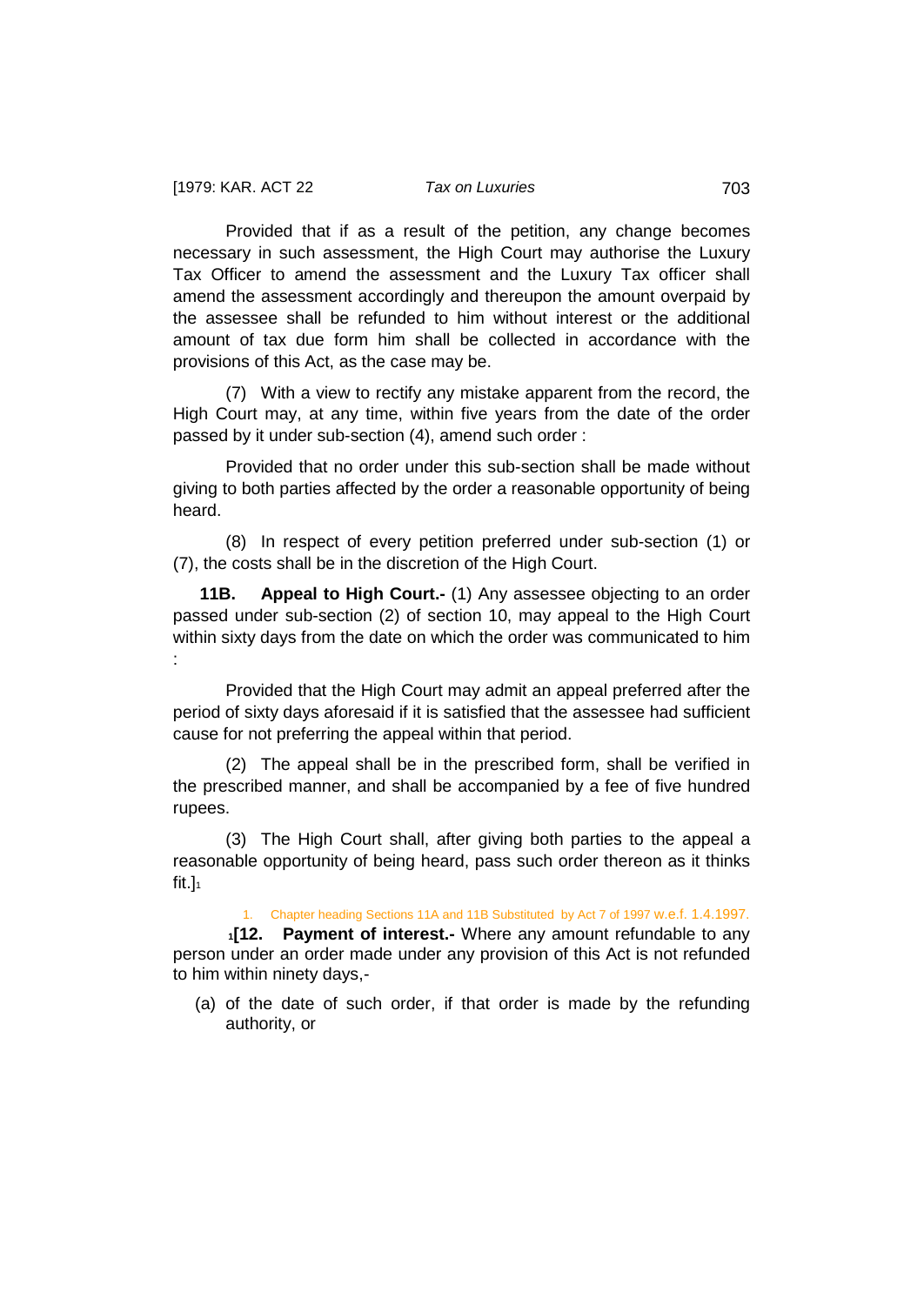Provided that if as a result of the petition, any change becomes necessary in such assessment, the High Court may authorise the Luxury Tax Officer to amend the assessment and the Luxury Tax officer shall amend the assessment accordingly and thereupon the amount overpaid by the assessee shall be refunded to him without interest or the additional amount of tax due form him shall be collected in accordance with the provisions of this Act, as the case may be.

(7) With a view to rectify any mistake apparent from the record, the High Court may, at any time, within five years from the date of the order passed by it under sub-section (4), amend such order :

Provided that no order under this sub-section shall be made without giving to both parties affected by the order a reasonable opportunity of being heard.

(8) In respect of every petition preferred under sub-section (1) or (7), the costs shall be in the discretion of the High Court.

<span id="page-45-0"></span>**11B. Appeal to High Court.-** (1) Any assessee objecting to an order passed under sub-section (2) of section 10, may appeal to the High Court within sixty days from the date on which the order was communicated to him :

Provided that the High Court may admit an appeal preferred after the period of sixty days aforesaid if it is satisfied that the assessee had sufficient cause for not preferring the appeal within that period.

(2) The appeal shall be in the prescribed form, shall be verified in the prescribed manner, and shall be accompanied by a fee of five hundred rupees.

(3) The High Court shall, after giving both parties to the appeal a reasonable opportunity of being heard, pass such order thereon as it thinks fit.] $1$ 

<span id="page-45-1"></span>1. Chapter heading Sections 11A and 11B Substituted by Act 7 of 1997 w.e.f. 1.4.1997.

**1[12. Payment of interest.-** Where any amount refundable to any person under an order made under any provision of this Act is not refunded to him within ninety days,-

(a) of the date of such order, if that order is made by the refunding authority, or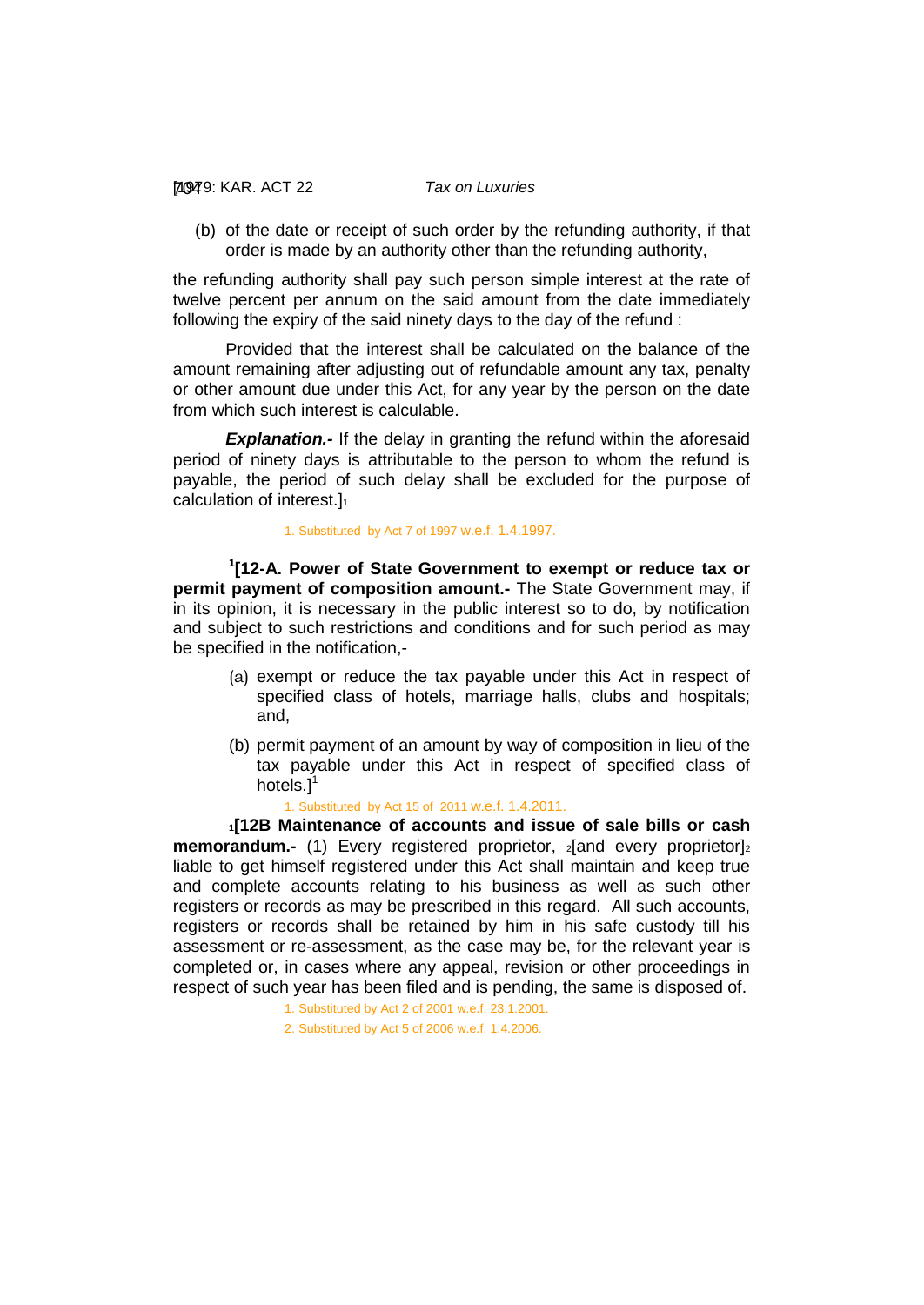[1979: 704 KAR. ACT 22 *Tax on Luxuries*

(b) of the date or receipt of such order by the refunding authority, if that order is made by an authority other than the refunding authority,

the refunding authority shall pay such person simple interest at the rate of twelve percent per annum on the said amount from the date immediately following the expiry of the said ninety days to the day of the refund :

Provided that the interest shall be calculated on the balance of the amount remaining after adjusting out of refundable amount any tax, penalty or other amount due under this Act, for any year by the person on the date from which such interest is calculable.

**Explanation.-** If the delay in granting the refund within the aforesaid period of ninety days is attributable to the person to whom the refund is payable, the period of such delay shall be excluded for the purpose of calculation of interest.]<sup>1</sup>

1. Substituted by Act 7 of 1997 w.e.f. 1.4.1997.

**1 [12-A. Power of State Government to exempt or reduce tax or permit payment of composition amount.-** The State Government may, if in its opinion, it is necessary in the public interest so to do, by notification and subject to such restrictions and conditions and for such period as may be specified in the notification,-

- (a) exempt or reduce the tax payable under this Act in respect of specified class of hotels, marriage halls, clubs and hospitals; and,
- (b) permit payment of an amount by way of composition in lieu of the tax payable under this Act in respect of specified class of hotels. $l^1$

<span id="page-46-0"></span>1. Substituted by Act 15 of 2011 w.e.f. 1.4.2011.

**1[12B Maintenance of accounts and issue of sale bills or cash memorandum.-** (1) Every registered proprietor, 2 and every proprietor]2 liable to get himself registered under this Act shall maintain and keep true and complete accounts relating to his business as well as such other registers or records as may be prescribed in this regard. All such accounts, registers or records shall be retained by him in his safe custody till his assessment or re-assessment, as the case may be, for the relevant year is completed or, in cases where any appeal, revision or other proceedings in respect of such year has been filed and is pending, the same is disposed of.

> 1. Substituted by Act 2 of 2001 w.e.f. 23.1.2001. 2. Substituted by Act 5 of 2006 w.e.f. 1.4.2006.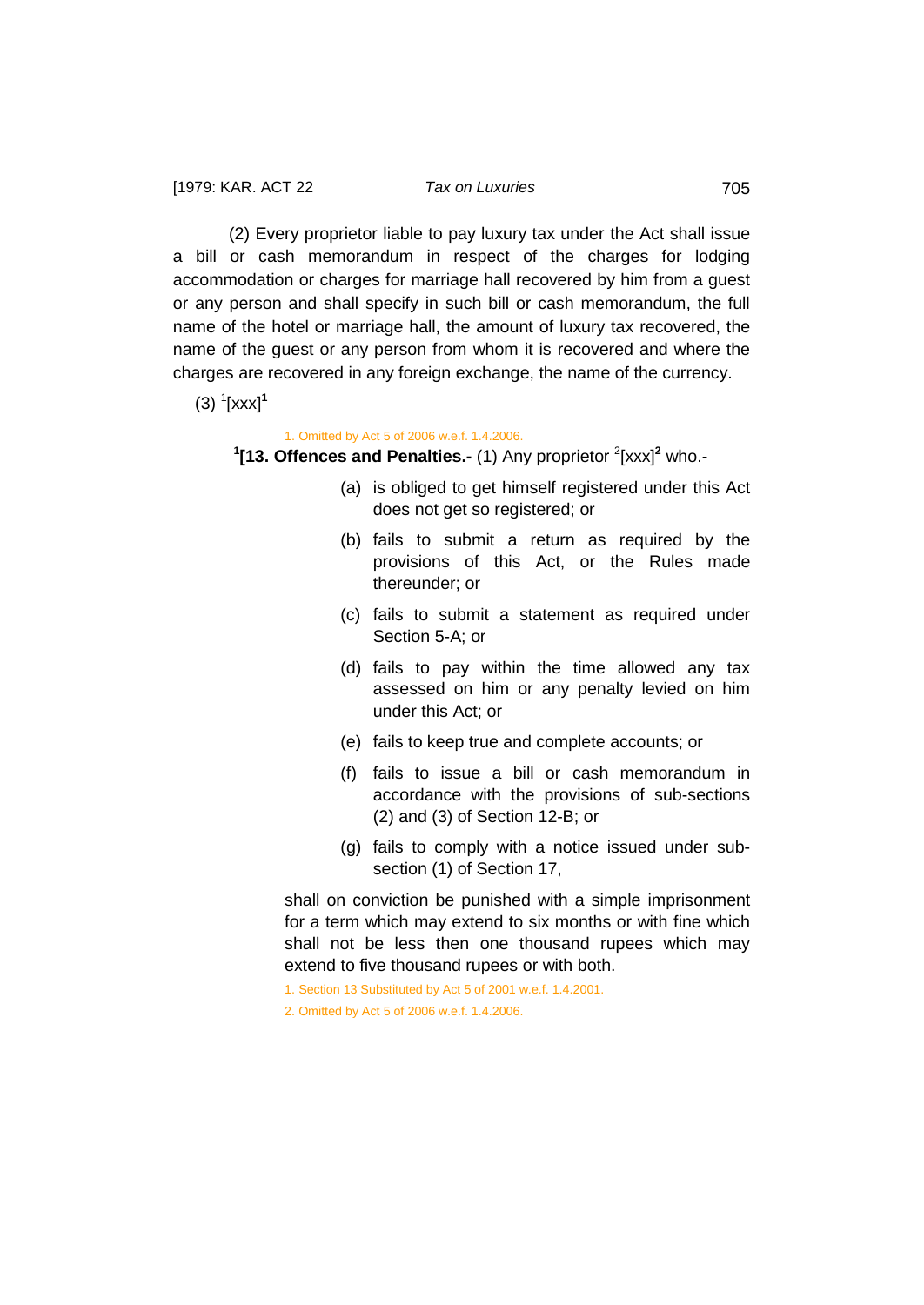(2) Every proprietor liable to pay luxury tax under the Act shall issue a bill or cash memorandum in respect of the charges for lodging accommodation or charges for marriage hall recovered by him from a guest or any person and shall specify in such bill or cash memorandum, the full name of the hotel or marriage hall, the amount of luxury tax recovered, the name of the guest or any person from whom it is recovered and where the charges are recovered in any foreign exchange, the name of the currency.

(3) <sup>1</sup> [xxx]**<sup>1</sup>**

#### <span id="page-47-0"></span>1. Omitted by Act 5 of 2006 w.e.f. 1.4.2006.

<sup>1</sup>[13. Offences and Penalties.- (1) Any proprietor <sup>2</sup>[xxx]<sup>2</sup> who.-

- (a) is obliged to get himself registered under this Act does not get so registered; or
- (b) fails to submit a return as required by the provisions of this Act, or the Rules made thereunder; or
- (c) fails to submit a statement as required under Section 5-A; or
- (d) fails to pay within the time allowed any tax assessed on him or any penalty levied on him under this Act; or
- (e) fails to keep true and complete accounts; or
- (f) fails to issue a bill or cash memorandum in accordance with the provisions of sub-sections (2) and (3) of Section 12-B; or
- (g) fails to comply with a notice issued under subsection (1) of Section 17,

shall on conviction be punished with a simple imprisonment for a term which may extend to six months or with fine which shall not be less then one thousand rupees which may extend to five thousand rupees or with both.

1. Section 13 Substituted by Act 5 of 2001 w.e.f. 1.4.2001.

2. Omitted by Act 5 of 2006 w.e.f. 1.4.2006.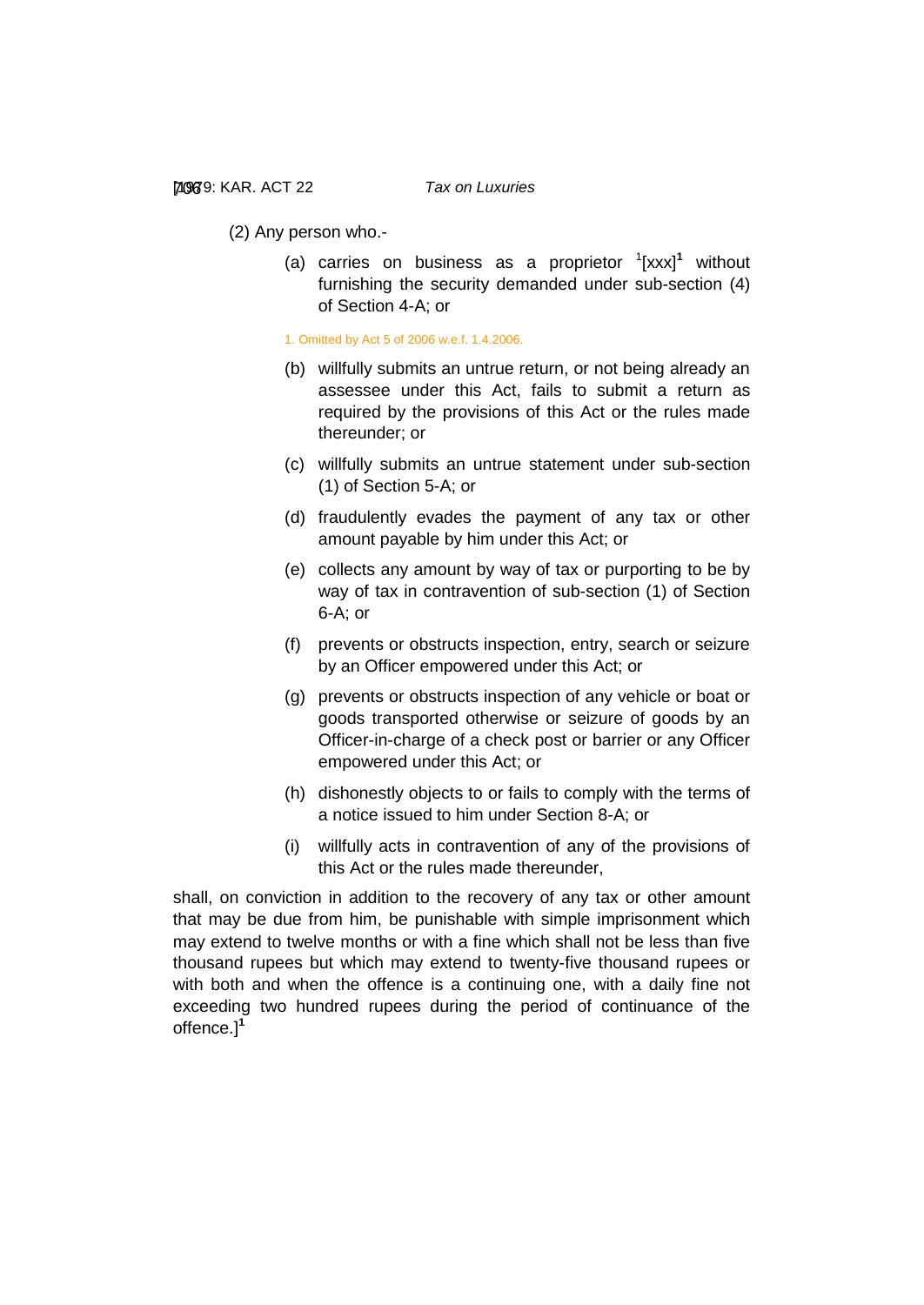(2) Any person who.-

(a) carries on business as a proprietor <sup>1</sup> [xxx]**<sup>1</sup>** without furnishing the security demanded under sub-section (4) of Section 4-A; or

1. Omitted by Act 5 of 2006 w.e.f. 1.4.2006.

- (b) willfully submits an untrue return, or not being already an assessee under this Act, fails to submit a return as required by the provisions of this Act or the rules made thereunder; or
- (c) willfully submits an untrue statement under sub-section (1) of Section 5-A; or
- (d) fraudulently evades the payment of any tax or other amount payable by him under this Act; or
- (e) collects any amount by way of tax or purporting to be by way of tax in contravention of sub-section (1) of Section 6-A; or
- (f) prevents or obstructs inspection, entry, search or seizure by an Officer empowered under this Act; or
- (g) prevents or obstructs inspection of any vehicle or boat or goods transported otherwise or seizure of goods by an Officer-in-charge of a check post or barrier or any Officer empowered under this Act; or
- (h) dishonestly objects to or fails to comply with the terms of a notice issued to him under Section 8-A; or
- (i) willfully acts in contravention of any of the provisions of this Act or the rules made thereunder,

shall, on conviction in addition to the recovery of any tax or other amount that may be due from him, be punishable with simple imprisonment which may extend to twelve months or with a fine which shall not be less than five thousand rupees but which may extend to twenty-five thousand rupees or with both and when the offence is a continuing one, with a daily fine not exceeding two hundred rupees during the period of continuance of the offence.]**<sup>1</sup>**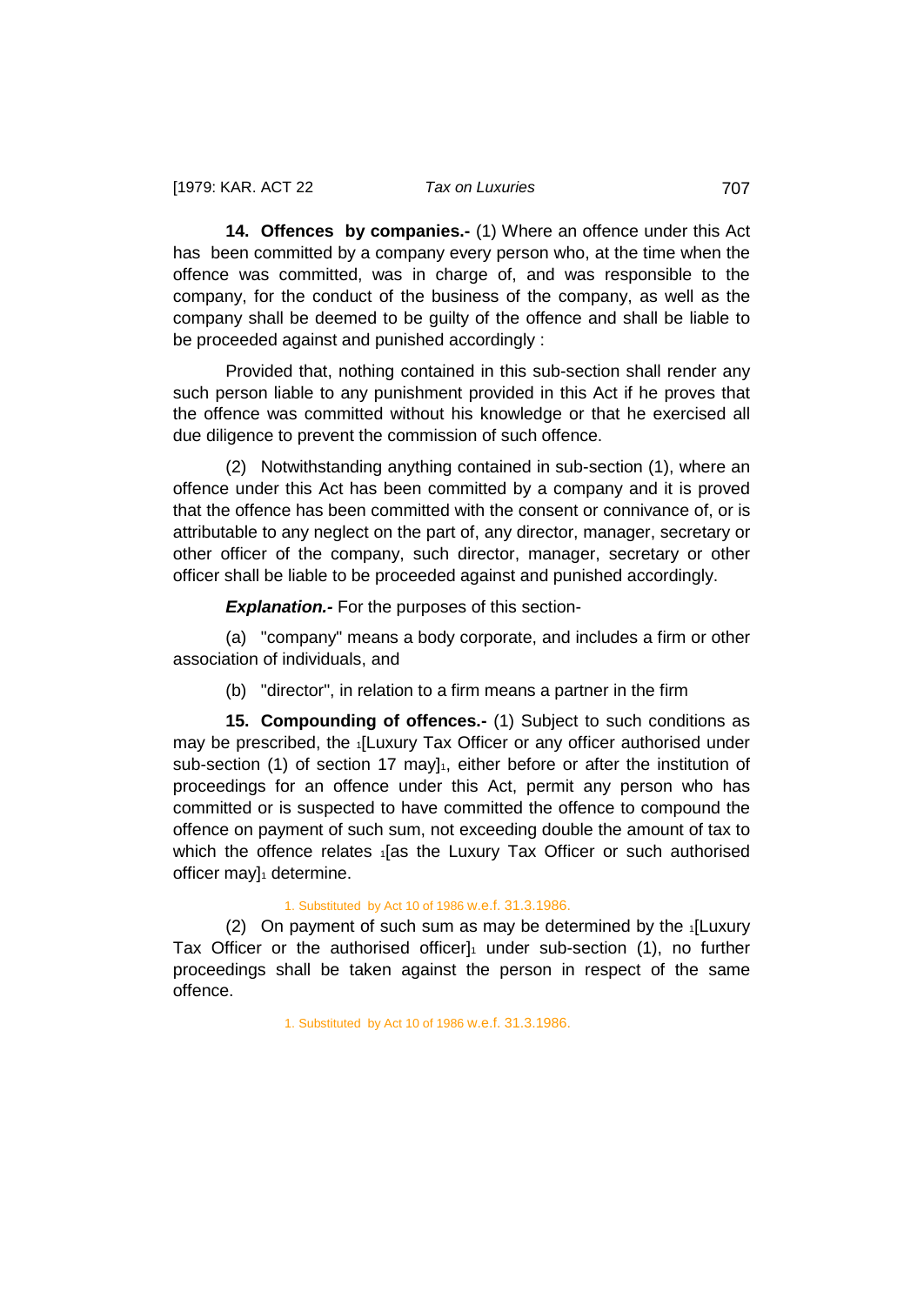<span id="page-49-0"></span>**14. Offences by companies.-** (1) Where an offence under this Act has been committed by a company every person who, at the time when the offence was committed, was in charge of, and was responsible to the company, for the conduct of the business of the company, as well as the company shall be deemed to be guilty of the offence and shall be liable to be proceeded against and punished accordingly :

Provided that, nothing contained in this sub-section shall render any such person liable to any punishment provided in this Act if he proves that the offence was committed without his knowledge or that he exercised all due diligence to prevent the commission of such offence.

(2) Notwithstanding anything contained in sub-section (1), where an offence under this Act has been committed by a company and it is proved that the offence has been committed with the consent or connivance of, or is attributable to any neglect on the part of, any director, manager, secretary or other officer of the company, such director, manager, secretary or other officer shall be liable to be proceeded against and punished accordingly.

*Explanation.-* For the purposes of this section-

(a) "company" means a body corporate, and includes a firm or other association of individuals, and

<span id="page-49-1"></span>(b) "director", in relation to a firm means a partner in the firm

**15. Compounding of offences.-** (1) Subject to such conditions as may be prescribed, the 1[Luxury Tax Officer or any officer authorised under sub-section (1) of section 17 may  $1<sub>1</sub>$ , either before or after the institution of proceedings for an offence under this Act, permit any person who has committed or is suspected to have committed the offence to compound the offence on payment of such sum, not exceeding double the amount of tax to which the offence relates <sub>1</sub>[as the Luxury Tax Officer or such authorised officer may $]_1$  determine.

#### 1. Substituted by Act 10 of 1986 w.e.f. 31.3.1986.

(2) On payment of such sum as may be determined by the  $\frac{1}{1}$ [Luxury] Tax Officer or the authorised officer $]_1$  under sub-section (1), no further proceedings shall be taken against the person in respect of the same offence.

1. Substituted by Act 10 of 1986 w.e.f. 31.3.1986.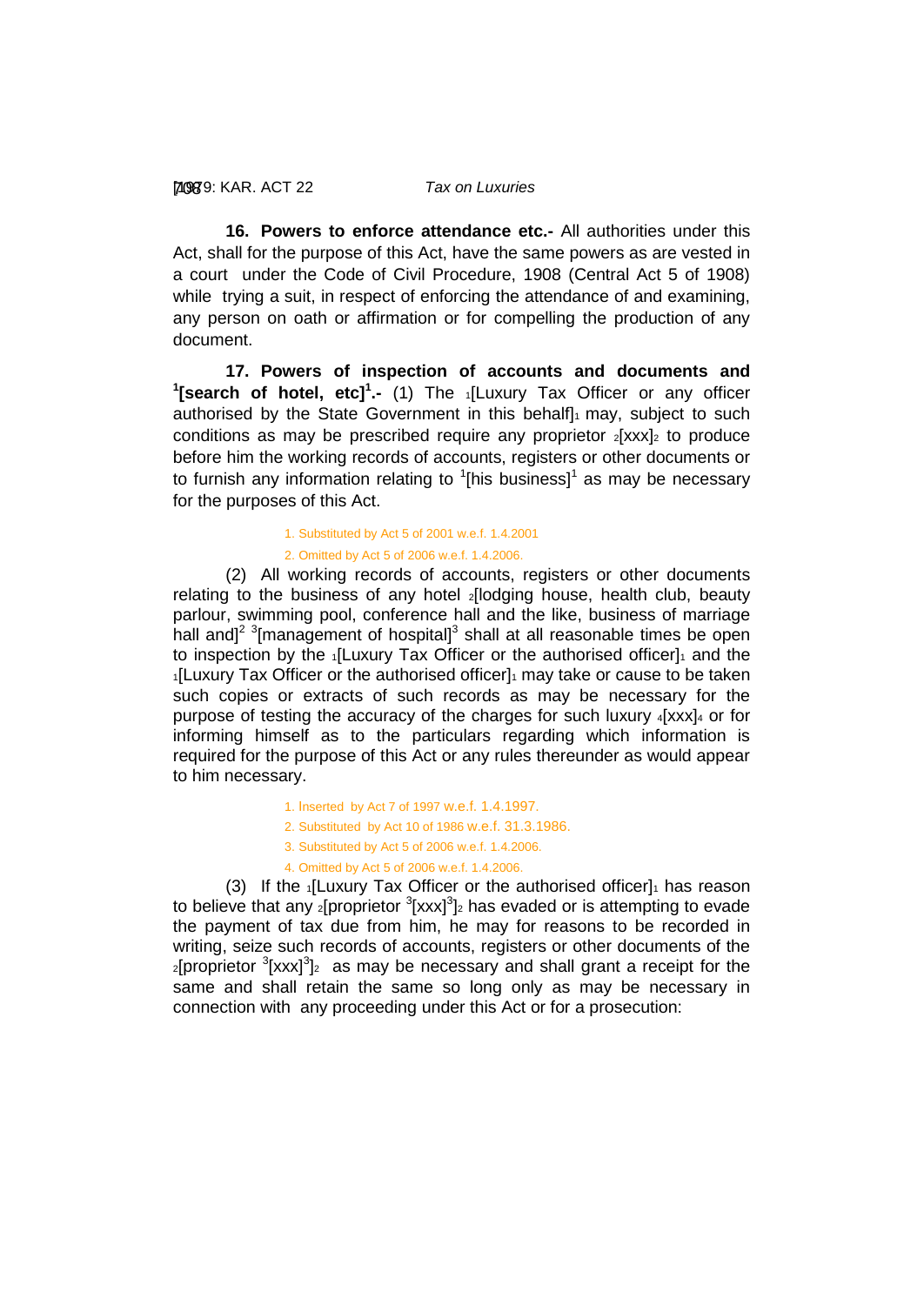#### [1979: 708 KAR. ACT 22 *Tax on Luxuries*

<span id="page-50-0"></span>**16. Powers to enforce attendance etc.-** All authorities under this Act, shall for the purpose of this Act, have the same powers as are vested in a court under the Code of Civil Procedure, 1908 (Central Act 5 of 1908) while trying a suit, in respect of enforcing the attendance of and examining, any person on oath or affirmation or for compelling the production of any document.

<span id="page-50-1"></span>**17. Powers of inspection of accounts and documents and 1 [search of hotel, etc]<sup>1</sup> .-** (1) The 1[Luxury Tax Officer or any officer authorised by the State Government in this behalf] $_1$  may, subject to such conditions as may be prescribed require any proprietor  $2[xxx]_2$  to produce before him the working records of accounts, registers or other documents or to furnish any information relating to  $1$ [his business]<sup>1</sup> as may be necessary for the purposes of this Act.

### 1. Substituted by Act 5 of 2001 w.e.f. 1.4.2001 2. Omitted by Act 5 of 2006 w.e.f. 1.4.2006.

(2) All working records of accounts, registers or other documents relating to the business of any hotel **2**[lodging house, health club, beauty parlour, swimming pool, conference hall and the like, business of marriage hall and]<sup>2 3</sup>[management of hospital]<sup>3</sup> shall at all reasonable times be open to inspection by the  $1$ [Luxury Tax Officer or the authorised officer] $1$  and the 1[Luxury Tax Officer or the authorised officer]1 may take or cause to be taken such copies or extracts of such records as may be necessary for the purpose of testing the accuracy of the charges for such luxury  $4$ [xxx] $4$  or for informing himself as to the particulars regarding which information is required for the purpose of this Act or any rules thereunder as would appear to him necessary.

- 1. Inserted by Act 7 of 1997 w.e.f. 1.4.1997.
- 2. Substituted by Act 10 of 1986 w.e.f. 31.3.1986.
- 3. Substituted by Act 5 of 2006 w.e.f. 1.4.2006.
- 4. Omitted by Act 5 of 2006 w.e.f. 1.4.2006.

(3) If the  $1$ [Luxury Tax Officer or the authorised officer] $1$  has reason to believe that any <sub>2</sub>[proprietor  $3$ [xxx] $3$ ]<sub>2</sub> has evaded or is attempting to evade the payment of tax due from him, he may for reasons to be recorded in writing, seize such records of accounts, registers or other documents of the  $_2$ [proprietor  $3$ [xxx] $3$ ] $_2$  as may be necessary and shall grant a receipt for the same and shall retain the same so long only as may be necessary in connection with any proceeding under this Act or for a prosecution: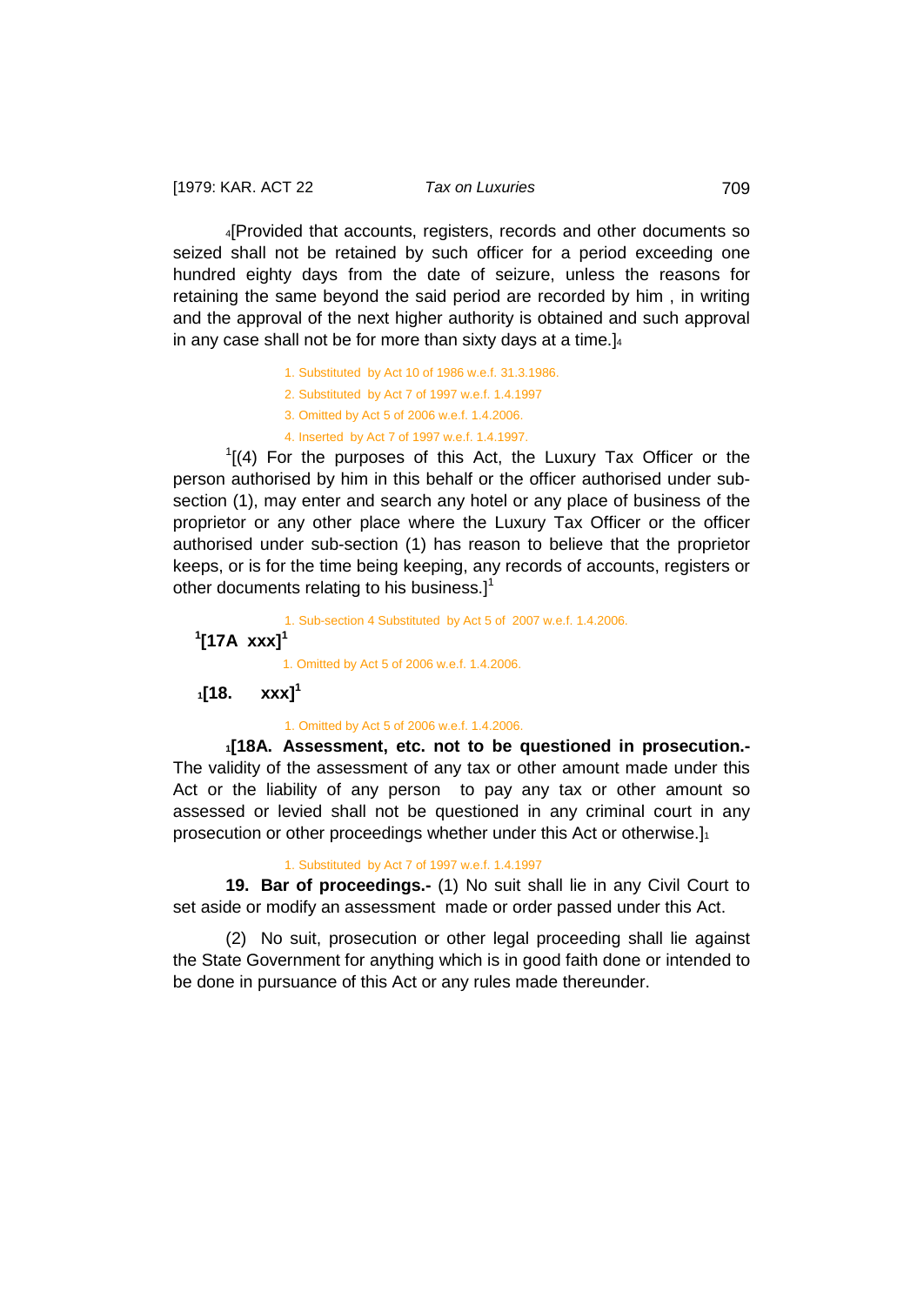4[Provided that accounts, registers, records and other documents so seized shall not be retained by such officer for a period exceeding one hundred eighty days from the date of seizure, unless the reasons for retaining the same beyond the said period are recorded by him , in writing and the approval of the next higher authority is obtained and such approval in any case shall not be for more than sixty days at a time.]4

- 1. Substituted by Act 10 of 1986 w.e.f. 31.3.1986.
- 2. Substituted by Act 7 of 1997 w.e.f. 1.4.1997
- 3. Omitted by Act 5 of 2006 w.e.f. 1.4.2006.
- 4. Inserted by Act 7 of 1997 w.e.f. 1.4.1997.

 $1$ [(4) For the purposes of this Act, the Luxury Tax Officer or the person authorised by him in this behalf or the officer authorised under subsection (1), may enter and search any hotel or any place of business of the proprietor or any other place where the Luxury Tax Officer or the officer authorised under sub-section (1) has reason to believe that the proprietor keeps, or is for the time being keeping, any records of accounts, registers or other documents relating to his business.]<sup>1</sup>

1. Sub-section 4 Substituted by Act 5 of 2007 w.e.f. 1.4.2006.

# <span id="page-51-0"></span>**1 [17A xxx]<sup>1</sup>**

<span id="page-51-1"></span>1. Omitted by Act 5 of 2006 w.e.f. 1.4.2006.

**1[18. xxx]<sup>1</sup>**

<span id="page-51-2"></span>1. Omitted by Act 5 of 2006 w.e.f. 1.4.2006.

**1[18A. Assessment, etc. not to be questioned in prosecution.-** The validity of the assessment of any tax or other amount made under this Act or the liability of any person to pay any tax or other amount so assessed or levied shall not be questioned in any criminal court in any prosecution or other proceedings whether under this Act or otherwise.]<sup>1</sup>

## <span id="page-51-3"></span>1. Substituted by Act 7 of 1997 w.e.f. 1.4.1997

**19. Bar of proceedings.-** (1) No suit shall lie in any Civil Court to set aside or modify an assessment made or order passed under this Act.

(2) No suit, prosecution or other legal proceeding shall lie against the State Government for anything which is in good faith done or intended to be done in pursuance of this Act or any rules made thereunder.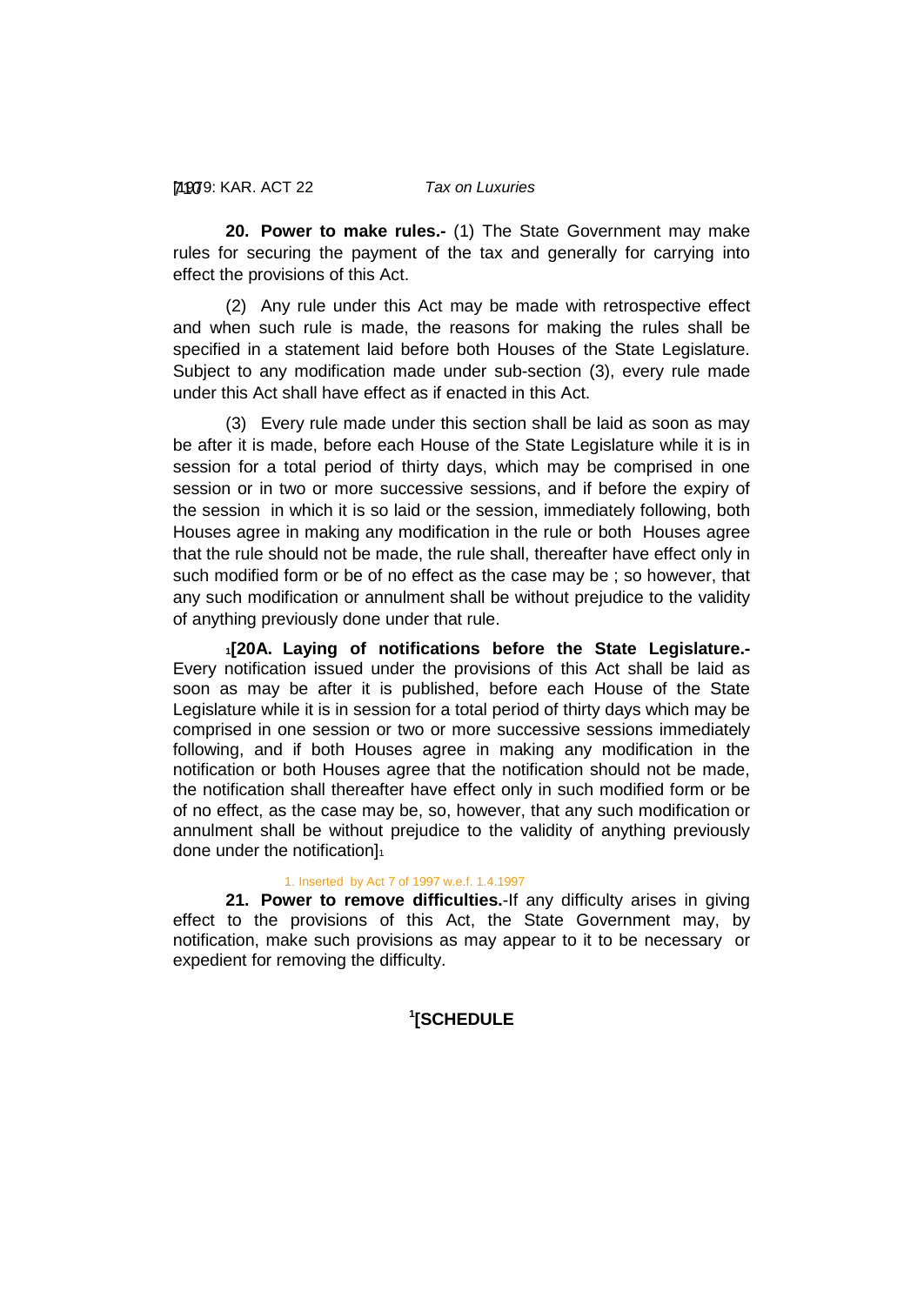### [1979: 710 KAR. ACT 22 *Tax on Luxuries*

<span id="page-52-0"></span>**20. Power to make rules.-** (1) The State Government may make rules for securing the payment of the tax and generally for carrying into effect the provisions of this Act.

(2) Any rule under this Act may be made with retrospective effect and when such rule is made, the reasons for making the rules shall be specified in a statement laid before both Houses of the State Legislature. Subject to any modification made under sub-section (3), every rule made under this Act shall have effect as if enacted in this Act.

(3) Every rule made under this section shall be laid as soon as may be after it is made, before each House of the State Legislature while it is in session for a total period of thirty days, which may be comprised in one session or in two or more successive sessions, and if before the expiry of the session in which it is so laid or the session, immediately following, both Houses agree in making any modification in the rule or both Houses agree that the rule should not be made, the rule shall, thereafter have effect only in such modified form or be of no effect as the case may be ; so however, that any such modification or annulment shall be without prejudice to the validity of anything previously done under that rule.

<span id="page-52-1"></span>**1[20A. Laying of notifications before the State Legislature.-** Every notification issued under the provisions of this Act shall be laid as soon as may be after it is published, before each House of the State Legislature while it is in session for a total period of thirty days which may be comprised in one session or two or more successive sessions immediately following, and if both Houses agree in making any modification in the notification or both Houses agree that the notification should not be made, the notification shall thereafter have effect only in such modified form or be of no effect, as the case may be, so, however, that any such modification or annulment shall be without prejudice to the validity of anything previously done under the notification]<sup>1</sup>

#### <span id="page-52-2"></span>1. Inserted by Act 7 of 1997 w.e.f. 1.4.1997

<span id="page-52-3"></span>**21. Power to remove difficulties.**-If any difficulty arises in giving effect to the provisions of this Act, the State Government may, by notification, make such provisions as may appear to it to be necessary or expedient for removing the difficulty.

# **1 [SCHEDULE**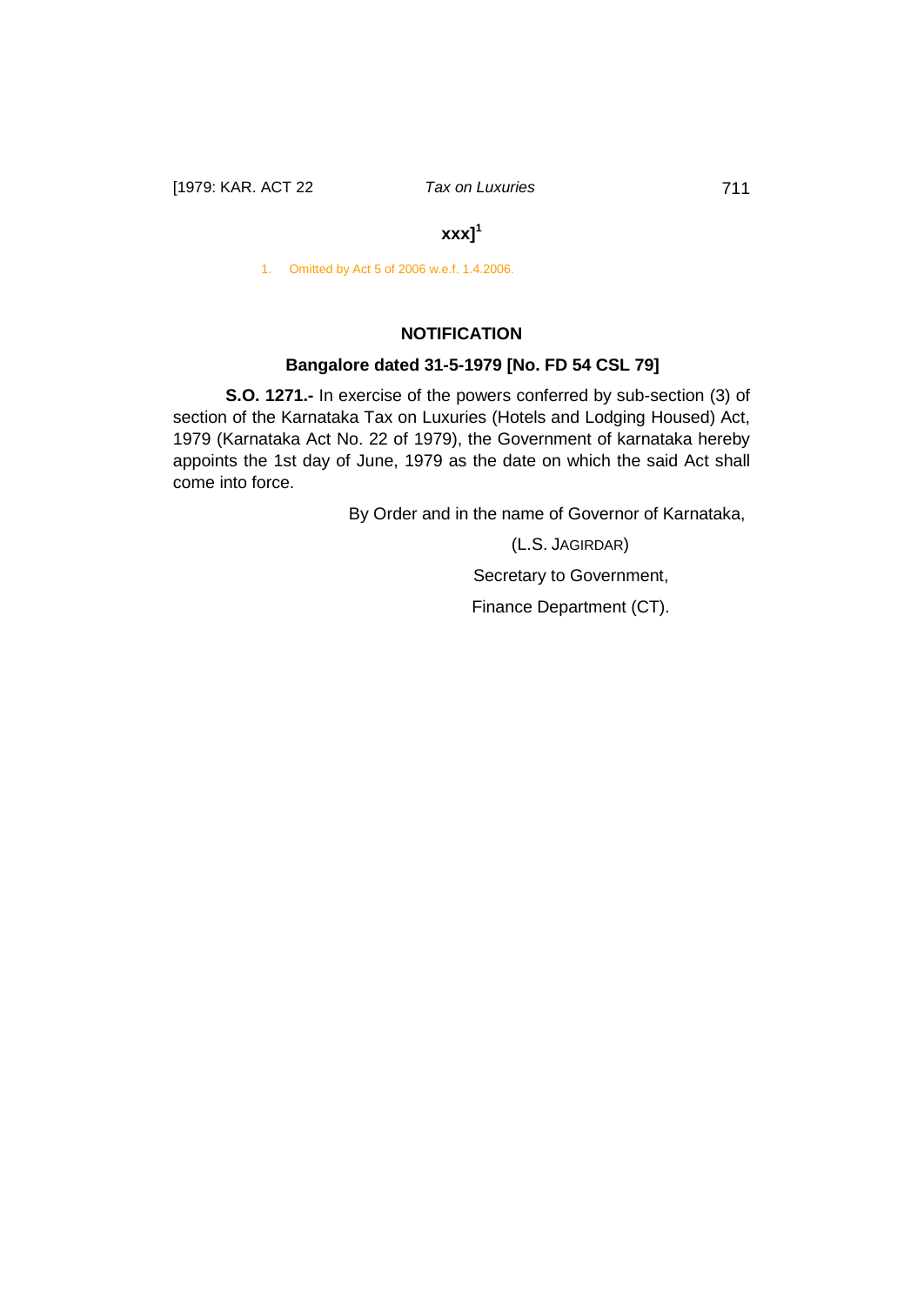# **xxx]<sup>1</sup>**

1. Omitted by Act 5 of 2006 w.e.f. 1.4.2006.

# **NOTIFICATION**

# **Bangalore dated 31-5-1979 [No. FD 54 CSL 79]**

**S.O. 1271.-** In exercise of the powers conferred by sub-section (3) of section of the Karnataka Tax on Luxuries (Hotels and Lodging Housed) Act, 1979 (Karnataka Act No. 22 of 1979), the Government of karnataka hereby appoints the 1st day of June, 1979 as the date on which the said Act shall come into force.

By Order and in the name of Governor of Karnataka,

(L.S. JAGIRDAR) Secretary to Government, Finance Department (CT).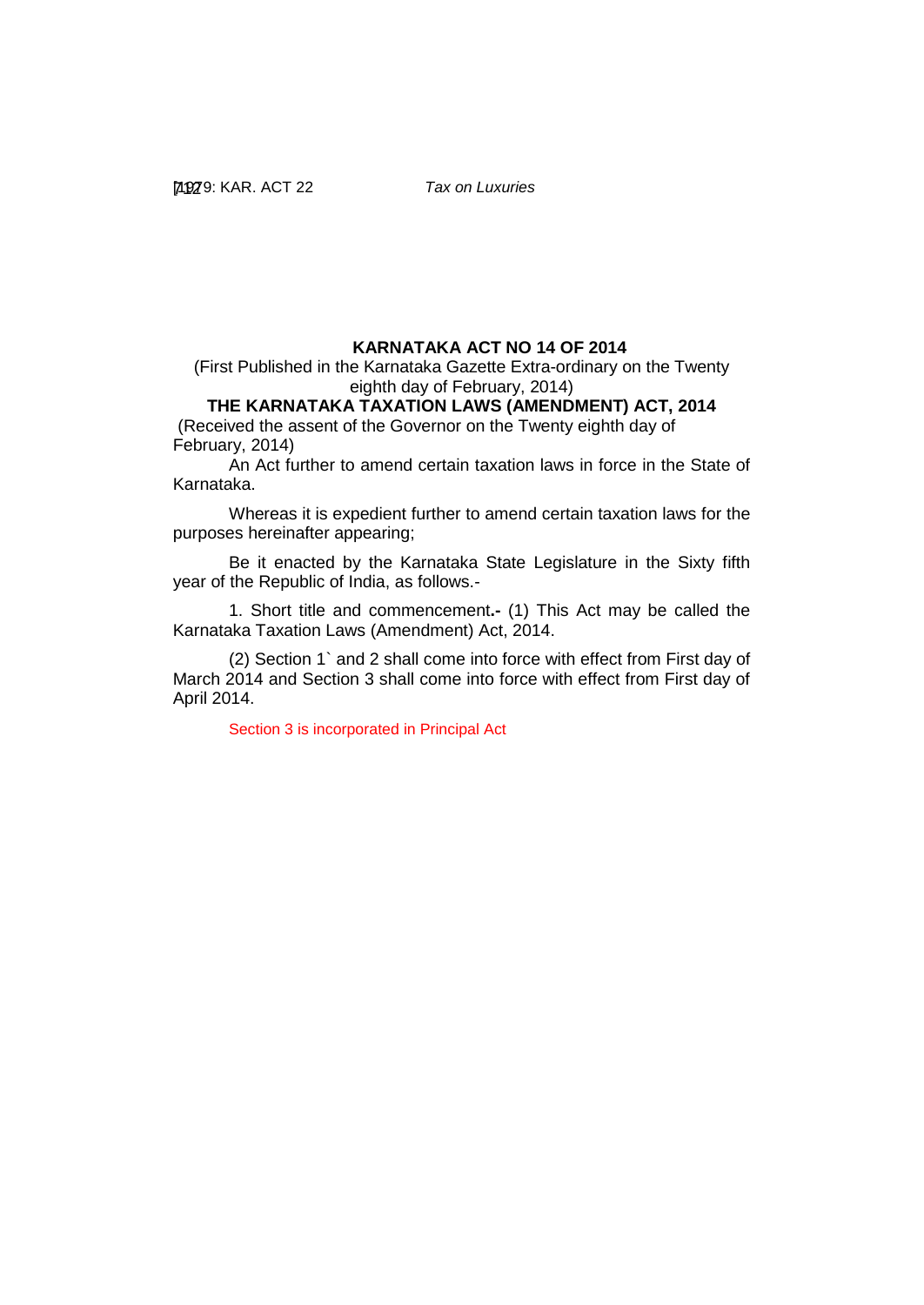# **KARNATAKA ACT NO 14 OF 2014**

(First Published in the Karnataka Gazette Extra-ordinary on the Twenty eighth day of February, 2014)

# **THE KARNATAKA TAXATION LAWS (AMENDMENT) ACT, 2014**

(Received the assent of the Governor on the Twenty eighth day of February, 2014)

An Act further to amend certain taxation laws in force in the State of Karnataka.

Whereas it is expedient further to amend certain taxation laws for the purposes hereinafter appearing;

Be it enacted by the Karnataka State Legislature in the Sixty fifth year of the Republic of India, as follows.-

1. Short title and commencement**.-** (1) This Act may be called the Karnataka Taxation Laws (Amendment) Act, 2014.

(2) Section 1` and 2 shall come into force with effect from First day of March 2014 and Section 3 shall come into force with effect from First day of April 2014.

Section 3 is incorporated in Principal Act